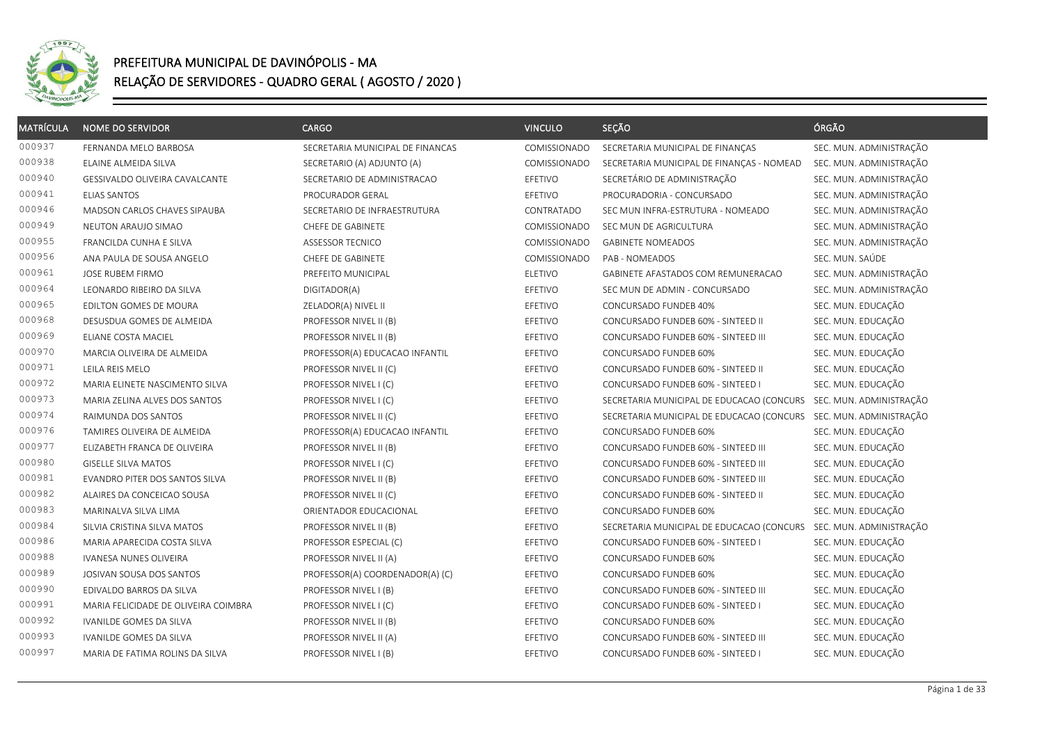

| <b>MATRÍCULA</b> | <b>NOME DO SERVIDOR</b>              | <b>CARGO</b>                     | <b>VINCULO</b> | SEÇÃO                                                             | ÓRGÃO                   |
|------------------|--------------------------------------|----------------------------------|----------------|-------------------------------------------------------------------|-------------------------|
| 000937           | FERNANDA MELO BARBOSA                | SECRETARIA MUNICIPAL DE FINANCAS | COMISSIONADO   | SECRETARIA MUNICIPAL DE FINANÇAS                                  | SEC. MUN. ADMINISTRAÇÃO |
| 000938           | ELAINE ALMEIDA SILVA                 | SECRETARIO (A) ADJUNTO (A)       | COMISSIONADO   | SECRETARIA MUNICIPAL DE FINANÇAS - NOMEAD                         | SEC. MUN. ADMINISTRAÇÃO |
| 000940           | GESSIVALDO OLIVEIRA CAVALCANTE       | SECRETARIO DE ADMINISTRACAO      | EFETIVO        | SECRETÁRIO DE ADMINISTRAÇÃO                                       | SEC. MUN. ADMINISTRAÇÃO |
| 000941           | <b>ELIAS SANTOS</b>                  | PROCURADOR GERAL                 | EFETIVO        | PROCURADORIA - CONCURSADO                                         | SEC. MUN. ADMINISTRAÇÃO |
| 000946           | MADSON CARLOS CHAVES SIPAUBA         | SECRETARIO DE INFRAESTRUTURA     | CONTRATADO     | SEC MUN INFRA-ESTRUTURA - NOMEADO                                 | SEC. MUN. ADMINISTRAÇÃO |
| 000949           | NEUTON ARAUJO SIMAO                  | CHEFE DE GABINETE                | COMISSIONADO   | SEC MUN DE AGRICULTURA                                            | SEC. MUN. ADMINISTRAÇÃO |
| 000955           | FRANCILDA CUNHA E SILVA              | <b>ASSESSOR TECNICO</b>          | COMISSIONADO   | <b>GABINETE NOMEADOS</b>                                          | SEC. MUN. ADMINISTRAÇÃO |
| 000956           | ANA PAULA DE SOUSA ANGELO            | CHEFE DE GABINETE                | COMISSIONADO   | PAB - NOMEADOS                                                    | SEC. MUN. SAÚDE         |
| 000961           | JOSE RUBEM FIRMO                     | PREFEITO MUNICIPAL               | <b>ELETIVO</b> | GABINETE AFASTADOS COM REMUNERACAO                                | SEC. MUN. ADMINISTRAÇÃO |
| 000964           | LEONARDO RIBEIRO DA SILVA            | DIGITADOR(A)                     | EFETIVO        | SEC MUN DE ADMIN - CONCURSADO                                     | SEC. MUN. ADMINISTRAÇÃO |
| 000965           | EDILTON GOMES DE MOURA               | ZELADOR(A) NIVEL II              | EFETIVO        | CONCURSADO FUNDEB 40%                                             | SEC. MUN. EDUCAÇÃO      |
| 000968           | DESUSDUA GOMES DE ALMEIDA            | PROFESSOR NIVEL II (B)           | EFETIVO        | CONCURSADO FUNDEB 60% - SINTEED II                                | SEC. MUN. EDUCAÇÃO      |
| 000969           | ELIANE COSTA MACIEL                  | PROFESSOR NIVEL II (B)           | EFETIVO        | CONCURSADO FUNDEB 60% - SINTEED III                               | SEC. MUN. EDUCAÇÃO      |
| 000970           | MARCIA OLIVEIRA DE ALMEIDA           | PROFESSOR(A) EDUCACAO INFANTIL   | EFETIVO        | CONCURSADO FUNDEB 60%                                             | SEC. MUN. EDUCAÇÃO      |
| 000971           | LEILA REIS MELO                      | PROFESSOR NIVEL II (C)           | EFETIVO        | CONCURSADO FUNDEB 60% - SINTEED II                                | SEC. MUN. EDUCAÇÃO      |
| 000972           | MARIA ELINETE NASCIMENTO SILVA       | PROFESSOR NIVEL I (C)            | EFETIVO        | CONCURSADO FUNDEB 60% - SINTEED I                                 | SEC. MUN. EDUCAÇÃO      |
| 000973           | MARIA ZELINA ALVES DOS SANTOS        | PROFESSOR NIVEL I (C)            | EFETIVO        | SECRETARIA MUNICIPAL DE EDUCACAO (CONCURS                         | SEC. MUN. ADMINISTRAÇÃO |
| 000974           | RAIMUNDA DOS SANTOS                  | PROFESSOR NIVEL II (C)           | EFETIVO        | SECRETARIA MUNICIPAL DE EDUCACAO (CONCURS SEC. MUN. ADMINISTRAÇÃO |                         |
| 000976           | TAMIRES OLIVEIRA DE ALMEIDA          | PROFESSOR(A) EDUCACAO INFANTIL   | EFETIVO        | CONCURSADO FUNDEB 60%                                             | SEC. MUN. EDUCAÇÃO      |
| 000977           | ELIZABETH FRANCA DE OLIVEIRA         | PROFESSOR NIVEL II (B)           | EFETIVO        | CONCURSADO FUNDEB 60% - SINTEED III                               | SEC. MUN. EDUCAÇÃO      |
| 000980           | <b>GISELLE SILVA MATOS</b>           | PROFESSOR NIVEL I (C)            | EFETIVO        | CONCURSADO FUNDEB 60% - SINTEED III                               | SEC. MUN. EDUCAÇÃO      |
| 000981           | EVANDRO PITER DOS SANTOS SILVA       | PROFESSOR NIVEL II (B)           | EFETIVO        | CONCURSADO FUNDEB 60% - SINTEED III                               | SEC. MUN. EDUCAÇÃO      |
| 000982           | ALAIRES DA CONCEICAO SOUSA           | PROFESSOR NIVEL II (C)           | EFETIVO        | CONCURSADO FUNDEB 60% - SINTEED II                                | SEC. MUN. EDUCAÇÃO      |
| 000983           | MARINALVA SILVA LIMA                 | ORIENTADOR EDUCACIONAL           | EFETIVO        | CONCURSADO FUNDEB 60%                                             | SEC. MUN. EDUCAÇÃO      |
| 000984           | SILVIA CRISTINA SILVA MATOS          | PROFESSOR NIVEL II (B)           | EFETIVO        | SECRETARIA MUNICIPAL DE EDUCACAO (CONCURS                         | SEC. MUN. ADMINISTRAÇÃO |
| 000986           | MARIA APARECIDA COSTA SILVA          | PROFESSOR ESPECIAL (C)           | EFETIVO        | CONCURSADO FUNDEB 60% - SINTEED I                                 | SEC. MUN. EDUCAÇÃO      |
| 000988           | IVANESA NUNES OLIVEIRA               | PROFESSOR NIVEL II (A)           | EFETIVO        | CONCURSADO FUNDEB 60%                                             | SEC. MUN. EDUCAÇÃO      |
| 000989           | JOSIVAN SOUSA DOS SANTOS             | PROFESSOR(A) COORDENADOR(A) (C)  | EFETIVO        | CONCURSADO FUNDEB 60%                                             | SEC. MUN. EDUCAÇÃO      |
| 000990           | EDIVALDO BARROS DA SILVA             | PROFESSOR NIVEL I (B)            | EFETIVO        | CONCURSADO FUNDEB 60% - SINTEED III                               | SEC. MUN. EDUCAÇÃO      |
| 000991           | MARIA FELICIDADE DE OLIVEIRA COIMBRA | PROFESSOR NIVEL I (C)            | EFETIVO        | CONCURSADO FUNDEB 60% - SINTEED I                                 | SEC. MUN. EDUCAÇÃO      |
| 000992           | IVANILDE GOMES DA SILVA              | PROFESSOR NIVEL II (B)           | EFETIVO        | CONCURSADO FUNDEB 60%                                             | SEC. MUN. EDUCAÇÃO      |
| 000993           | IVANILDE GOMES DA SILVA              | PROFESSOR NIVEL II (A)           | EFETIVO        | CONCURSADO FUNDEB 60% - SINTEED III                               | SEC. MUN. EDUCAÇÃO      |
| 000997           | MARIA DE FATIMA ROLINS DA SILVA      | PROFESSOR NIVEL I (B)            | EFETIVO        | CONCURSADO FUNDEB 60% - SINTEED I                                 | SEC. MUN. EDUCAÇÃO      |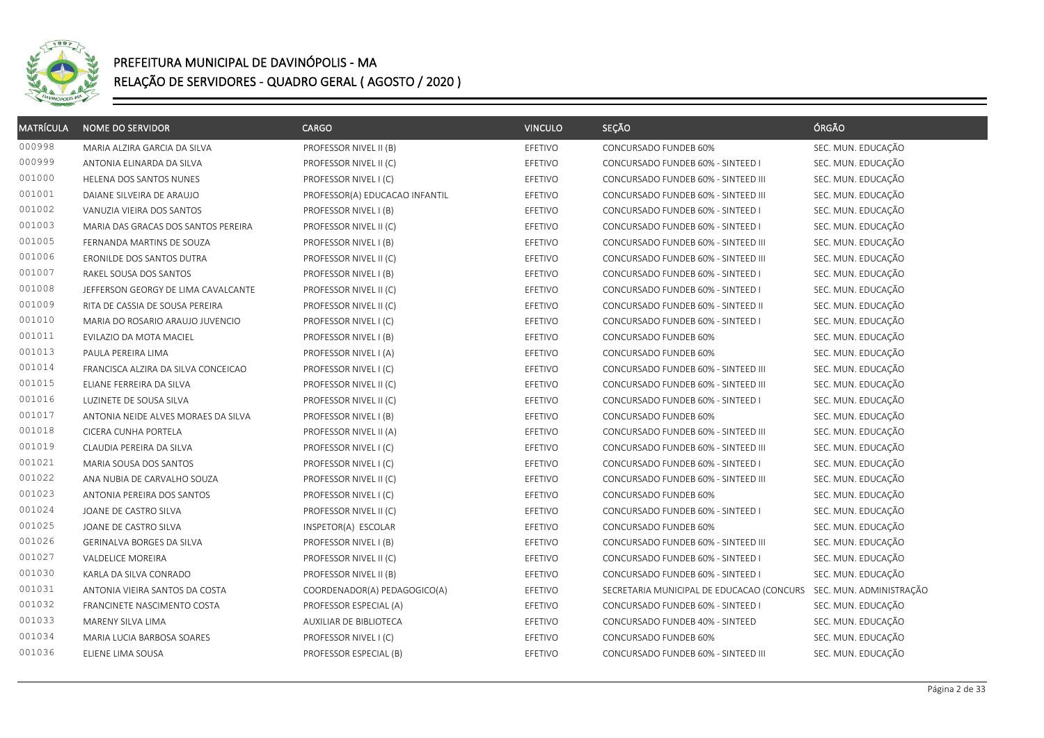

| <b>MATRÍCULA</b> | <b>NOME DO SERVIDOR</b>             | CARGO                          | <b>VINCULO</b> | SEÇÃO                                     | ÓRGÃO                   |
|------------------|-------------------------------------|--------------------------------|----------------|-------------------------------------------|-------------------------|
| 000998           | MARIA ALZIRA GARCIA DA SILVA        | PROFESSOR NIVEL II (B)         | EFETIVO        | CONCURSADO FUNDEB 60%                     | SEC. MUN. EDUCAÇÃO      |
| 000999           | ANTONIA ELINARDA DA SILVA           | PROFESSOR NIVEL II (C)         | EFETIVO        | CONCURSADO FUNDEB 60% - SINTEED I         | SEC. MUN. EDUCAÇÃO      |
| 001000           | HELENA DOS SANTOS NUNES             | PROFESSOR NIVEL I (C)          | EFETIVO        | CONCURSADO FUNDEB 60% - SINTEED III       | SEC. MUN. EDUCAÇÃO      |
| 001001           | DAIANE SILVEIRA DE ARAUJO           | PROFESSOR(A) EDUCACAO INFANTIL | EFETIVO        | CONCURSADO FUNDEB 60% - SINTEED III       | SEC. MUN. EDUCAÇÃO      |
| 001002           | VANUZIA VIEIRA DOS SANTOS           | PROFESSOR NIVEL I (B)          | EFETIVO        | CONCURSADO FUNDEB 60% - SINTEED I         | SEC. MUN. EDUCAÇÃO      |
| 001003           | MARIA DAS GRACAS DOS SANTOS PEREIRA | PROFESSOR NIVEL II (C)         | EFETIVO        | CONCURSADO FUNDEB 60% - SINTEED I         | SEC. MUN. EDUCAÇÃO      |
| 001005           | FERNANDA MARTINS DE SOUZA           | PROFESSOR NIVEL I (B)          | EFETIVO        | CONCURSADO FUNDEB 60% - SINTEED III       | SEC. MUN. EDUCAÇÃO      |
| 001006           | ERONILDE DOS SANTOS DUTRA           | PROFESSOR NIVEL II (C)         | EFETIVO        | CONCURSADO FUNDEB 60% - SINTEED III       | SEC. MUN. EDUCAÇÃO      |
| 001007           | RAKEL SOUSA DOS SANTOS              | PROFESSOR NIVEL I (B)          | EFETIVO        | CONCURSADO FUNDEB 60% - SINTEED I         | SEC. MUN. EDUCAÇÃO      |
| 001008           | JEFFERSON GEORGY DE LIMA CAVALCANTE | PROFESSOR NIVEL II (C)         | EFETIVO        | CONCURSADO FUNDEB 60% - SINTEED I         | SEC. MUN. EDUCAÇÃO      |
| 001009           | RITA DE CASSIA DE SOUSA PEREIRA     | PROFESSOR NIVEL II (C)         | EFETIVO        | CONCURSADO FUNDEB 60% - SINTEED II        | SEC. MUN. EDUCAÇÃO      |
| 001010           | MARIA DO ROSARIO ARAUJO JUVENCIO    | PROFESSOR NIVEL I (C)          | EFETIVO        | CONCURSADO FUNDEB 60% - SINTEED I         | SEC. MUN. EDUCAÇÃO      |
| 001011           | EVILAZIO DA MOTA MACIEL             | PROFESSOR NIVEL I (B)          | EFETIVO        | CONCURSADO FUNDEB 60%                     | SEC. MUN. EDUCAÇÃO      |
| 001013           | PAULA PEREIRA LIMA                  | PROFESSOR NIVEL I (A)          | EFETIVO        | CONCURSADO FUNDEB 60%                     | SEC. MUN. EDUCAÇÃO      |
| 001014           | FRANCISCA ALZIRA DA SILVA CONCEICAO | PROFESSOR NIVEL I (C)          | EFETIVO        | CONCURSADO FUNDEB 60% - SINTEED III       | SEC. MUN. EDUCAÇÃO      |
| 001015           | ELIANE FERREIRA DA SILVA            | PROFESSOR NIVEL II (C)         | EFETIVO        | CONCURSADO FUNDEB 60% - SINTEED III       | SEC. MUN. EDUCAÇÃO      |
| 001016           | LUZINETE DE SOUSA SILVA             | PROFESSOR NIVEL II (C)         | EFETIVO        | CONCURSADO FUNDEB 60% - SINTEED I         | SEC. MUN. EDUCAÇÃO      |
| 001017           | ANTONIA NEIDE ALVES MORAES DA SILVA | PROFESSOR NIVEL I (B)          | EFETIVO        | CONCURSADO FUNDEB 60%                     | SEC. MUN. EDUCAÇÃO      |
| 001018           | CICERA CUNHA PORTELA                | PROFESSOR NIVEL II (A)         | EFETIVO        | CONCURSADO FUNDEB 60% - SINTEED III       | SEC. MUN. EDUCAÇÃO      |
| 001019           | CLAUDIA PEREIRA DA SILVA            | PROFESSOR NIVEL I (C)          | EFETIVO        | CONCURSADO FUNDEB 60% - SINTEED III       | SEC. MUN. EDUCAÇÃO      |
| 001021           | MARIA SOUSA DOS SANTOS              | PROFESSOR NIVEL I (C)          | EFETIVO        | CONCURSADO FUNDEB 60% - SINTEED I         | SEC. MUN. EDUCAÇÃO      |
| 001022           | ANA NUBIA DE CARVALHO SOUZA         | PROFESSOR NIVEL II (C)         | EFETIVO        | CONCURSADO FUNDEB 60% - SINTEED III       | SEC. MUN. EDUCAÇÃO      |
| 001023           | ANTONIA PEREIRA DOS SANTOS          | PROFESSOR NIVEL I (C)          | EFETIVO        | CONCURSADO FUNDEB 60%                     | SEC. MUN. EDUCAÇÃO      |
| 001024           | JOANE DE CASTRO SILVA               | PROFESSOR NIVEL II (C)         | EFETIVO        | CONCURSADO FUNDEB 60% - SINTEED I         | SEC. MUN. EDUCAÇÃO      |
| 001025           | JOANE DE CASTRO SILVA               | INSPETOR(A) ESCOLAR            | EFETIVO        | CONCURSADO FUNDEB 60%                     | SEC. MUN. EDUCAÇÃO      |
| 001026           | GERINALVA BORGES DA SILVA           | PROFESSOR NIVEL I (B)          | EFETIVO        | CONCURSADO FUNDEB 60% - SINTEED III       | SEC. MUN. EDUCAÇÃO      |
| 001027           | VALDELICE MOREIRA                   | PROFESSOR NIVEL II (C)         | EFETIVO        | CONCURSADO FUNDEB 60% - SINTEED I         | SEC. MUN. EDUCAÇÃO      |
| 001030           | KARLA DA SILVA CONRADO              | PROFESSOR NIVEL II (B)         | EFETIVO        | CONCURSADO FUNDEB 60% - SINTEED I         | SEC. MUN. EDUCAÇÃO      |
| 001031           | ANTONIA VIEIRA SANTOS DA COSTA      | COORDENADOR(A) PEDAGOGICO(A)   | EFETIVO        | SECRETARIA MUNICIPAL DE EDUCACAO (CONCURS | SEC. MUN. ADMINISTRAÇÃO |
| 001032           | FRANCINETE NASCIMENTO COSTA         | PROFESSOR ESPECIAL (A)         | EFETIVO        | CONCURSADO FUNDEB 60% - SINTEED I         | SEC. MUN. EDUCAÇÃO      |
| 001033           | MARENY SILVA LIMA                   | AUXILIAR DE BIBLIOTECA         | EFETIVO        | CONCURSADO FUNDEB 40% - SINTEED           | SEC. MUN. EDUCAÇÃO      |
| 001034           | MARIA LUCIA BARBOSA SOARES          | PROFESSOR NIVEL I (C)          | EFETIVO        | CONCURSADO FUNDEB 60%                     | SEC. MUN. EDUCAÇÃO      |
| 001036           | ELIENE LIMA SOUSA                   | PROFESSOR ESPECIAL (B)         | EFETIVO        | CONCURSADO FUNDEB 60% - SINTEED III       | SEC. MUN. EDUCAÇÃO      |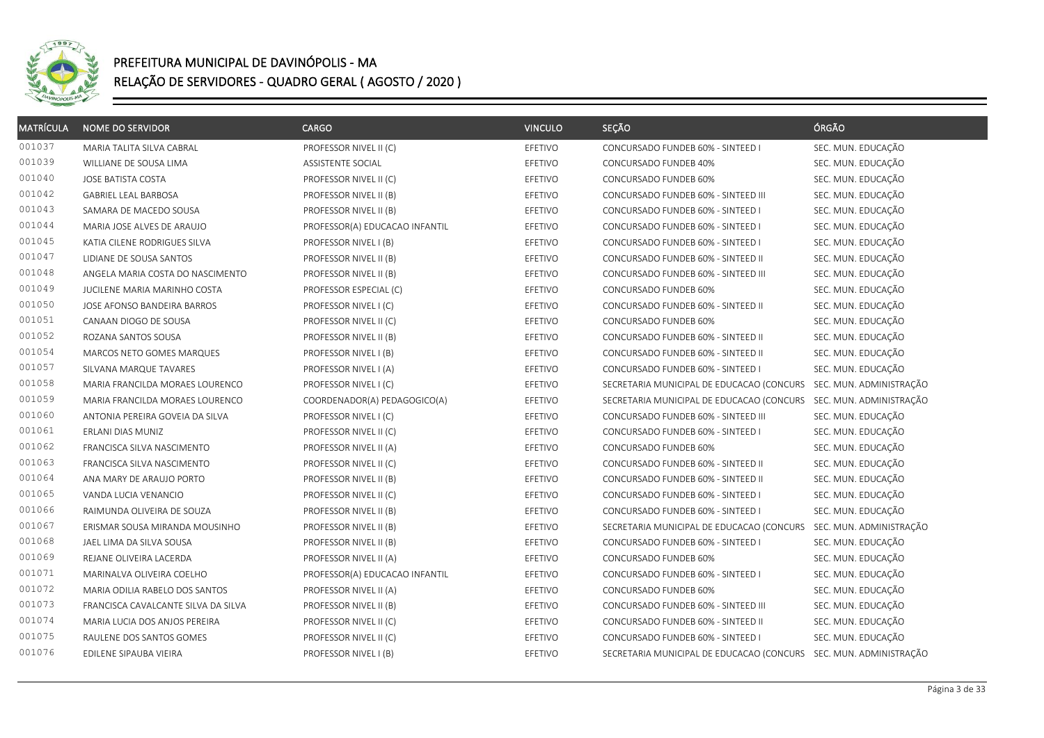

| <b>MATRÍCULA</b> | <b>NOME DO SERVIDOR</b>             | <b>CARGO</b>                   | <b>VINCULO</b> | SECÃO                                                             | ÓRGÃO                   |
|------------------|-------------------------------------|--------------------------------|----------------|-------------------------------------------------------------------|-------------------------|
| 001037           | MARIA TALITA SILVA CABRAL           | PROFESSOR NIVEL II (C)         | EFETIVO        | CONCURSADO FUNDEB 60% - SINTEED I                                 | SEC. MUN. EDUCAÇÃO      |
| 001039           | WILLIANE DE SOUSA LIMA              | ASSISTENTE SOCIAL              | EFETIVO        | CONCURSADO FUNDEB 40%                                             | SEC. MUN. EDUCAÇÃO      |
| 001040           | JOSE BATISTA COSTA                  | PROFESSOR NIVEL II (C)         | EFETIVO        | CONCURSADO FUNDEB 60%                                             | SEC. MUN. EDUCAÇÃO      |
| 001042           | <b>GABRIEL LEAL BARBOSA</b>         | PROFESSOR NIVEL II (B)         | EFETIVO        | CONCURSADO FUNDEB 60% - SINTEED III                               | SEC. MUN. EDUCAÇÃO      |
| 001043           | SAMARA DE MACEDO SOUSA              | PROFESSOR NIVEL II (B)         | EFETIVO        | CONCURSADO FUNDEB 60% - SINTEED I                                 | SEC. MUN. EDUCAÇÃO      |
| 001044           | MARIA JOSE ALVES DE ARAUJO          | PROFESSOR(A) EDUCACAO INFANTIL | EFETIVO        | CONCURSADO FUNDEB 60% - SINTEED I                                 | SEC. MUN. EDUCAÇÃO      |
| 001045           | KATIA CILENE RODRIGUES SILVA        | PROFESSOR NIVEL I (B)          | EFETIVO        | CONCURSADO FUNDEB 60% - SINTEED I                                 | SEC. MUN. EDUCAÇÃO      |
| 001047           | LIDIANE DE SOUSA SANTOS             | PROFESSOR NIVEL II (B)         | EFETIVO        | CONCURSADO FUNDEB 60% - SINTEED II                                | SEC. MUN. EDUCAÇÃO      |
| 001048           | ANGELA MARIA COSTA DO NASCIMENTO    | PROFESSOR NIVEL II (B)         | EFETIVO        | CONCURSADO FUNDEB 60% - SINTEED III                               | SEC. MUN. EDUCAÇÃO      |
| 001049           | JUCILENE MARIA MARINHO COSTA        | PROFESSOR ESPECIAL (C)         | EFETIVO        | CONCURSADO FUNDEB 60%                                             | SEC. MUN. EDUCAÇÃO      |
| 001050           | JOSE AFONSO BANDEIRA BARROS         | PROFESSOR NIVEL I (C)          | EFETIVO        | CONCURSADO FUNDEB 60% - SINTEED II                                | SEC. MUN. EDUCAÇÃO      |
| 001051           | CANAAN DIOGO DE SOUSA               | PROFESSOR NIVEL II (C)         | EFETIVO        | CONCURSADO FUNDEB 60%                                             | SEC. MUN. EDUCAÇÃO      |
| 001052           | ROZANA SANTOS SOUSA                 | PROFESSOR NIVEL II (B)         | EFETIVO        | CONCURSADO FUNDEB 60% - SINTEED II                                | SEC. MUN. EDUCAÇÃO      |
| 001054           | MARCOS NETO GOMES MARQUES           | PROFESSOR NIVEL I (B)          | EFETIVO        | CONCURSADO FUNDEB 60% - SINTEED II                                | SEC. MUN. EDUCAÇÃO      |
| 001057           | SILVANA MARQUE TAVARES              | PROFESSOR NIVEL I (A)          | EFETIVO        | CONCURSADO FUNDEB 60% - SINTEED I                                 | SEC. MUN. EDUCAÇÃO      |
| 001058           | MARIA FRANCILDA MORAES LOURENCO     | PROFESSOR NIVEL I (C)          | EFETIVO        | SECRETARIA MUNICIPAL DE EDUCACAO (CONCURS                         | SEC. MUN. ADMINISTRAÇÃO |
| 001059           | MARIA FRANCILDA MORAES LOURENCO     | COORDENADOR(A) PEDAGOGICO(A)   | EFETIVO        | SECRETARIA MUNICIPAL DE EDUCACAO (CONCURS SEC. MUN. ADMINISTRAÇÃO |                         |
| 001060           | ANTONIA PEREIRA GOVEIA DA SILVA     | PROFESSOR NIVEL I (C)          | EFETIVO        | CONCURSADO FUNDEB 60% - SINTEED III                               | SEC. MUN. EDUCAÇÃO      |
| 001061           | ERLANI DIAS MUNIZ                   | PROFESSOR NIVEL II (C)         | EFETIVO        | CONCURSADO FUNDEB 60% - SINTEED I                                 | SEC. MUN. EDUCAÇÃO      |
| 001062           | FRANCISCA SILVA NASCIMENTO          | PROFESSOR NIVEL II (A)         | EFETIVO        | CONCURSADO FUNDEB 60%                                             | SEC. MUN. EDUCAÇÃO      |
| 001063           | FRANCISCA SILVA NASCIMENTO          | PROFESSOR NIVEL II (C)         | EFETIVO        | CONCURSADO FUNDEB 60% - SINTEED II                                | SEC. MUN. EDUCAÇÃO      |
| 001064           | ANA MARY DE ARAUJO PORTO            | PROFESSOR NIVEL II (B)         | EFETIVO        | CONCURSADO FUNDEB 60% - SINTEED II                                | SEC. MUN. EDUCAÇÃO      |
| 001065           | VANDA LUCIA VENANCIO                | PROFESSOR NIVEL II (C)         | EFETIVO        | CONCURSADO FUNDEB 60% - SINTEED I                                 | SEC. MUN. EDUCAÇÃO      |
| 001066           | RAIMUNDA OLIVEIRA DE SOUZA          | PROFESSOR NIVEL II (B)         | EFETIVO        | CONCURSADO FUNDEB 60% - SINTEED I                                 | SEC. MUN. EDUCAÇÃO      |
| 001067           | ERISMAR SOUSA MIRANDA MOUSINHO      | PROFESSOR NIVEL II (B)         | EFETIVO        | SECRETARIA MUNICIPAL DE EDUCACAO (CONCURS                         | SEC. MUN. ADMINISTRAÇÃO |
| 001068           | JAEL LIMA DA SILVA SOUSA            | PROFESSOR NIVEL II (B)         | EFETIVO        | CONCURSADO FUNDEB 60% - SINTEED I                                 | SEC. MUN. EDUCAÇÃO      |
| 001069           | REJANE OLIVEIRA LACERDA             | PROFESSOR NIVEL II (A)         | EFETIVO        | CONCURSADO FUNDEB 60%                                             | SEC. MUN. EDUCAÇÃO      |
| 001071           | MARINALVA OLIVEIRA COELHO           | PROFESSOR(A) EDUCACAO INFANTIL | EFETIVO        | CONCURSADO FUNDEB 60% - SINTEED I                                 | SEC. MUN. EDUCAÇÃO      |
| 001072           | MARIA ODILIA RABELO DOS SANTOS      | PROFESSOR NIVEL II (A)         | EFETIVO        | CONCURSADO FUNDEB 60%                                             | SEC. MUN. EDUCAÇÃO      |
| 001073           | FRANCISCA CAVALCANTE SILVA DA SILVA | PROFESSOR NIVEL II (B)         | EFETIVO        | CONCURSADO FUNDEB 60% - SINTEED III                               | SEC. MUN. EDUCAÇÃO      |
| 001074           | MARIA LUCIA DOS ANJOS PEREIRA       | PROFESSOR NIVEL II (C)         | EFETIVO        | CONCURSADO FUNDEB 60% - SINTEED II                                | SEC. MUN. EDUCAÇÃO      |
| 001075           | RAULENE DOS SANTOS GOMES            | PROFESSOR NIVEL II (C)         | EFETIVO        | CONCURSADO FUNDEB 60% - SINTEED I                                 | SEC. MUN. EDUCAÇÃO      |
| 001076           | EDILENE SIPAUBA VIEIRA              | PROFESSOR NIVEL I (B)          | EFETIVO        | SECRETARIA MUNICIPAL DE EDUCACAO (CONCURS SEC. MUN. ADMINISTRAÇÃO |                         |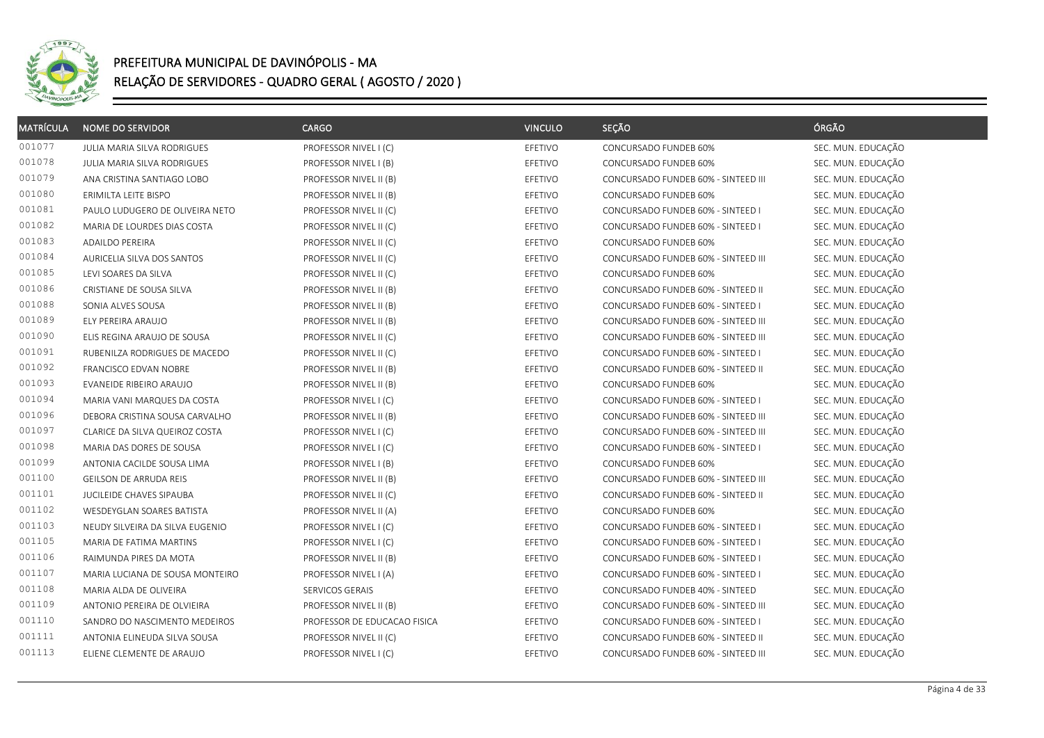

| <b>MATRÍCULA</b> | <b>NOME DO SERVIDOR</b>         | <b>CARGO</b>                 | <b>VINCULO</b> | SEÇÃO                               | ÓRGÃO              |
|------------------|---------------------------------|------------------------------|----------------|-------------------------------------|--------------------|
| 001077           | JULIA MARIA SILVA RODRIGUES     | PROFESSOR NIVEL I (C)        | EFETIVO        | CONCURSADO FUNDEB 60%               | SEC. MUN. EDUCAÇÃO |
| 001078           | JULIA MARIA SILVA RODRIGUES     | PROFESSOR NIVEL I (B)        | EFETIVO        | CONCURSADO FUNDEB 60%               | SEC. MUN. EDUCAÇÃO |
| 001079           | ANA CRISTINA SANTIAGO LOBO      | PROFESSOR NIVEL II (B)       | EFETIVO        | CONCURSADO FUNDEB 60% - SINTEED III | SEC. MUN. EDUCAÇÃO |
| 001080           | ERIMILTA LEITE BISPO            | PROFESSOR NIVEL II (B)       | EFETIVO        | CONCURSADO FUNDEB 60%               | SEC. MUN. EDUCAÇÃO |
| 001081           | PAULO LUDUGERO DE OLIVEIRA NETO | PROFESSOR NIVEL II (C)       | EFETIVO        | CONCURSADO FUNDEB 60% - SINTEED I   | SEC. MUN. EDUCAÇÃO |
| 001082           | MARIA DE LOURDES DIAS COSTA     | PROFESSOR NIVEL II (C)       | EFETIVO        | CONCURSADO FUNDEB 60% - SINTEED I   | SEC. MUN. EDUCAÇÃO |
| 001083           | ADAILDO PEREIRA                 | PROFESSOR NIVEL II (C)       | EFETIVO        | CONCURSADO FUNDEB 60%               | SEC. MUN. EDUCAÇÃO |
| 001084           | AURICELIA SILVA DOS SANTOS      | PROFESSOR NIVEL II (C)       | EFETIVO        | CONCURSADO FUNDEB 60% - SINTEED III | SEC. MUN. EDUCAÇÃO |
| 001085           | LEVI SOARES DA SILVA            | PROFESSOR NIVEL II (C)       | EFETIVO        | CONCURSADO FUNDEB 60%               | SEC. MUN. EDUCAÇÃO |
| 001086           | CRISTIANE DE SOUSA SILVA        | PROFESSOR NIVEL II (B)       | EFETIVO        | CONCURSADO FUNDEB 60% - SINTEED II  | SEC. MUN. EDUCAÇÃO |
| 001088           | SONIA ALVES SOUSA               | PROFESSOR NIVEL II (B)       | EFETIVO        | CONCURSADO FUNDEB 60% - SINTEED I   | SEC. MUN. EDUCAÇÃO |
| 001089           | ELY PEREIRA ARAUJO              | PROFESSOR NIVEL II (B)       | EFETIVO        | CONCURSADO FUNDEB 60% - SINTEED III | SEC. MUN. EDUCAÇÃO |
| 001090           | ELIS REGINA ARAUJO DE SOUSA     | PROFESSOR NIVEL II (C)       | EFETIVO        | CONCURSADO FUNDEB 60% - SINTEED III | SEC. MUN. EDUCAÇÃO |
| 001091           | RUBENILZA RODRIGUES DE MACEDO   | PROFESSOR NIVEL II (C)       | EFETIVO        | CONCURSADO FUNDEB 60% - SINTEED I   | SEC. MUN. EDUCAÇÃO |
| 001092           | FRANCISCO EDVAN NOBRE           | PROFESSOR NIVEL II (B)       | EFETIVO        | CONCURSADO FUNDEB 60% - SINTEED II  | SEC. MUN. EDUCAÇÃO |
| 001093           | EVANEIDE RIBEIRO ARAUJO         | PROFESSOR NIVEL II (B)       | EFETIVO        | CONCURSADO FUNDEB 60%               | SEC. MUN. EDUCAÇÃO |
| 001094           | MARIA VANI MARQUES DA COSTA     | PROFESSOR NIVEL I (C)        | EFETIVO        | CONCURSADO FUNDEB 60% - SINTEED I   | SEC. MUN. EDUCAÇÃO |
| 001096           | DEBORA CRISTINA SOUSA CARVALHO  | PROFESSOR NIVEL II (B)       | EFETIVO        | CONCURSADO FUNDEB 60% - SINTEED III | SEC. MUN. EDUCAÇÃO |
| 001097           | CLARICE DA SILVA QUEIROZ COSTA  | PROFESSOR NIVEL I (C)        | EFETIVO        | CONCURSADO FUNDEB 60% - SINTEED III | SEC. MUN. EDUCAÇÃO |
| 001098           | MARIA DAS DORES DE SOUSA        | PROFESSOR NIVEL I (C)        | EFETIVO        | CONCURSADO FUNDEB 60% - SINTEED I   | SEC. MUN. EDUCAÇÃO |
| 001099           | ANTONIA CACILDE SOUSA LIMA      | PROFESSOR NIVEL I (B)        | EFETIVO        | CONCURSADO FUNDEB 60%               | SEC. MUN. EDUCAÇÃO |
| 001100           | GEILSON DE ARRUDA REIS          | PROFESSOR NIVEL II (B)       | EFETIVO        | CONCURSADO FUNDEB 60% - SINTEED III | SEC. MUN. EDUCAÇÃO |
| 001101           | JUCILEIDE CHAVES SIPAUBA        | PROFESSOR NIVEL II (C)       | EFETIVO        | CONCURSADO FUNDEB 60% - SINTEED II  | SEC. MUN. EDUCAÇÃO |
| 001102           | WESDEYGLAN SOARES BATISTA       | PROFESSOR NIVEL II (A)       | EFETIVO        | CONCURSADO FUNDEB 60%               | SEC. MUN. EDUCAÇÃO |
| 001103           | NEUDY SILVEIRA DA SILVA EUGENIO | PROFESSOR NIVEL I (C)        | EFETIVO        | CONCURSADO FUNDEB 60% - SINTEED I   | SEC. MUN. EDUCAÇÃO |
| 001105           | MARIA DE FATIMA MARTINS         | PROFESSOR NIVEL I (C)        | EFETIVO        | CONCURSADO FUNDEB 60% - SINTEED I   | SEC. MUN. EDUCAÇÃO |
| 001106           | RAIMUNDA PIRES DA MOTA          | PROFESSOR NIVEL II (B)       | EFETIVO        | CONCURSADO FUNDEB 60% - SINTEED I   | SEC. MUN. EDUCAÇÃO |
| 001107           | MARIA LUCIANA DE SOUSA MONTEIRO | PROFESSOR NIVEL I (A)        | EFETIVO        | CONCURSADO FUNDEB 60% - SINTEED I   | SEC. MUN. EDUCAÇÃO |
| 001108           | MARIA ALDA DE OLIVEIRA          | SERVICOS GERAIS              | EFETIVO        | CONCURSADO FUNDEB 40% - SINTEED     | SEC. MUN. EDUCAÇÃO |
| 001109           | ANTONIO PEREIRA DE OLVIEIRA     | PROFESSOR NIVEL II (B)       | EFETIVO        | CONCURSADO FUNDEB 60% - SINTEED III | SEC. MUN. EDUCAÇÃO |
| 001110           | SANDRO DO NASCIMENTO MEDEIROS   | PROFESSOR DE EDUCACAO FISICA | EFETIVO        | CONCURSADO FUNDEB 60% - SINTEED I   | SEC. MUN. EDUCAÇÃO |
| 001111           | ANTONIA ELINEUDA SILVA SOUSA    | PROFESSOR NIVEL II (C)       | EFETIVO        | CONCURSADO FUNDEB 60% - SINTEED II  | SEC. MUN. EDUCAÇÃO |
| 001113           | ELIENE CLEMENTE DE ARAUJO       | PROFESSOR NIVEL I (C)        | EFETIVO        | CONCURSADO FUNDEB 60% - SINTEED III | SEC. MUN. EDUCAÇÃO |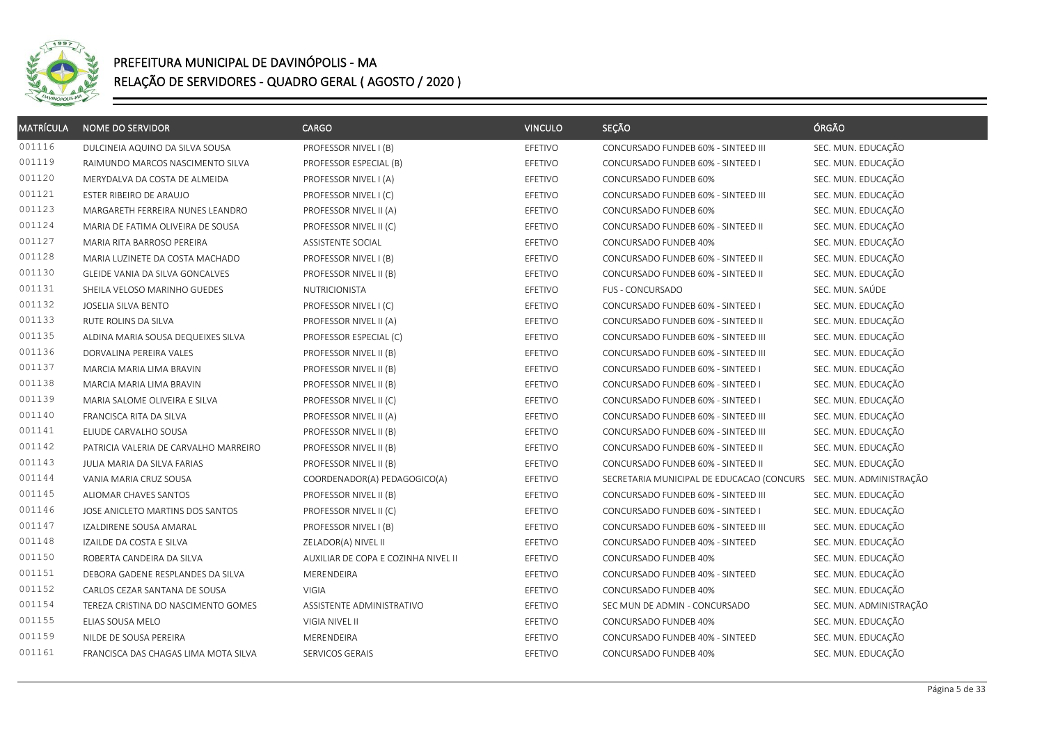

| <b>MATRÍCULA</b> | <b>NOME DO SERVIDOR</b>               | <b>CARGO</b>                        | <b>VINCULO</b> | SEÇÃO                                     | ÓRGÃO                   |
|------------------|---------------------------------------|-------------------------------------|----------------|-------------------------------------------|-------------------------|
| 001116           | DULCINEIA AQUINO DA SILVA SOUSA       | PROFESSOR NIVEL I (B)               | EFETIVO        | CONCURSADO FUNDEB 60% - SINTEED III       | SEC. MUN. EDUCAÇÃO      |
| 001119           | RAIMUNDO MARCOS NASCIMENTO SILVA      | PROFESSOR ESPECIAL (B)              | EFETIVO        | CONCURSADO FUNDEB 60% - SINTEED I         | SEC. MUN. EDUCAÇÃO      |
| 001120           | MERYDALVA DA COSTA DE ALMEIDA         | PROFESSOR NIVEL I (A)               | EFETIVO        | CONCURSADO FUNDEB 60%                     | SEC. MUN. EDUCAÇÃO      |
| 001121           | ESTER RIBEIRO DE ARAUJO               | PROFESSOR NIVEL I (C)               | EFETIVO        | CONCURSADO FUNDEB 60% - SINTEED III       | SEC. MUN. EDUCAÇÃO      |
| 001123           | MARGARETH FERREIRA NUNES LEANDRO      | PROFESSOR NIVEL II (A)              | EFETIVO        | CONCURSADO FUNDEB 60%                     | SEC. MUN. EDUCAÇÃO      |
| 001124           | MARIA DE FATIMA OLIVEIRA DE SOUSA     | PROFESSOR NIVEL II (C)              | EFETIVO        | CONCURSADO FUNDEB 60% - SINTEED II        | SEC. MUN. EDUCAÇÃO      |
| 001127           | MARIA RITA BARROSO PEREIRA            | ASSISTENTE SOCIAL                   | EFETIVO        | CONCURSADO FUNDEB 40%                     | SEC. MUN. EDUCAÇÃO      |
| 001128           | MARIA LUZINETE DA COSTA MACHADO       | PROFESSOR NIVEL I (B)               | EFETIVO        | CONCURSADO FUNDEB 60% - SINTEED II        | SEC. MUN. EDUCAÇÃO      |
| 001130           | GLEIDE VANIA DA SILVA GONCALVES       | PROFESSOR NIVEL II (B)              | EFETIVO        | CONCURSADO FUNDEB 60% - SINTEED II        | SEC. MUN. EDUCAÇÃO      |
| 001131           | SHEILA VELOSO MARINHO GUEDES          | NUTRICIONISTA                       | EFETIVO        | FUS - CONCURSADO                          | SEC. MUN. SAÚDE         |
| 001132           | JOSELIA SILVA BENTO                   | PROFESSOR NIVEL I (C)               | EFETIVO        | CONCURSADO FUNDEB 60% - SINTEED I         | SEC. MUN. EDUCAÇÃO      |
| 001133           | RUTE ROLINS DA SILVA                  | PROFESSOR NIVEL II (A)              | EFETIVO        | CONCURSADO FUNDEB 60% - SINTEED II        | SEC. MUN. EDUCAÇÃO      |
| 001135           | ALDINA MARIA SOUSA DEQUEIXES SILVA    | PROFESSOR ESPECIAL (C)              | EFETIVO        | CONCURSADO FUNDEB 60% - SINTEED III       | SEC. MUN. EDUCAÇÃO      |
| 001136           | DORVALINA PEREIRA VALES               | PROFESSOR NIVEL II (B)              | EFETIVO        | CONCURSADO FUNDEB 60% - SINTEED III       | SEC. MUN. EDUCAÇÃO      |
| 001137           | MARCIA MARIA LIMA BRAVIN              | PROFESSOR NIVEL II (B)              | EFETIVO        | CONCURSADO FUNDEB 60% - SINTEED I         | SEC. MUN. EDUCAÇÃO      |
| 001138           | MARCIA MARIA LIMA BRAVIN              | PROFESSOR NIVEL II (B)              | EFETIVO        | CONCURSADO FUNDEB 60% - SINTEED I         | SEC. MUN. EDUCAÇÃO      |
| 001139           | MARIA SALOME OLIVEIRA E SILVA         | PROFESSOR NIVEL II (C)              | EFETIVO        | CONCURSADO FUNDEB 60% - SINTEED I         | SEC. MUN. EDUCAÇÃO      |
| 001140           | FRANCISCA RITA DA SILVA               | PROFESSOR NIVEL II (A)              | EFETIVO        | CONCURSADO FUNDEB 60% - SINTEED III       | SEC. MUN. EDUCAÇÃO      |
| 001141           | ELIUDE CARVALHO SOUSA                 | PROFESSOR NIVEL II (B)              | EFETIVO        | CONCURSADO FUNDEB 60% - SINTEED III       | SEC. MUN. EDUCAÇÃO      |
| 001142           | PATRICIA VALERIA DE CARVALHO MARREIRO | PROFESSOR NIVEL II (B)              | EFETIVO        | CONCURSADO FUNDEB 60% - SINTEED II        | SEC. MUN. EDUCAÇÃO      |
| 001143           | JULIA MARIA DA SILVA FARIAS           | PROFESSOR NIVEL II (B)              | EFETIVO        | CONCURSADO FUNDEB 60% - SINTEED II        | SEC. MUN. EDUCAÇÃO      |
| 001144           | VANIA MARIA CRUZ SOUSA                | COORDENADOR(A) PEDAGOGICO(A)        | EFETIVO        | SECRETARIA MUNICIPAL DE EDUCACAO (CONCURS | SEC. MUN. ADMINISTRAÇÃO |
| 001145           | ALIOMAR CHAVES SANTOS                 | PROFESSOR NIVEL II (B)              | EFETIVO        | CONCURSADO FUNDEB 60% - SINTEED III       | SEC. MUN. EDUCAÇÃO      |
| 001146           | JOSE ANICLETO MARTINS DOS SANTOS      | PROFESSOR NIVEL II (C)              | EFETIVO        | CONCURSADO FUNDEB 60% - SINTEED I         | SEC. MUN. EDUCAÇÃO      |
| 001147           | IZALDIRENE SOUSA AMARAL               | PROFESSOR NIVEL I (B)               | EFETIVO        | CONCURSADO FUNDEB 60% - SINTEED III       | SEC. MUN. EDUCAÇÃO      |
| 001148           | IZAILDE DA COSTA E SILVA              | ZELADOR(A) NIVEL II                 | EFETIVO        | CONCURSADO FUNDEB 40% - SINTEED           | SEC. MUN. EDUCAÇÃO      |
| 001150           | ROBERTA CANDEIRA DA SILVA             | AUXILIAR DE COPA E COZINHA NIVEL II | EFETIVO        | CONCURSADO FUNDEB 40%                     | SEC. MUN. EDUCAÇÃO      |
| 001151           | DEBORA GADENE RESPLANDES DA SILVA     | MERENDEIRA                          | EFETIVO        | CONCURSADO FUNDEB 40% - SINTEED           | SEC. MUN. EDUCAÇÃO      |
| 001152           | CARLOS CEZAR SANTANA DE SOUSA         | VIGIA                               | EFETIVO        | CONCURSADO FUNDEB 40%                     | SEC. MUN. EDUCAÇÃO      |
| 001154           | TEREZA CRISTINA DO NASCIMENTO GOMES   | ASSISTENTE ADMINISTRATIVO           | EFETIVO        | SEC MUN DE ADMIN - CONCURSADO             | SEC. MUN. ADMINISTRAÇÃO |
| 001155           | ELIAS SOUSA MELO                      | VIGIA NIVEL II                      | EFETIVO        | CONCURSADO FUNDEB 40%                     | SEC. MUN. EDUCAÇÃO      |
| 001159           | NILDE DE SOUSA PEREIRA                | MERENDEIRA                          | EFETIVO        | CONCURSADO FUNDEB 40% - SINTEED           | SEC. MUN. EDUCAÇÃO      |
| 001161           | FRANCISCA DAS CHAGAS LIMA MOTA SILVA  | SERVICOS GERAIS                     | EFETIVO        | CONCURSADO FUNDEB 40%                     | SEC. MUN. EDUCAÇÃO      |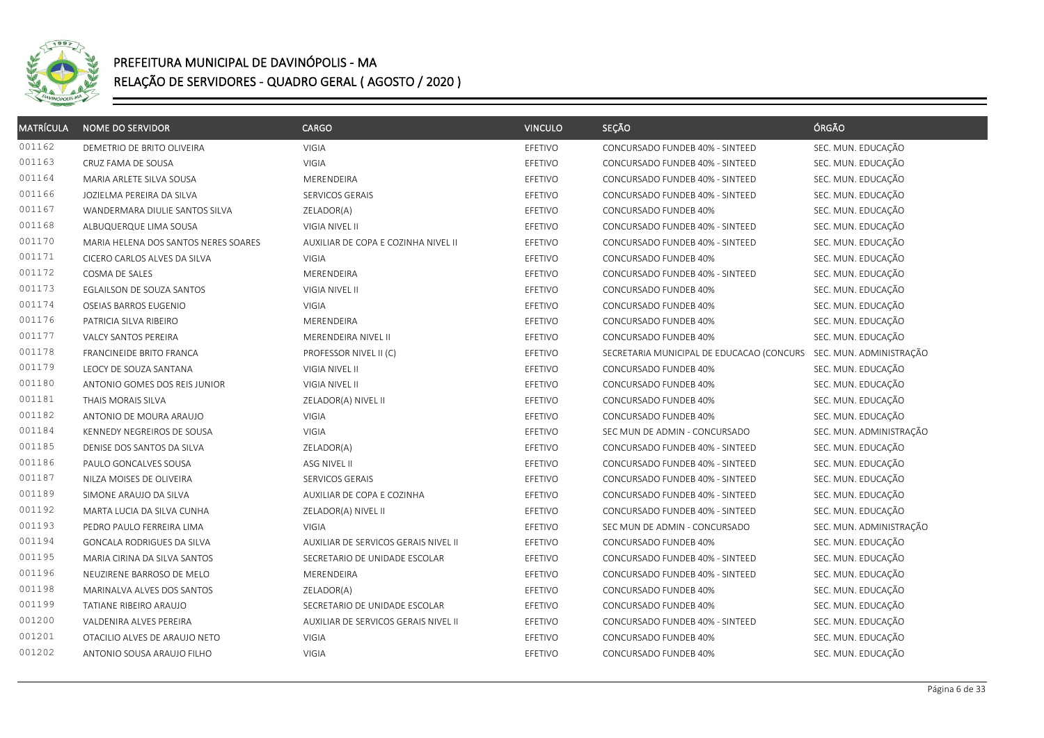

| <b>MATRÍCULA</b> | <b>NOME DO SERVIDOR</b>              | CARGO                                | <b>VINCULO</b> | SEÇÃO                                     | ÓRGÃO                   |
|------------------|--------------------------------------|--------------------------------------|----------------|-------------------------------------------|-------------------------|
| 001162           | DEMETRIO DE BRITO OLIVEIRA           | VIGIA                                | EFETIVO        | CONCURSADO FUNDEB 40% - SINTEED           | SEC. MUN. EDUCAÇÃO      |
| 001163           | CRUZ FAMA DE SOUSA                   | VIGIA                                | EFETIVO        | CONCURSADO FUNDEB 40% - SINTEED           | SEC. MUN. EDUCAÇÃO      |
| 001164           | MARIA ARLETE SILVA SOUSA             | MERENDEIRA                           | EFETIVO        | CONCURSADO FUNDEB 40% - SINTEED           | SEC. MUN. EDUCAÇÃO      |
| 001166           | JOZIELMA PEREIRA DA SILVA            | SERVICOS GERAIS                      | EFETIVO        | CONCURSADO FUNDEB 40% - SINTEED           | SEC. MUN. EDUCAÇÃO      |
| 001167           | WANDERMARA DIULIE SANTOS SILVA       | ZELADOR(A)                           | EFETIVO        | CONCURSADO FUNDEB 40%                     | SEC. MUN. EDUCAÇÃO      |
| 001168           | ALBUQUERQUE LIMA SOUSA               | VIGIA NIVEL II                       | EFETIVO        | CONCURSADO FUNDEB 40% - SINTEED           | SEC. MUN. EDUCAÇÃO      |
| 001170           | MARIA HELENA DOS SANTOS NERES SOARES | AUXILIAR DE COPA E COZINHA NIVEL II  | EFETIVO        | CONCURSADO FUNDEB 40% - SINTEED           | SEC. MUN. EDUCAÇÃO      |
| 001171           | CICERO CARLOS ALVES DA SILVA         | VIGIA                                | EFETIVO        | CONCURSADO FUNDEB 40%                     | SEC. MUN. EDUCAÇÃO      |
| 001172           | COSMA DE SALES                       | MERENDEIRA                           | EFETIVO        | CONCURSADO FUNDEB 40% - SINTEED           | SEC. MUN. EDUCAÇÃO      |
| 001173           | EGLAILSON DE SOUZA SANTOS            | VIGIA NIVEL II                       | EFETIVO        | CONCURSADO FUNDEB 40%                     | SEC. MUN. EDUCAÇÃO      |
| 001174           | OSEIAS BARROS EUGENIO                | VIGIA                                | EFETIVO        | CONCURSADO FUNDEB 40%                     | SEC. MUN. EDUCAÇÃO      |
| 001176           | PATRICIA SILVA RIBEIRO               | MERENDEIRA                           | EFETIVO        | CONCURSADO FUNDEB 40%                     | SEC. MUN. EDUCAÇÃO      |
| 001177           | VALCY SANTOS PEREIRA                 | MERENDEIRA NIVEL II                  | EFETIVO        | CONCURSADO FUNDEB 40%                     | SEC. MUN. EDUCAÇÃO      |
| 001178           | <b>FRANCINEIDE BRITO FRANCA</b>      | PROFESSOR NIVEL II (C)               | EFETIVO        | SECRETARIA MUNICIPAL DE EDUCACAO (CONCURS | SEC. MUN. ADMINISTRAÇÃO |
| 001179           | LEOCY DE SOUZA SANTANA               | VIGIA NIVEL II                       | EFETIVO        | CONCURSADO FUNDEB 40%                     | SEC. MUN. EDUCAÇÃO      |
| 001180           | ANTONIO GOMES DOS REIS JUNIOR        | VIGIA NIVEL II                       | EFETIVO        | CONCURSADO FUNDEB 40%                     | SEC. MUN. EDUCAÇÃO      |
| 001181           | THAIS MORAIS SILVA                   | ZELADOR(A) NIVEL II                  | EFETIVO        | CONCURSADO FUNDEB 40%                     | SEC. MUN. EDUCAÇÃO      |
| 001182           | ANTONIO DE MOURA ARAUJO              | VIGIA                                | EFETIVO        | CONCURSADO FUNDEB 40%                     | SEC. MUN. EDUCAÇÃO      |
| 001184           | KENNEDY NEGREIROS DE SOUSA           | <b>VIGIA</b>                         | EFETIVO        | SEC MUN DE ADMIN - CONCURSADO             | SEC. MUN. ADMINISTRAÇÃO |
| 001185           | DENISE DOS SANTOS DA SILVA           | ZELADOR(A)                           | EFETIVO        | CONCURSADO FUNDEB 40% - SINTEED           | SEC. MUN. EDUCAÇÃO      |
| 001186           | PAULO GONCALVES SOUSA                | ASG NIVEL II                         | EFETIVO        | CONCURSADO FUNDEB 40% - SINTEED           | SEC. MUN. EDUCAÇÃO      |
| 001187           | NILZA MOISES DE OLIVEIRA             | SERVICOS GERAIS                      | EFETIVO        | CONCURSADO FUNDEB 40% - SINTEED           | SEC. MUN. EDUCAÇÃO      |
| 001189           | SIMONE ARAUJO DA SILVA               | AUXILIAR DE COPA E COZINHA           | EFETIVO        | CONCURSADO FUNDEB 40% - SINTEED           | SEC. MUN. EDUCAÇÃO      |
| 001192           | MARTA LUCIA DA SILVA CUNHA           | ZELADOR(A) NIVEL II                  | EFETIVO        | CONCURSADO FUNDEB 40% - SINTEED           | SEC. MUN. EDUCAÇÃO      |
| 001193           | PEDRO PAULO FERREIRA LIMA            | <b>VIGIA</b>                         | EFETIVO        | SEC MUN DE ADMIN - CONCURSADO             | SEC. MUN. ADMINISTRAÇÃO |
| 001194           | GONCALA RODRIGUES DA SILVA           | AUXILIAR DE SERVICOS GERAIS NIVEL II | EFETIVO        | CONCURSADO FUNDEB 40%                     | SEC. MUN. EDUCAÇÃO      |
| 001195           | MARIA CIRINA DA SILVA SANTOS         | SECRETARIO DE UNIDADE ESCOLAR        | EFETIVO        | CONCURSADO FUNDEB 40% - SINTEED           | SEC. MUN. EDUCAÇÃO      |
| 001196           | NEUZIRENE BARROSO DE MELO            | MERENDEIRA                           | EFETIVO        | CONCURSADO FUNDEB 40% - SINTEED           | SEC. MUN. EDUCAÇÃO      |
| 001198           | MARINALVA ALVES DOS SANTOS           | ZELADOR(A)                           | EFETIVO        | CONCURSADO FUNDEB 40%                     | SEC. MUN. EDUCAÇÃO      |
| 001199           | TATIANE RIBEIRO ARAUJO               | SECRETARIO DE UNIDADE ESCOLAR        | EFETIVO        | CONCURSADO FUNDEB 40%                     | SEC. MUN. EDUCAÇÃO      |
| 001200           | VALDENIRA ALVES PEREIRA              | AUXILIAR DE SERVICOS GERAIS NIVEL II | EFETIVO        | CONCURSADO FUNDEB 40% - SINTEED           | SEC. MUN. EDUCAÇÃO      |
| 001201           | OTACILIO ALVES DE ARAUJO NETO        | VIGIA                                | EFETIVO        | CONCURSADO FUNDEB 40%                     | SEC. MUN. EDUCAÇÃO      |
| 001202           | ANTONIO SOUSA ARAUJO FILHO           | VIGIA                                | EFETIVO        | CONCURSADO FUNDEB 40%                     | SEC. MUN. EDUCAÇÃO      |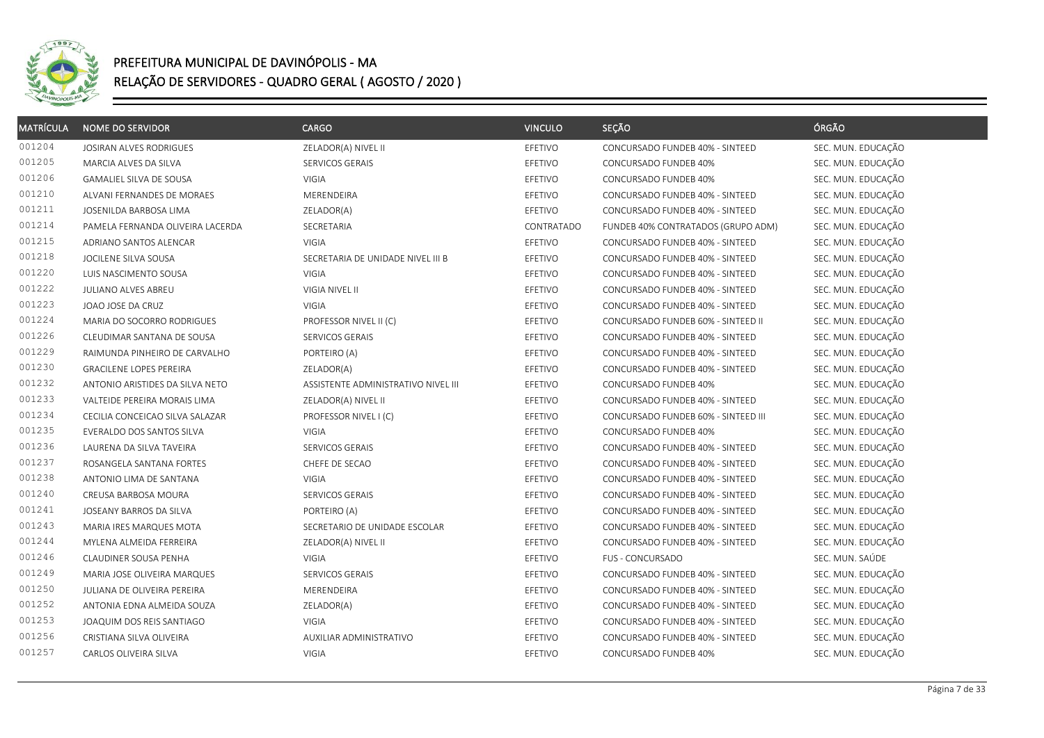

| <b>MATRÍCULA</b> | <b>NOME DO SERVIDOR</b>          | <b>CARGO</b>                        | <b>VINCULO</b> | SEÇÃO                               | ÓRGÃO              |
|------------------|----------------------------------|-------------------------------------|----------------|-------------------------------------|--------------------|
| 001204           | JOSIRAN ALVES RODRIGUES          | ZELADOR(A) NIVEL II                 | EFETIVO        | CONCURSADO FUNDEB 40% - SINTEED     | SEC. MUN. EDUCAÇÃO |
| 001205           | MARCIA ALVES DA SILVA            | SERVICOS GERAIS                     | EFETIVO        | CONCURSADO FUNDEB 40%               | SEC. MUN. EDUCAÇÃO |
| 001206           | GAMALIEL SILVA DE SOUSA          | VIGIA                               | EFETIVO        | CONCURSADO FUNDEB 40%               | SEC. MUN. EDUCAÇÃO |
| 001210           | ALVANI FERNANDES DE MORAES       | MERENDEIRA                          | EFETIVO        | CONCURSADO FUNDEB 40% - SINTEED     | SEC. MUN. EDUCAÇÃO |
| 001211           | JOSENILDA BARBOSA LIMA           | ZELADOR(A)                          | EFETIVO        | CONCURSADO FUNDEB 40% - SINTEED     | SEC. MUN. EDUCAÇÃO |
| 001214           | PAMELA FERNANDA OLIVEIRA LACERDA | SECRETARIA                          | CONTRATADO     | FUNDEB 40% CONTRATADOS (GRUPO ADM)  | SEC. MUN. EDUCAÇÃO |
| 001215           | ADRIANO SANTOS ALENCAR           | <b>VIGIA</b>                        | EFETIVO        | CONCURSADO FUNDEB 40% - SINTEED     | SEC. MUN. EDUCAÇÃO |
| 001218           | JOCILENE SILVA SOUSA             | SECRETARIA DE UNIDADE NIVEL III B   | EFETIVO        | CONCURSADO FUNDEB 40% - SINTEED     | SEC. MUN. EDUCAÇÃO |
| 001220           | LUIS NASCIMENTO SOUSA            | VIGIA                               | EFETIVO        | CONCURSADO FUNDEB 40% - SINTEED     | SEC. MUN. EDUCAÇÃO |
| 001222           | JULIANO ALVES ABREU              | VIGIA NIVEL II                      | EFETIVO        | CONCURSADO FUNDEB 40% - SINTEED     | SEC. MUN. EDUCAÇÃO |
| 001223           | JOAO JOSE DA CRUZ                | <b>VIGIA</b>                        | EFETIVO        | CONCURSADO FUNDEB 40% - SINTEED     | SEC. MUN. EDUCAÇÃO |
| 001224           | MARIA DO SOCORRO RODRIGUES       | PROFESSOR NIVEL II (C)              | EFETIVO        | CONCURSADO FUNDEB 60% - SINTEED II  | SEC. MUN. EDUCAÇÃO |
| 001226           | CLEUDIMAR SANTANA DE SOUSA       | SERVICOS GERAIS                     | EFETIVO        | CONCURSADO FUNDEB 40% - SINTEED     | SEC. MUN. EDUCAÇÃO |
| 001229           | RAIMUNDA PINHEIRO DE CARVALHO    | PORTEIRO (A)                        | EFETIVO        | CONCURSADO FUNDEB 40% - SINTEED     | SEC. MUN. EDUCAÇÃO |
| 001230           | <b>GRACILENE LOPES PEREIRA</b>   | ZELADOR(A)                          | EFETIVO        | CONCURSADO FUNDEB 40% - SINTEED     | SEC. MUN. EDUCAÇÃO |
| 001232           | ANTONIO ARISTIDES DA SILVA NETO  | ASSISTENTE ADMINISTRATIVO NIVEL III | EFETIVO        | CONCURSADO FUNDEB 40%               | SEC. MUN. EDUCAÇÃO |
| 001233           | VALTEIDE PEREIRA MORAIS LIMA     | ZELADOR(A) NIVEL II                 | EFETIVO        | CONCURSADO FUNDEB 40% - SINTEED     | SEC. MUN. EDUCAÇÃO |
| 001234           | CECILIA CONCEICAO SILVA SALAZAR  | PROFESSOR NIVEL I (C)               | EFETIVO        | CONCURSADO FUNDEB 60% - SINTEED III | SEC. MUN. EDUCAÇÃO |
| 001235           | EVERALDO DOS SANTOS SILVA        | VIGIA                               | EFETIVO        | CONCURSADO FUNDEB 40%               | SEC. MUN. EDUCAÇÃO |
| 001236           | LAURENA DA SILVA TAVEIRA         | SERVICOS GERAIS                     | EFETIVO        | CONCURSADO FUNDEB 40% - SINTEED     | SEC. MUN. EDUCAÇÃO |
| 001237           | ROSANGELA SANTANA FORTES         | CHEFE DE SECAO                      | EFETIVO        | CONCURSADO FUNDEB 40% - SINTEED     | SEC. MUN. EDUCAÇÃO |
| 001238           | ANTONIO LIMA DE SANTANA          | <b>VIGIA</b>                        | EFETIVO        | CONCURSADO FUNDEB 40% - SINTEED     | SEC. MUN. EDUCAÇÃO |
| 001240           | CREUSA BARBOSA MOURA             | SERVICOS GERAIS                     | EFETIVO        | CONCURSADO FUNDEB 40% - SINTEED     | SEC. MUN. EDUCAÇÃO |
| 001241           | JOSEANY BARROS DA SILVA          | PORTEIRO (A)                        | EFETIVO        | CONCURSADO FUNDEB 40% - SINTEED     | SEC. MUN. EDUCAÇÃO |
| 001243           | MARIA IRES MARQUES MOTA          | SECRETARIO DE UNIDADE ESCOLAR       | EFETIVO        | CONCURSADO FUNDEB 40% - SINTEED     | SEC. MUN. EDUCAÇÃO |
| 001244           | MYLENA ALMEIDA FERREIRA          | ZELADOR(A) NIVEL II                 | EFETIVO        | CONCURSADO FUNDEB 40% - SINTEED     | SEC. MUN. EDUCAÇÃO |
| 001246           | CLAUDINER SOUSA PENHA            | VIGIA                               | EFETIVO        | FUS - CONCURSADO                    | SEC. MUN. SAÚDE    |
| 001249           | MARIA JOSE OLIVEIRA MARQUES      | SERVICOS GERAIS                     | EFETIVO        | CONCURSADO FUNDEB 40% - SINTEED     | SEC. MUN. EDUCAÇÃO |
| 001250           | JULIANA DE OLIVEIRA PEREIRA      | MERENDEIRA                          | EFETIVO        | CONCURSADO FUNDEB 40% - SINTEED     | SEC. MUN. EDUCAÇÃO |
| 001252           | ANTONIA EDNA ALMEIDA SOUZA       | ZELADOR(A)                          | EFETIVO        | CONCURSADO FUNDEB 40% - SINTEED     | SEC. MUN. EDUCAÇÃO |
| 001253           | JOAQUIM DOS REIS SANTIAGO        | VIGIA                               | EFETIVO        | CONCURSADO FUNDEB 40% - SINTEED     | SEC. MUN. EDUCAÇÃO |
| 001256           | CRISTIANA SILVA OLIVEIRA         | <b>AUXILIAR ADMINISTRATIVO</b>      | EFETIVO        | CONCURSADO FUNDEB 40% - SINTEED     | SEC. MUN. EDUCAÇÃO |
| 001257           | CARLOS OLIVEIRA SILVA            | VIGIA                               | EFETIVO        | CONCURSADO FUNDEB 40%               | SEC. MUN. EDUCAÇÃO |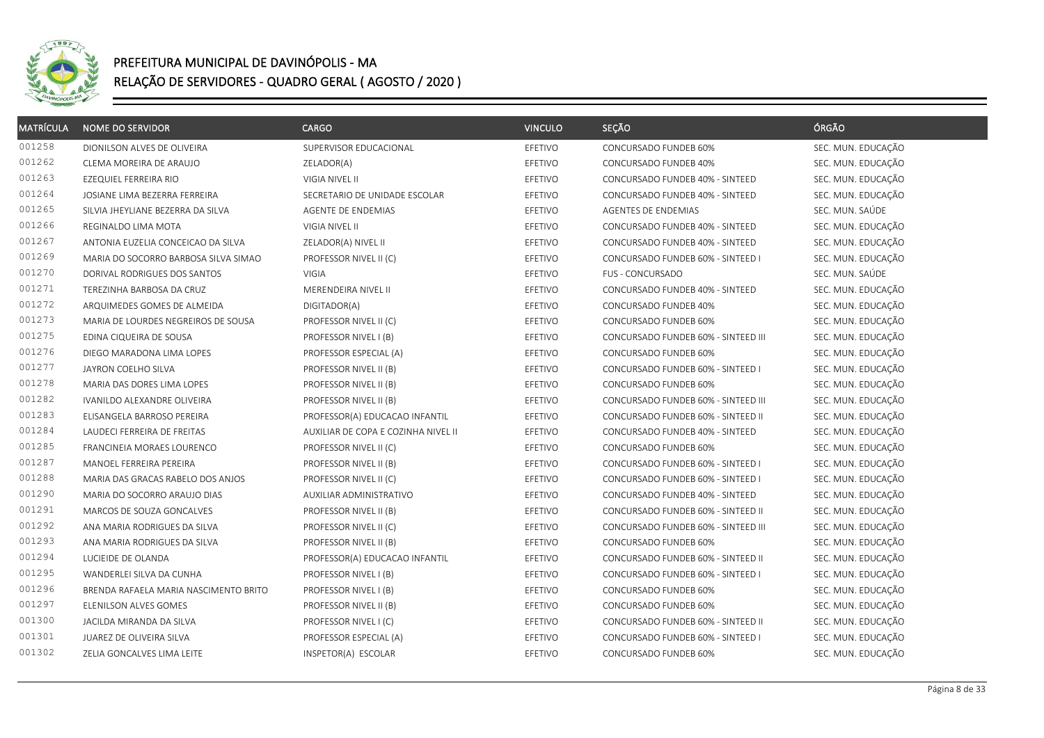

| <b>MATRÍCULA</b> | <b>NOME DO SERVIDOR</b>               | <b>CARGO</b>                        | <b>VINCULO</b> | SEÇÃO                               | ÓRGÃO              |
|------------------|---------------------------------------|-------------------------------------|----------------|-------------------------------------|--------------------|
| 001258           | DIONILSON ALVES DE OLIVEIRA           | SUPERVISOR EDUCACIONAL              | EFETIVO        | CONCURSADO FUNDEB 60%               | SEC. MUN. EDUCAÇÃO |
| 001262           | CLEMA MOREIRA DE ARAUJO               | ZELADOR(A)                          | EFETIVO        | CONCURSADO FUNDEB 40%               | SEC. MUN. EDUCAÇÃO |
| 001263           | EZEQUIEL FERREIRA RIO                 | VIGIA NIVEL II                      | EFETIVO        | CONCURSADO FUNDEB 40% - SINTEED     | SEC. MUN. EDUCAÇÃO |
| 001264           | JOSIANE LIMA BEZERRA FERREIRA         | SECRETARIO DE UNIDADE ESCOLAR       | EFETIVO        | CONCURSADO FUNDEB 40% - SINTEED     | SEC. MUN. EDUCAÇÃO |
| 001265           | SILVIA JHEYLIANE BEZERRA DA SILVA     | AGENTE DE ENDEMIAS                  | EFETIVO        | AGENTES DE ENDEMIAS                 | SEC. MUN. SAÚDE    |
| 001266           | REGINALDO LIMA MOTA                   | VIGIA NIVEL II                      | EFETIVO        | CONCURSADO FUNDEB 40% - SINTEED     | SEC. MUN. EDUCAÇÃO |
| 001267           | ANTONIA EUZELIA CONCEICAO DA SILVA    | ZELADOR(A) NIVEL II                 | EFETIVO        | CONCURSADO FUNDEB 40% - SINTEED     | SEC. MUN. EDUCAÇÃO |
| 001269           | MARIA DO SOCORRO BARBOSA SILVA SIMAO  | PROFESSOR NIVEL II (C)              | EFETIVO        | CONCURSADO FUNDEB 60% - SINTEED I   | SEC. MUN. EDUCAÇÃO |
| 001270           | DORIVAL RODRIGUES DOS SANTOS          | <b>VIGIA</b>                        | EFETIVO        | <b>FUS - CONCURSADO</b>             | SEC. MUN. SAÚDE    |
| 001271           | TEREZINHA BARBOSA DA CRUZ             | MERENDEIRA NIVEL II                 | EFETIVO        | CONCURSADO FUNDEB 40% - SINTEED     | SEC. MUN. EDUCAÇÃO |
| 001272           | ARQUIMEDES GOMES DE ALMEIDA           | DIGITADOR(A)                        | EFETIVO        | CONCURSADO FUNDEB 40%               | SEC. MUN. EDUCAÇÃO |
| 001273           | MARIA DE LOURDES NEGREIROS DE SOUSA   | PROFESSOR NIVEL II (C)              | EFETIVO        | CONCURSADO FUNDEB 60%               | SEC. MUN. EDUCAÇÃO |
| 001275           | EDINA CIQUEIRA DE SOUSA               | PROFESSOR NIVEL I (B)               | EFETIVO        | CONCURSADO FUNDEB 60% - SINTEED III | SEC. MUN. EDUCAÇÃO |
| 001276           | DIEGO MARADONA LIMA LOPES             | PROFESSOR ESPECIAL (A)              | EFETIVO        | CONCURSADO FUNDEB 60%               | SEC. MUN. EDUCAÇÃO |
| 001277           | JAYRON COELHO SILVA                   | PROFESSOR NIVEL II (B)              | EFETIVO        | CONCURSADO FUNDEB 60% - SINTEED I   | SEC. MUN. EDUCAÇÃO |
| 001278           | MARIA DAS DORES LIMA LOPES            | PROFESSOR NIVEL II (B)              | EFETIVO        | CONCURSADO FUNDEB 60%               | SEC. MUN. EDUCAÇÃO |
| 001282           | IVANILDO ALEXANDRE OLIVEIRA           | PROFESSOR NIVEL II (B)              | EFETIVO        | CONCURSADO FUNDEB 60% - SINTEED III | SEC. MUN. EDUCAÇÃO |
| 001283           | ELISANGELA BARROSO PEREIRA            | PROFESSOR(A) EDUCACAO INFANTIL      | EFETIVO        | CONCURSADO FUNDEB 60% - SINTEED II  | SEC. MUN. EDUCAÇÃO |
| 001284           | LAUDECI FERREIRA DE FREITAS           | AUXILIAR DE COPA E COZINHA NIVEL II | EFETIVO        | CONCURSADO FUNDEB 40% - SINTEED     | SEC. MUN. EDUCAÇÃO |
| 001285           | FRANCINEIA MORAES LOURENCO            | PROFESSOR NIVEL II (C)              | EFETIVO        | CONCURSADO FUNDEB 60%               | SEC. MUN. EDUCAÇÃO |
| 001287           | MANOEL FERREIRA PEREIRA               | PROFESSOR NIVEL II (B)              | EFETIVO        | CONCURSADO FUNDEB 60% - SINTEED I   | SEC. MUN. EDUCAÇÃO |
| 001288           | MARIA DAS GRACAS RABELO DOS ANJOS     | PROFESSOR NIVEL II (C)              | EFETIVO        | CONCURSADO FUNDEB 60% - SINTEED I   | SEC. MUN. EDUCAÇÃO |
| 001290           | MARIA DO SOCORRO ARAUJO DIAS          | AUXILIAR ADMINISTRATIVO             | EFETIVO        | CONCURSADO FUNDEB 40% - SINTEED     | SEC. MUN. EDUCAÇÃO |
| 001291           | MARCOS DE SOUZA GONCALVES             | PROFESSOR NIVEL II (B)              | EFETIVO        | CONCURSADO FUNDEB 60% - SINTEED II  | SEC. MUN. EDUCAÇÃO |
| 001292           | ANA MARIA RODRIGUES DA SILVA          | PROFESSOR NIVEL II (C)              | EFETIVO        | CONCURSADO FUNDEB 60% - SINTEED III | SEC. MUN. EDUCAÇÃO |
| 001293           | ANA MARIA RODRIGUES DA SILVA          | PROFESSOR NIVEL II (B)              | EFETIVO        | CONCURSADO FUNDEB 60%               | SEC. MUN. EDUCAÇÃO |
| 001294           | LUCIEIDE DE OLANDA                    | PROFESSOR(A) EDUCACAO INFANTIL      | EFETIVO        | CONCURSADO FUNDEB 60% - SINTEED II  | SEC. MUN. EDUCAÇÃO |
| 001295           | WANDERLEI SILVA DA CUNHA              | PROFESSOR NIVEL I (B)               | EFETIVO        | CONCURSADO FUNDEB 60% - SINTEED I   | SEC. MUN. EDUCAÇÃO |
| 001296           | BRENDA RAFAELA MARIA NASCIMENTO BRITO | PROFESSOR NIVEL I (B)               | EFETIVO        | CONCURSADO FUNDEB 60%               | SEC. MUN. EDUCAÇÃO |
| 001297           | ELENILSON ALVES GOMES                 | PROFESSOR NIVEL II (B)              | EFETIVO        | CONCURSADO FUNDEB 60%               | SEC. MUN. EDUCAÇÃO |
| 001300           | JACILDA MIRANDA DA SILVA              | PROFESSOR NIVEL I (C)               | EFETIVO        | CONCURSADO FUNDEB 60% - SINTEED II  | SEC. MUN. EDUCAÇÃO |
| 001301           | JUAREZ DE OLIVEIRA SILVA              | PROFESSOR ESPECIAL (A)              | EFETIVO        | CONCURSADO FUNDEB 60% - SINTEED I   | SEC. MUN. EDUCAÇÃO |
| 001302           | ZELIA GONCALVES LIMA LEITE            | INSPETOR(A) ESCOLAR                 | EFETIVO        | CONCURSADO FUNDEB 60%               | SEC. MUN. EDUCAÇÃO |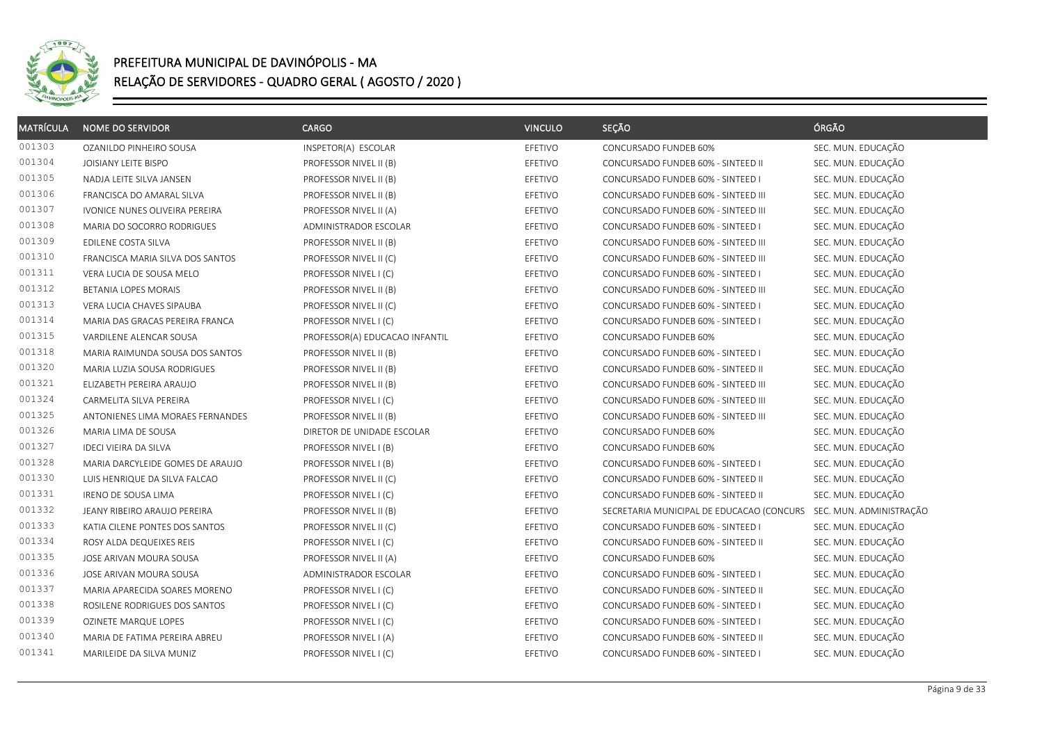

| <b>MATRÍCULA</b> | <b>NOME DO SERVIDOR</b>          | <b>CARGO</b>                   | <b>VINCULO</b> | SEÇÃO                                     | ÓRGÃO                   |
|------------------|----------------------------------|--------------------------------|----------------|-------------------------------------------|-------------------------|
| 001303           | OZANILDO PINHEIRO SOUSA          | INSPETOR(A) ESCOLAR            | EFETIVO        | CONCURSADO FUNDEB 60%                     | SEC. MUN. EDUCAÇÃO      |
| 001304           | JOISIANY LEITE BISPO             | PROFESSOR NIVEL II (B)         | EFETIVO        | CONCURSADO FUNDEB 60% - SINTEED II        | SEC. MUN. EDUCAÇÃO      |
| 001305           | NADJA LEITE SILVA JANSEN         | PROFESSOR NIVEL II (B)         | EFETIVO        | CONCURSADO FUNDEB 60% - SINTEED I         | SEC. MUN. EDUCAÇÃO      |
| 001306           | FRANCISCA DO AMARAL SILVA        | PROFESSOR NIVEL II (B)         | EFETIVO        | CONCURSADO FUNDEB 60% - SINTEED III       | SEC. MUN. EDUCAÇÃO      |
| 001307           | IVONICE NUNES OLIVEIRA PEREIRA   | PROFESSOR NIVEL II (A)         | EFETIVO        | CONCURSADO FUNDEB 60% - SINTEED III       | SEC. MUN. EDUCAÇÃO      |
| 001308           | MARIA DO SOCORRO RODRIGUES       | ADMINISTRADOR ESCOLAR          | EFETIVO        | CONCURSADO FUNDEB 60% - SINTEED I         | SEC. MUN. EDUCAÇÃO      |
| 001309           | EDILENE COSTA SILVA              | PROFESSOR NIVEL II (B)         | EFETIVO        | CONCURSADO FUNDEB 60% - SINTEED III       | SEC. MUN. EDUCAÇÃO      |
| 001310           | FRANCISCA MARIA SILVA DOS SANTOS | PROFESSOR NIVEL II (C)         | EFETIVO        | CONCURSADO FUNDEB 60% - SINTEED III       | SEC. MUN. EDUCAÇÃO      |
| 001311           | VERA LUCIA DE SOUSA MELO         | PROFESSOR NIVEL I (C)          | EFETIVO        | CONCURSADO FUNDEB 60% - SINTEED I         | SEC. MUN. EDUCAÇÃO      |
| 001312           | BETANIA LOPES MORAIS             | PROFESSOR NIVEL II (B)         | EFETIVO        | CONCURSADO FUNDEB 60% - SINTEED III       | SEC. MUN. EDUCAÇÃO      |
| 001313           | VERA LUCIA CHAVES SIPAUBA        | PROFESSOR NIVEL II (C)         | EFETIVO        | CONCURSADO FUNDEB 60% - SINTEED I         | SEC. MUN. EDUCAÇÃO      |
| 001314           | MARIA DAS GRACAS PEREIRA FRANCA  | PROFESSOR NIVEL I (C)          | EFETIVO        | CONCURSADO FUNDEB 60% - SINTEED I         | SEC. MUN. EDUCAÇÃO      |
| 001315           | VARDILENE ALENCAR SOUSA          | PROFESSOR(A) EDUCACAO INFANTIL | EFETIVO        | CONCURSADO FUNDEB 60%                     | SEC. MUN. EDUCAÇÃO      |
| 001318           | MARIA RAIMUNDA SOUSA DOS SANTOS  | PROFESSOR NIVEL II (B)         | EFETIVO        | CONCURSADO FUNDEB 60% - SINTEED I         | SEC. MUN. EDUCAÇÃO      |
| 001320           | MARIA LUZIA SOUSA RODRIGUES      | PROFESSOR NIVEL II (B)         | EFETIVO        | CONCURSADO FUNDEB 60% - SINTEED II        | SEC. MUN. EDUCAÇÃO      |
| 001321           | ELIZABETH PEREIRA ARAUJO         | PROFESSOR NIVEL II (B)         | EFETIVO        | CONCURSADO FUNDEB 60% - SINTEED III       | SEC. MUN. EDUCAÇÃO      |
| 001324           | CARMELITA SILVA PEREIRA          | PROFESSOR NIVEL I (C)          | EFETIVO        | CONCURSADO FUNDEB 60% - SINTEED III       | SEC. MUN. EDUCAÇÃO      |
| 001325           | ANTONIENES LIMA MORAES FERNANDES | PROFESSOR NIVEL II (B)         | EFETIVO        | CONCURSADO FUNDEB 60% - SINTEED III       | SEC. MUN. EDUCAÇÃO      |
| 001326           | MARIA LIMA DE SOUSA              | DIRETOR DE UNIDADE ESCOLAR     | EFETIVO        | CONCURSADO FUNDEB 60%                     | SEC. MUN. EDUCAÇÃO      |
| 001327           | <b>IDECI VIEIRA DA SILVA</b>     | PROFESSOR NIVEL I (B)          | EFETIVO        | CONCURSADO FUNDEB 60%                     | SEC. MUN. EDUCAÇÃO      |
| 001328           | MARIA DARCYLEIDE GOMES DE ARAUJO | PROFESSOR NIVEL I (B)          | EFETIVO        | CONCURSADO FUNDEB 60% - SINTEED I         | SEC. MUN. EDUCAÇÃO      |
| 001330           | LUIS HENRIQUE DA SILVA FALCAO    | PROFESSOR NIVEL II (C)         | EFETIVO        | CONCURSADO FUNDEB 60% - SINTEED II        | SEC. MUN. EDUCAÇÃO      |
| 001331           | IRENO DE SOUSA LIMA              | PROFESSOR NIVEL I (C)          | EFETIVO        | CONCURSADO FUNDEB 60% - SINTEED II        | SEC. MUN. EDUCAÇÃO      |
| 001332           | JEANY RIBEIRO ARAUJO PEREIRA     | PROFESSOR NIVEL II (B)         | EFETIVO        | SECRETARIA MUNICIPAL DE EDUCACAO (CONCURS | SEC. MUN. ADMINISTRAÇÃO |
| 001333           | KATIA CILENE PONTES DOS SANTOS   | PROFESSOR NIVEL II (C)         | EFETIVO        | CONCURSADO FUNDEB 60% - SINTEED I         | SEC. MUN. EDUCAÇÃO      |
| 001334           | ROSY ALDA DEQUEIXES REIS         | PROFESSOR NIVEL I (C)          | EFETIVO        | CONCURSADO FUNDEB 60% - SINTEED II        | SEC. MUN. EDUCAÇÃO      |
| 001335           | JOSE ARIVAN MOURA SOUSA          | PROFESSOR NIVEL II (A)         | EFETIVO        | CONCURSADO FUNDEB 60%                     | SEC. MUN. EDUCAÇÃO      |
| 001336           | JOSE ARIVAN MOURA SOUSA          | ADMINISTRADOR ESCOLAR          | EFETIVO        | CONCURSADO FUNDEB 60% - SINTEED I         | SEC. MUN. EDUCAÇÃO      |
| 001337           | MARIA APARECIDA SOARES MORENO    | PROFESSOR NIVEL I (C)          | EFETIVO        | CONCURSADO FUNDEB 60% - SINTEED II        | SEC. MUN. EDUCAÇÃO      |
| 001338           | ROSILENE RODRIGUES DOS SANTOS    | PROFESSOR NIVEL I (C)          | EFETIVO        | CONCURSADO FUNDEB 60% - SINTEED I         | SEC. MUN. EDUCAÇÃO      |
| 001339           | OZINETE MARQUE LOPES             | PROFESSOR NIVEL I (C)          | EFETIVO        | CONCURSADO FUNDEB 60% - SINTEED I         | SEC. MUN. EDUCAÇÃO      |
| 001340           | MARIA DE FATIMA PEREIRA ABREU    | PROFESSOR NIVEL I (A)          | EFETIVO        | CONCURSADO FUNDEB 60% - SINTEED II        | SEC. MUN. EDUCAÇÃO      |
| 001341           | MARILEIDE DA SILVA MUNIZ         | PROFESSOR NIVEL I (C)          | EFETIVO        | CONCURSADO FUNDEB 60% - SINTEED I         | SEC. MUN. EDUCAÇÃO      |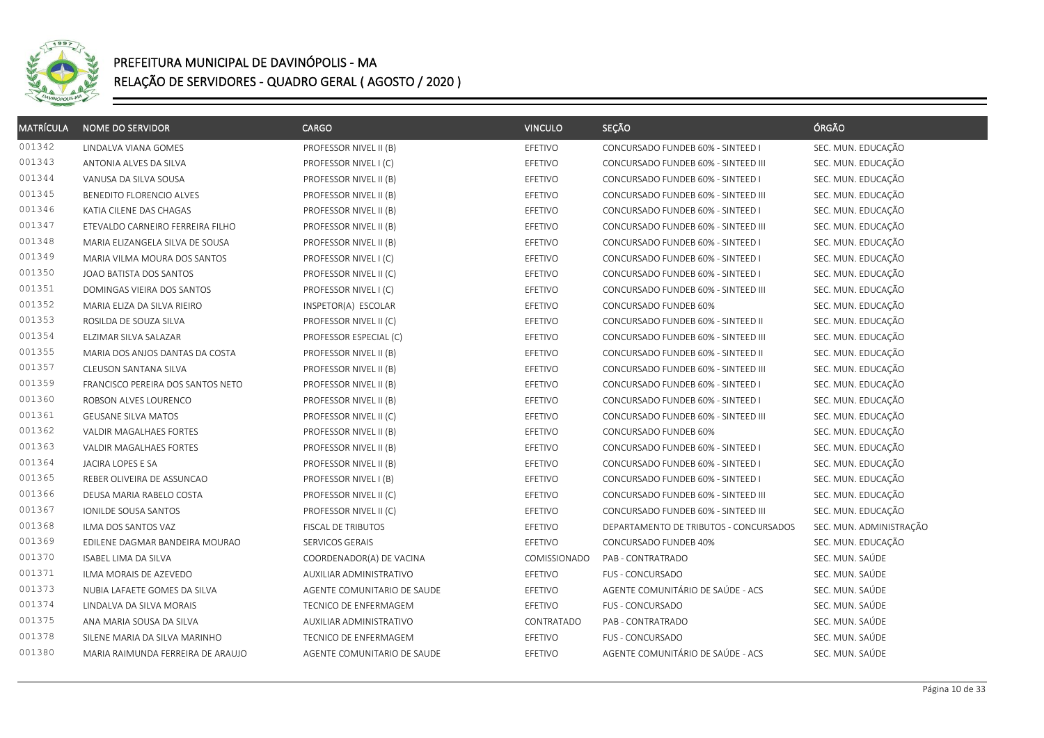

| <b>MATRÍCULA</b> | <b>NOME DO SERVIDOR</b>           | CARGO                       | <b>VINCULO</b> | SEÇÃO                                  | ÓRGÃO                   |
|------------------|-----------------------------------|-----------------------------|----------------|----------------------------------------|-------------------------|
| 001342           | LINDALVA VIANA GOMES              | PROFESSOR NIVEL II (B)      | EFETIVO        | CONCURSADO FUNDEB 60% - SINTEED I      | SEC. MUN. EDUCAÇÃO      |
| 001343           | ANTONIA ALVES DA SILVA            | PROFESSOR NIVEL I (C)       | EFETIVO        | CONCURSADO FUNDEB 60% - SINTEED III    | SEC. MUN. EDUCAÇÃO      |
| 001344           | VANUSA DA SILVA SOUSA             | PROFESSOR NIVEL II (B)      | EFETIVO        | CONCURSADO FUNDEB 60% - SINTEED I      | SEC. MUN. EDUCAÇÃO      |
| 001345           | BENEDITO FLORENCIO ALVES          | PROFESSOR NIVEL II (B)      | EFETIVO        | CONCURSADO FUNDEB 60% - SINTEED III    | SEC. MUN. EDUCAÇÃO      |
| 001346           | KATIA CILENE DAS CHAGAS           | PROFESSOR NIVEL II (B)      | EFETIVO        | CONCURSADO FUNDEB 60% - SINTEED I      | SEC. MUN. EDUCAÇÃO      |
| 001347           | ETEVALDO CARNEIRO FERREIRA FILHO  | PROFESSOR NIVEL II (B)      | EFETIVO        | CONCURSADO FUNDEB 60% - SINTEED III    | SEC. MUN. EDUCAÇÃO      |
| 001348           | MARIA ELIZANGELA SILVA DE SOUSA   | PROFESSOR NIVEL II (B)      | EFETIVO        | CONCURSADO FUNDEB 60% - SINTEED I      | SEC. MUN. EDUCAÇÃO      |
| 001349           | MARIA VILMA MOURA DOS SANTOS      | PROFESSOR NIVEL I (C)       | EFETIVO        | CONCURSADO FUNDEB 60% - SINTEED I      | SEC. MUN. EDUCAÇÃO      |
| 001350           | JOAO BATISTA DOS SANTOS           | PROFESSOR NIVEL II (C)      | EFETIVO        | CONCURSADO FUNDEB 60% - SINTEED I      | SEC. MUN. EDUCAÇÃO      |
| 001351           | DOMINGAS VIEIRA DOS SANTOS        | PROFESSOR NIVEL I (C)       | EFETIVO        | CONCURSADO FUNDEB 60% - SINTEED III    | SEC. MUN. EDUCAÇÃO      |
| 001352           | MARIA ELIZA DA SILVA RIEIRO       | INSPETOR(A) ESCOLAR         | EFETIVO        | CONCURSADO FUNDEB 60%                  | SEC. MUN. EDUCAÇÃO      |
| 001353           | ROSILDA DE SOUZA SILVA            | PROFESSOR NIVEL II (C)      | EFETIVO        | CONCURSADO FUNDEB 60% - SINTEED II     | SEC. MUN. EDUCAÇÃO      |
| 001354           | ELZIMAR SILVA SALAZAR             | PROFESSOR ESPECIAL (C)      | EFETIVO        | CONCURSADO FUNDEB 60% - SINTEED III    | SEC. MUN. EDUCAÇÃO      |
| 001355           | MARIA DOS ANJOS DANTAS DA COSTA   | PROFESSOR NIVEL II (B)      | EFETIVO        | CONCURSADO FUNDEB 60% - SINTEED II     | SEC. MUN. EDUCAÇÃO      |
| 001357           | CLEUSON SANTANA SILVA             | PROFESSOR NIVEL II (B)      | EFETIVO        | CONCURSADO FUNDEB 60% - SINTEED III    | SEC. MUN. EDUCAÇÃO      |
| 001359           | FRANCISCO PEREIRA DOS SANTOS NETO | PROFESSOR NIVEL II (B)      | EFETIVO        | CONCURSADO FUNDEB 60% - SINTEED I      | SEC. MUN. EDUCAÇÃO      |
| 001360           | ROBSON ALVES LOURENCO             | PROFESSOR NIVEL II (B)      | EFETIVO        | CONCURSADO FUNDEB 60% - SINTEED I      | SEC. MUN. EDUCAÇÃO      |
| 001361           | <b>GEUSANE SILVA MATOS</b>        | PROFESSOR NIVEL II (C)      | EFETIVO        | CONCURSADO FUNDEB 60% - SINTEED III    | SEC. MUN. EDUCAÇÃO      |
| 001362           | VALDIR MAGALHAES FORTES           | PROFESSOR NIVEL II (B)      | EFETIVO        | CONCURSADO FUNDEB 60%                  | SEC. MUN. EDUCAÇÃO      |
| 001363           | VALDIR MAGALHAES FORTES           | PROFESSOR NIVEL II (B)      | EFETIVO        | CONCURSADO FUNDEB 60% - SINTEED I      | SEC. MUN. EDUCAÇÃO      |
| 001364           | JACIRA LOPES E SA                 | PROFESSOR NIVEL II (B)      | EFETIVO        | CONCURSADO FUNDEB 60% - SINTEED I      | SEC. MUN. EDUCAÇÃO      |
| 001365           | REBER OLIVEIRA DE ASSUNCAO        | PROFESSOR NIVEL I (B)       | EFETIVO        | CONCURSADO FUNDEB 60% - SINTEED I      | SEC. MUN. EDUCAÇÃO      |
| 001366           | DEUSA MARIA RABELO COSTA          | PROFESSOR NIVEL II (C)      | EFETIVO        | CONCURSADO FUNDEB 60% - SINTEED III    | SEC. MUN. EDUCAÇÃO      |
| 001367           | IONILDE SOUSA SANTOS              | PROFESSOR NIVEL II (C)      | EFETIVO        | CONCURSADO FUNDEB 60% - SINTEED III    | SEC. MUN. EDUCAÇÃO      |
| 001368           | ILMA DOS SANTOS VAZ               | FISCAL DE TRIBUTOS          | EFETIVO        | DEPARTAMENTO DE TRIBUTOS - CONCURSADOS | SEC. MUN. ADMINISTRAÇÃO |
| 001369           | EDILENE DAGMAR BANDEIRA MOURAO    | SERVICOS GERAIS             | EFETIVO        | CONCURSADO FUNDEB 40%                  | SEC. MUN. EDUCAÇÃO      |
| 001370           | <b>ISABEL LIMA DA SILVA</b>       | COORDENADOR(A) DE VACINA    | COMISSIONADO   | PAB - CONTRATRADO                      | SEC. MUN. SAÚDE         |
| 001371           | ILMA MORAIS DE AZEVEDO            | AUXILIAR ADMINISTRATIVO     | EFETIVO        | FUS - CONCURSADO                       | SEC. MUN. SAÚDE         |
| 001373           | NUBIA LAFAETE GOMES DA SILVA      | AGENTE COMUNITARIO DE SAUDE | EFETIVO        | AGENTE COMUNITÁRIO DE SAÚDE - ACS      | SEC. MUN. SAÚDE         |
| 001374           | LINDALVA DA SILVA MORAIS          | TECNICO DE ENFERMAGEM       | EFETIVO        | <b>FUS - CONCURSADO</b>                | SEC. MUN. SAÚDE         |
| 001375           | ANA MARIA SOUSA DA SILVA          | AUXILIAR ADMINISTRATIVO     | CONTRATADO     | PAB - CONTRATRADO                      | SEC. MUN. SAÚDE         |
| 001378           | SILENE MARIA DA SILVA MARINHO     | TECNICO DE ENFERMAGEM       | EFETIVO        | FUS - CONCURSADO                       | SEC. MUN. SAÚDE         |
| 001380           | MARIA RAIMUNDA FERREIRA DE ARAUJO | AGENTE COMUNITARIO DE SAUDE | EFETIVO        | AGENTE COMUNITÁRIO DE SAÚDE - ACS      | SEC. MUN. SAÚDE         |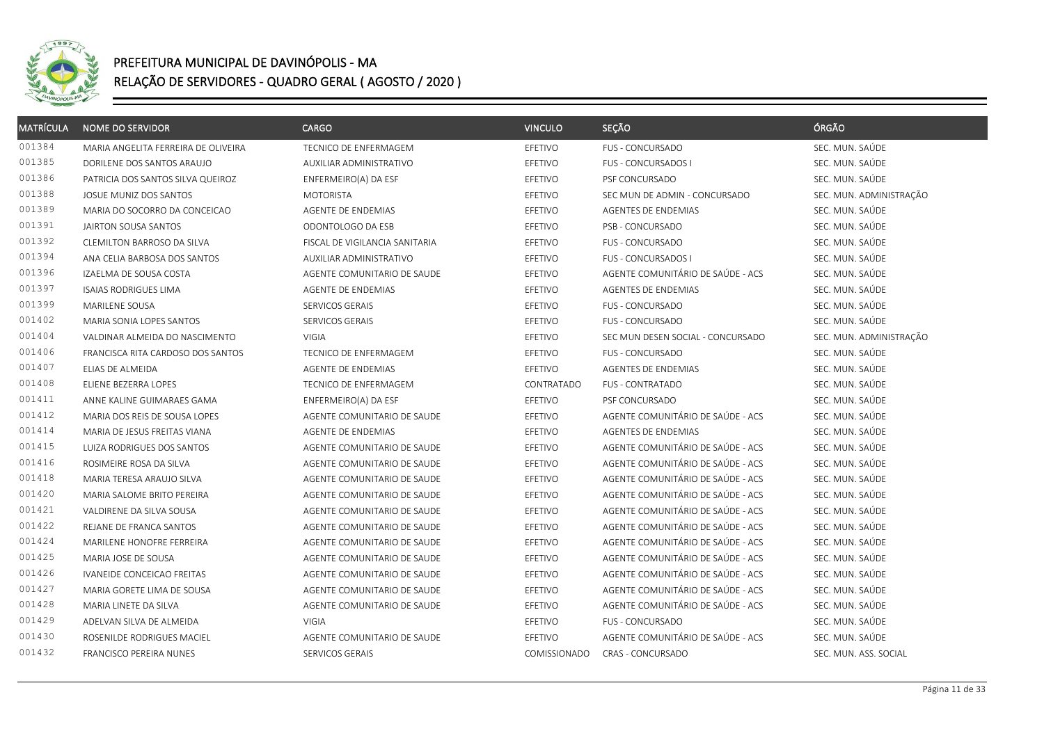

| <b>MATRÍCULA</b> | <b>NOME DO SERVIDOR</b>             | <b>CARGO</b>                   | <b>VINCULO</b> | SEÇÃO                             | ÓRGÃO                   |
|------------------|-------------------------------------|--------------------------------|----------------|-----------------------------------|-------------------------|
| 001384           | MARIA ANGELITA FERREIRA DE OLIVEIRA | TECNICO DE ENFERMAGEM          | <b>EFETIVO</b> | <b>FUS - CONCURSADO</b>           | SEC. MUN. SAÚDE         |
| 001385           | DORILENE DOS SANTOS ARAUJO          | AUXILIAR ADMINISTRATIVO        | EFETIVO        | <b>FUS - CONCURSADOS I</b>        | SEC. MUN. SAÚDE         |
| 001386           | PATRICIA DOS SANTOS SILVA QUEIROZ   | ENFERMEIRO(A) DA ESF           | EFETIVO        | PSF CONCURSADO                    | SEC. MUN. SAÚDE         |
| 001388           | JOSUE MUNIZ DOS SANTOS              | <b>MOTORISTA</b>               | EFETIVO        | SEC MUN DE ADMIN - CONCURSADO     | SEC. MUN. ADMINISTRAÇÃO |
| 001389           | MARIA DO SOCORRO DA CONCEICAO       | <b>AGENTE DE ENDEMIAS</b>      | EFETIVO        | <b>AGENTES DE ENDEMIAS</b>        | SEC. MUN. SAÚDE         |
| 001391           | <b>JAIRTON SOUSA SANTOS</b>         | ODONTOLOGO DA ESB              | EFETIVO        | PSB - CONCURSADO                  | SEC. MUN. SAÚDE         |
| 001392           | CLEMILTON BARROSO DA SILVA          | FISCAL DE VIGILANCIA SANITARIA | EFETIVO        | <b>FUS - CONCURSADO</b>           | SEC. MUN. SAÚDE         |
| 001394           | ANA CELIA BARBOSA DOS SANTOS        | AUXILIAR ADMINISTRATIVO        | EFETIVO        | FUS - CONCURSADOS I               | SEC. MUN. SAÚDE         |
| 001396           | IZAELMA DE SOUSA COSTA              | AGENTE COMUNITARIO DE SAUDE    | EFETIVO        | AGENTE COMUNITÁRIO DE SAÚDE - ACS | SEC. MUN. SAÚDE         |
| 001397           | <b>ISAIAS RODRIGUES LIMA</b>        | AGENTE DE ENDEMIAS             | EFETIVO        | AGENTES DE ENDEMIAS               | SEC. MUN. SAÚDE         |
| 001399           | MARILENE SOUSA                      | SERVICOS GERAIS                | EFETIVO        | <b>FUS - CONCURSADO</b>           | SEC. MUN. SAÚDE         |
| 001402           | MARIA SONIA LOPES SANTOS            | SERVICOS GERAIS                | EFETIVO        | FUS - CONCURSADO                  | SEC. MUN. SAÚDE         |
| 001404           | VALDINAR ALMEIDA DO NASCIMENTO      | VIGIA                          | EFETIVO        | SEC MUN DESEN SOCIAL - CONCURSADO | SEC. MUN. ADMINISTRAÇÃO |
| 001406           | FRANCISCA RITA CARDOSO DOS SANTOS   | TECNICO DE ENFERMAGEM          | EFETIVO        | <b>FUS - CONCURSADO</b>           | SEC. MUN. SAÚDE         |
| 001407           | ELIAS DE ALMEIDA                    | AGENTE DE ENDEMIAS             | EFETIVO        | AGENTES DE ENDEMIAS               | SEC. MUN. SAÚDE         |
| 001408           | ELIENE BEZERRA LOPES                | TECNICO DE ENFERMAGEM          | CONTRATADO     | <b>FUS - CONTRATADO</b>           | SEC. MUN. SAÚDE         |
| 001411           | ANNE KALINE GUIMARAES GAMA          | ENFERMEIRO(A) DA ESF           | EFETIVO        | PSF CONCURSADO                    | SEC. MUN. SAÚDE         |
| 001412           | MARIA DOS REIS DE SOUSA LOPES       | AGENTE COMUNITARIO DE SAUDE    | EFETIVO        | AGENTE COMUNITÁRIO DE SAÚDE - ACS | SEC. MUN. SAÚDE         |
| 001414           | MARIA DE JESUS FREITAS VIANA        | AGENTE DE ENDEMIAS             | EFETIVO        | <b>AGENTES DE ENDEMIAS</b>        | SEC. MUN. SAÚDE         |
| 001415           | LUIZA RODRIGUES DOS SANTOS          | AGENTE COMUNITARIO DE SAUDE    | EFETIVO        | AGENTE COMUNITÁRIO DE SAÚDE - ACS | SEC. MUN. SAÚDE         |
| 001416           | ROSIMEIRE ROSA DA SILVA             | AGENTE COMUNITARIO DE SAUDE    | EFETIVO        | AGENTE COMUNITÁRIO DE SAÚDE - ACS | SEC. MUN. SAÚDE         |
| 001418           | MARIA TERESA ARAUJO SILVA           | AGENTE COMUNITARIO DE SAUDE    | EFETIVO        | AGENTE COMUNITÁRIO DE SAÚDE - ACS | SEC. MUN. SAÚDE         |
| 001420           | MARIA SALOME BRITO PEREIRA          | AGENTE COMUNITARIO DE SAUDE    | EFETIVO        | AGENTE COMUNITÁRIO DE SAÚDE - ACS | SEC. MUN. SAÚDE         |
| 001421           | VALDIRENE DA SILVA SOUSA            | AGENTE COMUNITARIO DE SAUDE    | EFETIVO        | AGENTE COMUNITÁRIO DE SAÚDE - ACS | SEC. MUN. SAÚDE         |
| 001422           | REJANE DE FRANCA SANTOS             | AGENTE COMUNITARIO DE SAUDE    | EFETIVO        | AGENTE COMUNITÁRIO DE SAÚDE - ACS | SEC. MUN. SAÚDE         |
| 001424           | MARILENE HONOFRE FERREIRA           | AGENTE COMUNITARIO DE SAUDE    | EFETIVO        | AGENTE COMUNITÁRIO DE SAÚDE - ACS | SEC. MUN. SAÚDE         |
| 001425           | MARIA JOSE DE SOUSA                 | AGENTE COMUNITARIO DE SAUDE    | EFETIVO        | AGENTE COMUNITÁRIO DE SAÚDE - ACS | SEC. MUN. SAÚDE         |
| 001426           | <b>IVANEIDE CONCEICAO FREITAS</b>   | AGENTE COMUNITARIO DE SAUDE    | EFETIVO        | AGENTE COMUNITÁRIO DE SAÚDE - ACS | SEC. MUN. SAÚDE         |
| 001427           | MARIA GORETE LIMA DE SOUSA          | AGENTE COMUNITARIO DE SAUDE    | EFETIVO        | AGENTE COMUNITÁRIO DE SAÚDE - ACS | SEC. MUN. SAÚDE         |
| 001428           | MARIA LINETE DA SILVA               | AGENTE COMUNITARIO DE SAUDE    | EFETIVO        | AGENTE COMUNITÁRIO DE SAÚDE - ACS | SEC. MUN. SAÚDE         |
| 001429           | ADELVAN SILVA DE ALMEIDA            | <b>VIGIA</b>                   | EFETIVO        | <b>FUS - CONCURSADO</b>           | SEC. MUN. SAÚDE         |
| 001430           | ROSENILDE RODRIGUES MACIEL          | AGENTE COMUNITARIO DE SAUDE    | EFETIVO        | AGENTE COMUNITÁRIO DE SAÚDE - ACS | SEC. MUN. SAÚDE         |
| 001432           | FRANCISCO PEREIRA NUNES             | SERVICOS GERAIS                | COMISSIONADO   | CRAS - CONCURSADO                 | SEC. MUN. ASS. SOCIAL   |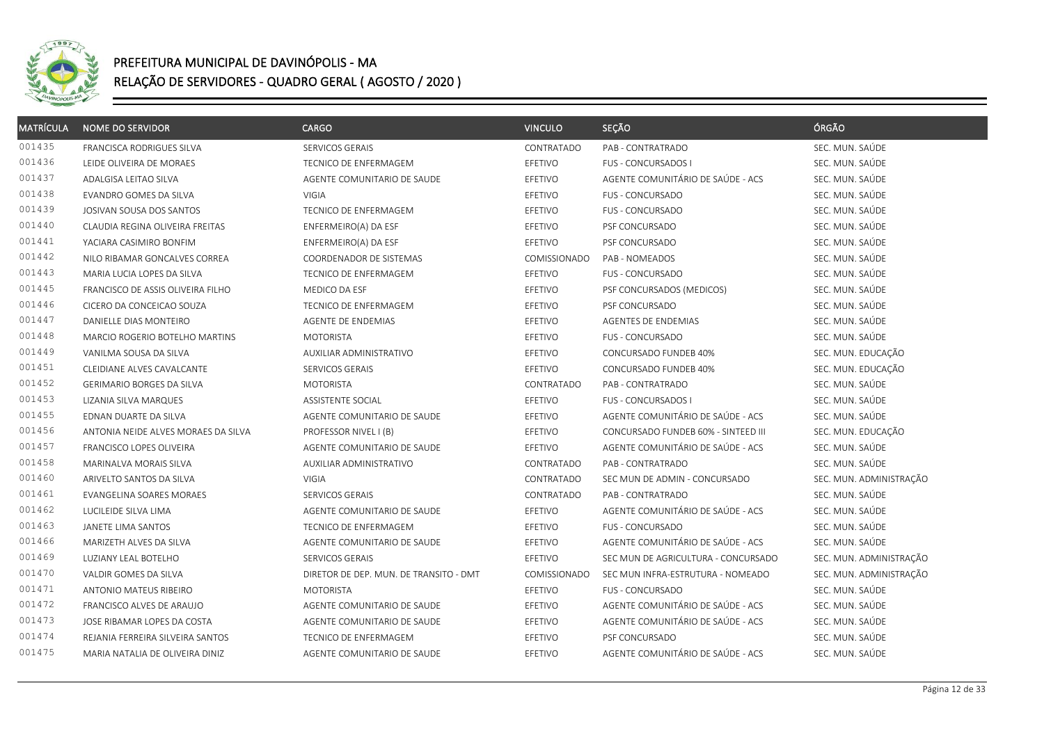

| <b>MATRÍCULA</b> | <b>NOME DO SERVIDOR</b>             | CARGO                                  | <b>VINCULO</b> | SEÇÃO                               | ÓRGÃO                   |
|------------------|-------------------------------------|----------------------------------------|----------------|-------------------------------------|-------------------------|
| 001435           | <b>FRANCISCA RODRIGUES SILVA</b>    | SERVICOS GERAIS                        | CONTRATADO     | PAB - CONTRATRADO                   | SEC. MUN. SAÚDE         |
| 001436           | LEIDE OLIVEIRA DE MORAES            | TECNICO DE ENFERMAGEM                  | EFETIVO        | FUS - CONCURSADOS I                 | SEC. MUN. SAÚDE         |
| 001437           | ADALGISA LEITAO SILVA               | AGENTE COMUNITARIO DE SAUDE            | EFETIVO        | AGENTE COMUNITÁRIO DE SAÚDE - ACS   | SEC. MUN. SAÚDE         |
| 001438           | EVANDRO GOMES DA SILVA              | VIGIA                                  | EFETIVO        | FUS - CONCURSADO                    | SEC. MUN. SAÚDE         |
| 001439           | JOSIVAN SOUSA DOS SANTOS            | TECNICO DE ENFERMAGEM                  | EFETIVO        | <b>FUS - CONCURSADO</b>             | SEC. MUN. SAÚDE         |
| 001440           |                                     |                                        |                |                                     | SEC. MUN. SAÚDE         |
| 001441           | CLAUDIA REGINA OLIVEIRA FREITAS     | ENFERMEIRO(A) DA ESF                   | EFETIVO        | PSF CONCURSADO                      | SEC. MUN. SAÚDE         |
| 001442           | YACIARA CASIMIRO BONFIM             | ENFERMEIRO(A) DA ESF                   | EFETIVO        | PSF CONCURSADO                      |                         |
|                  | NILO RIBAMAR GONCALVES CORREA       | COORDENADOR DE SISTEMAS                | COMISSIONADO   | PAB - NOMEADOS                      | SEC. MUN. SAÚDE         |
| 001443           | MARIA LUCIA LOPES DA SILVA          | TECNICO DE ENFERMAGEM                  | EFETIVO        | FUS - CONCURSADO                    | SEC. MUN. SAÚDE         |
| 001445           | FRANCISCO DE ASSIS OLIVEIRA FILHO   | MEDICO DA ESF                          | EFETIVO        | PSF CONCURSADOS (MEDICOS)           | SEC. MUN. SAÚDE         |
| 001446           | CICERO DA CONCEICAO SOUZA           | TECNICO DE ENFERMAGEM                  | EFETIVO        | PSF CONCURSADO                      | SEC. MUN. SAÚDE         |
| 001447           | DANIELLE DIAS MONTEIRO              | AGENTE DE ENDEMIAS                     | EFETIVO        | AGENTES DE ENDEMIAS                 | SEC. MUN. SAÚDE         |
| 001448           | MARCIO ROGERIO BOTELHO MARTINS      | <b>MOTORISTA</b>                       | EFETIVO        | FUS - CONCURSADO                    | SEC. MUN. SAÚDE         |
| 001449           | VANILMA SOUSA DA SILVA              | AUXILIAR ADMINISTRATIVO                | EFETIVO        | CONCURSADO FUNDEB 40%               | SEC. MUN. EDUCAÇÃO      |
| 001451           | CLEIDIANE ALVES CAVALCANTE          | SERVICOS GERAIS                        | EFETIVO        | CONCURSADO FUNDEB 40%               | SEC. MUN. EDUCAÇÃO      |
| 001452           | <b>GERIMARIO BORGES DA SILVA</b>    | <b>MOTORISTA</b>                       | CONTRATADO     | PAB - CONTRATRADO                   | SEC. MUN. SAÚDE         |
| 001453           | LIZANIA SILVA MARQUES               | ASSISTENTE SOCIAL                      | EFETIVO        | <b>FUS - CONCURSADOS I</b>          | SEC. MUN. SAÚDE         |
| 001455           | EDNAN DUARTE DA SILVA               | AGENTE COMUNITARIO DE SAUDE            | EFETIVO        | AGENTE COMUNITÁRIO DE SAÚDE - ACS   | SEC. MUN. SAÚDE         |
| 001456           | ANTONIA NEIDE ALVES MORAES DA SILVA | PROFESSOR NIVEL I (B)                  | EFETIVO        | CONCURSADO FUNDEB 60% - SINTEED III | SEC. MUN. EDUCAÇÃO      |
| 001457           | FRANCISCO LOPES OLIVEIRA            | AGENTE COMUNITARIO DE SAUDE            | EFETIVO        | AGENTE COMUNITÁRIO DE SAÚDE - ACS   | SEC. MUN. SAÚDE         |
| 001458           | MARINALVA MORAIS SILVA              | AUXILIAR ADMINISTRATIVO                | CONTRATADO     | PAB - CONTRATRADO                   | SEC. MUN. SAÚDE         |
| 001460           | ARIVELTO SANTOS DA SILVA            | VIGIA                                  | CONTRATADO     | SEC MUN DE ADMIN - CONCURSADO       | SEC. MUN. ADMINISTRAÇÃO |
| 001461           | EVANGELINA SOARES MORAES            | SERVICOS GERAIS                        | CONTRATADO     | PAB - CONTRATRADO                   | SEC. MUN. SAÚDE         |
| 001462           | LUCILEIDE SILVA LIMA                | AGENTE COMUNITARIO DE SAUDE            | EFETIVO        | AGENTE COMUNITÁRIO DE SAÚDE - ACS   | SEC. MUN. SAÚDE         |
| 001463           | JANETE LIMA SANTOS                  | TECNICO DE ENFERMAGEM                  | EFETIVO        | <b>FUS - CONCURSADO</b>             | SEC. MUN. SAÚDE         |
| 001466           | MARIZETH ALVES DA SILVA             | AGENTE COMUNITARIO DE SAUDE            | EFETIVO        | AGENTE COMUNITÁRIO DE SAÚDE - ACS   | SEC. MUN. SAÚDE         |
| 001469           | LUZIANY LEAL BOTELHO                | SERVICOS GERAIS                        | EFETIVO        | SEC MUN DE AGRICULTURA - CONCURSADO | SEC. MUN. ADMINISTRAÇÃO |
| 001470           | VALDIR GOMES DA SILVA               | DIRETOR DE DEP. MUN. DE TRANSITO - DMT | COMISSIONADO   | SEC MUN INFRA-ESTRUTURA - NOMEADO   | SEC. MUN. ADMINISTRAÇÃO |
| 001471           | <b>ANTONIO MATEUS RIBEIRO</b>       | <b>MOTORISTA</b>                       | EFETIVO        | <b>FUS - CONCURSADO</b>             | SEC. MUN. SAÚDE         |
| 001472           | FRANCISCO ALVES DE ARAUJO           | AGENTE COMUNITARIO DE SAUDE            | EFETIVO        | AGENTE COMUNITÁRIO DE SAÚDE - ACS   | SEC. MUN. SAÚDE         |
| 001473           | JOSE RIBAMAR LOPES DA COSTA         | AGENTE COMUNITARIO DE SAUDE            | EFETIVO        | AGENTE COMUNITÁRIO DE SAÚDE - ACS   | SEC. MUN. SAÚDE         |
| 001474           | REJANIA FERREIRA SILVEIRA SANTOS    | TECNICO DE ENFERMAGEM                  | EFETIVO        | PSF CONCURSADO                      | SEC. MUN. SAÚDE         |
| 001475           | MARIA NATALIA DE OLIVEIRA DINIZ     | AGENTE COMUNITARIO DE SAUDE            | EFETIVO        | AGENTE COMUNITÁRIO DE SAÚDE - ACS   | SEC. MUN. SAÚDE         |
|                  |                                     |                                        |                |                                     |                         |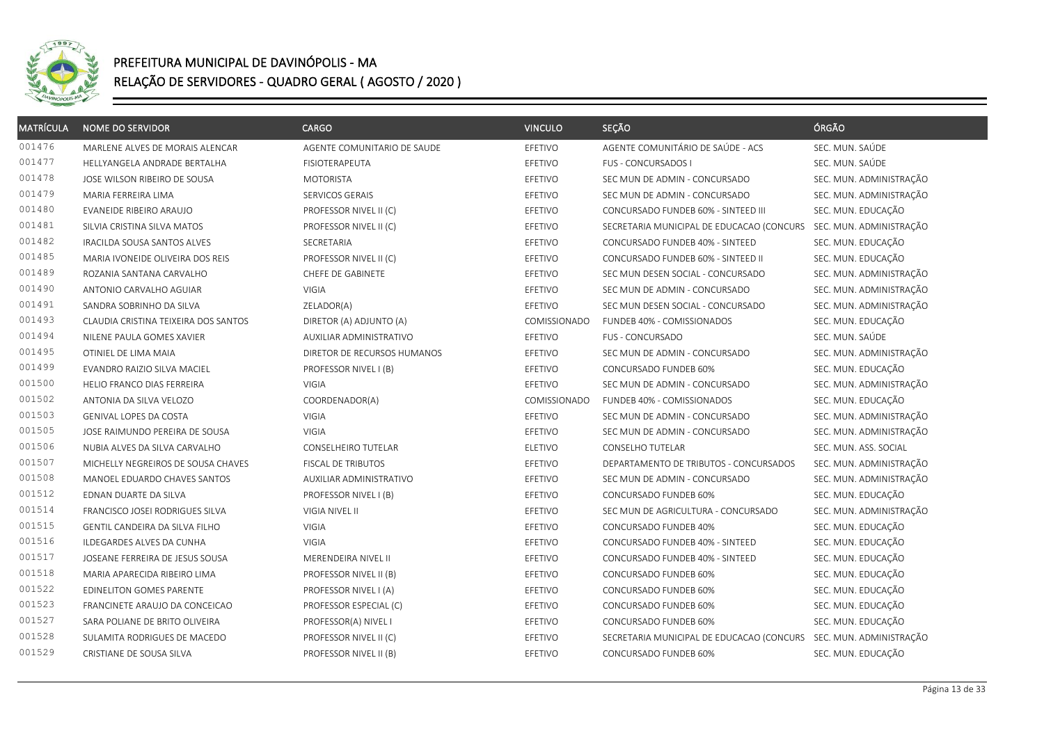

| <b>MATRÍCULA</b> | <b>NOME DO SERVIDOR</b>              | <b>CARGO</b>                | <b>VINCULO</b> | SEÇÃO                                                             | ÓRGÃO                   |
|------------------|--------------------------------------|-----------------------------|----------------|-------------------------------------------------------------------|-------------------------|
| 001476           | MARLENE ALVES DE MORAIS ALENCAR      | AGENTE COMUNITARIO DE SAUDE | EFETIVO        | AGENTE COMUNITÁRIO DE SAÚDE - ACS                                 | SEC. MUN. SAÚDE         |
| 001477           | HELLYANGELA ANDRADE BERTALHA         | <b>FISIOTERAPEUTA</b>       | EFETIVO        | FUS - CONCURSADOS I                                               | SEC. MUN. SAÚDE         |
| 001478           | JOSE WILSON RIBEIRO DE SOUSA         | <b>MOTORISTA</b>            | EFETIVO        | SEC MUN DE ADMIN - CONCURSADO                                     | SEC. MUN. ADMINISTRAÇÃO |
| 001479           | MARIA FERREIRA LIMA                  | SERVICOS GERAIS             | EFETIVO        | SEC MUN DE ADMIN - CONCURSADO                                     | SEC. MUN. ADMINISTRAÇÃO |
| 001480           | EVANEIDE RIBEIRO ARAUJO              | PROFESSOR NIVEL II (C)      | EFETIVO        | CONCURSADO FUNDEB 60% - SINTEED III                               | SEC. MUN. EDUCAÇÃO      |
| 001481           | SILVIA CRISTINA SILVA MATOS          | PROFESSOR NIVEL II (C)      | EFETIVO        | SECRETARIA MUNICIPAL DE EDUCACAO (CONCURS                         | SEC. MUN. ADMINISTRAÇÃO |
| 001482           | IRACILDA SOUSA SANTOS ALVES          | <b>SECRETARIA</b>           | EFETIVO        | CONCURSADO FUNDEB 40% - SINTEED                                   | SEC. MUN. EDUCAÇÃO      |
| 001485           | MARIA IVONEIDE OLIVEIRA DOS REIS     | PROFESSOR NIVEL II (C)      | EFETIVO        | CONCURSADO FUNDEB 60% - SINTEED II                                | SEC. MUN. EDUCAÇÃO      |
| 001489           | ROZANIA SANTANA CARVALHO             | CHEFE DE GABINETE           | EFETIVO        | SEC MUN DESEN SOCIAL - CONCURSADO                                 | SEC. MUN. ADMINISTRAÇÃO |
| 001490           | ANTONIO CARVALHO AGUIAR              | VIGIA                       | EFETIVO        | SEC MUN DE ADMIN - CONCURSADO                                     | SEC. MUN. ADMINISTRAÇÃO |
| 001491           | SANDRA SOBRINHO DA SILVA             | ZELADOR(A)                  | EFETIVO        | SEC MUN DESEN SOCIAL - CONCURSADO                                 | SEC. MUN. ADMINISTRAÇÃO |
| 001493           | CLAUDIA CRISTINA TEIXEIRA DOS SANTOS | DIRETOR (A) ADJUNTO (A)     | COMISSIONADO   | FUNDEB 40% - COMISSIONADOS                                        | SEC. MUN. EDUCAÇÃO      |
| 001494           | NILENE PAULA GOMES XAVIER            | AUXILIAR ADMINISTRATIVO     | EFETIVO        | FUS - CONCURSADO                                                  | SEC. MUN. SAÚDE         |
| 001495           | OTINIEL DE LIMA MAIA                 | DIRETOR DE RECURSOS HUMANOS | EFETIVO        | SEC MUN DE ADMIN - CONCURSADO                                     | SEC. MUN. ADMINISTRAÇÃO |
| 001499           | EVANDRO RAIZIO SILVA MACIEL          | PROFESSOR NIVEL I (B)       | EFETIVO        | CONCURSADO FUNDEB 60%                                             | SEC. MUN. EDUCAÇÃO      |
| 001500           | HELIO FRANCO DIAS FERREIRA           | <b>VIGIA</b>                | EFETIVO        | SEC MUN DE ADMIN - CONCURSADO                                     | SEC. MUN. ADMINISTRAÇÃO |
| 001502           | ANTONIA DA SILVA VELOZO              | COORDENADOR(A)              | COMISSIONADO   | FUNDEB 40% - COMISSIONADOS                                        | SEC. MUN. EDUCAÇÃO      |
| 001503           | GENIVAL LOPES DA COSTA               | <b>VIGIA</b>                | EFETIVO        | SEC MUN DE ADMIN - CONCURSADO                                     | SEC. MUN. ADMINISTRAÇÃO |
| 001505           | JOSE RAIMUNDO PEREIRA DE SOUSA       | <b>VIGIA</b>                | EFETIVO        | SEC MUN DE ADMIN - CONCURSADO                                     | SEC. MUN. ADMINISTRAÇÃO |
| 001506           | NUBIA ALVES DA SILVA CARVALHO        | CONSELHEIRO TUTELAR         | <b>ELETIVO</b> | <b>CONSELHO TUTELAR</b>                                           | SEC. MUN. ASS. SOCIAL   |
| 001507           | MICHELLY NEGREIROS DE SOUSA CHAVES   | FISCAL DE TRIBUTOS          | EFETIVO        | DEPARTAMENTO DE TRIBUTOS - CONCURSADOS                            | SEC. MUN. ADMINISTRAÇÃO |
| 001508           | MANOEL EDUARDO CHAVES SANTOS         | AUXILIAR ADMINISTRATIVO     | EFETIVO        | SEC MUN DE ADMIN - CONCURSADO                                     | SEC. MUN. ADMINISTRAÇÃO |
| 001512           | EDNAN DUARTE DA SILVA                | PROFESSOR NIVEL I (B)       | EFETIVO        | CONCURSADO FUNDEB 60%                                             | SEC. MUN. EDUCAÇÃO      |
| 001514           | FRANCISCO JOSEI RODRIGUES SILVA      | VIGIA NIVEL II              | EFETIVO        | SEC MUN DE AGRICULTURA - CONCURSADO                               | SEC. MUN. ADMINISTRAÇÃO |
| 001515           | GENTIL CANDEIRA DA SILVA FILHO       | VIGIA                       | EFETIVO        | CONCURSADO FUNDEB 40%                                             | SEC. MUN. EDUCAÇÃO      |
| 001516           | ILDEGARDES ALVES DA CUNHA            | VIGIA                       | EFETIVO        | CONCURSADO FUNDEB 40% - SINTEED                                   | SEC. MUN. EDUCAÇÃO      |
| 001517           | JOSEANE FERREIRA DE JESUS SOUSA      | MERENDEIRA NIVEL II         | EFETIVO        | CONCURSADO FUNDEB 40% - SINTEED                                   | SEC. MUN. EDUCAÇÃO      |
| 001518           | MARIA APARECIDA RIBEIRO LIMA         | PROFESSOR NIVEL II (B)      | EFETIVO        | CONCURSADO FUNDEB 60%                                             | SEC. MUN. EDUCAÇÃO      |
| 001522           | EDINELITON GOMES PARENTE             | PROFESSOR NIVEL I (A)       | EFETIVO        | CONCURSADO FUNDEB 60%                                             | SEC. MUN. EDUCAÇÃO      |
| 001523           | FRANCINETE ARAUJO DA CONCEICAO       | PROFESSOR ESPECIAL (C)      | EFETIVO        | CONCURSADO FUNDEB 60%                                             | SEC. MUN. EDUCAÇÃO      |
| 001527           | SARA POLIANE DE BRITO OLIVEIRA       | PROFESSOR(A) NIVEL I        | EFETIVO        | CONCURSADO FUNDEB 60%                                             | SEC. MUN. EDUCAÇÃO      |
| 001528           | SULAMITA RODRIGUES DE MACEDO         | PROFESSOR NIVEL II (C)      | EFETIVO        | SECRETARIA MUNICIPAL DE EDUCACAO (CONCURS SEC. MUN. ADMINISTRAÇÃO |                         |
| 001529           | CRISTIANE DE SOUSA SILVA             | PROFESSOR NIVEL II (B)      | EFETIVO        | CONCURSADO FUNDEB 60%                                             | SEC. MUN. EDUCAÇÃO      |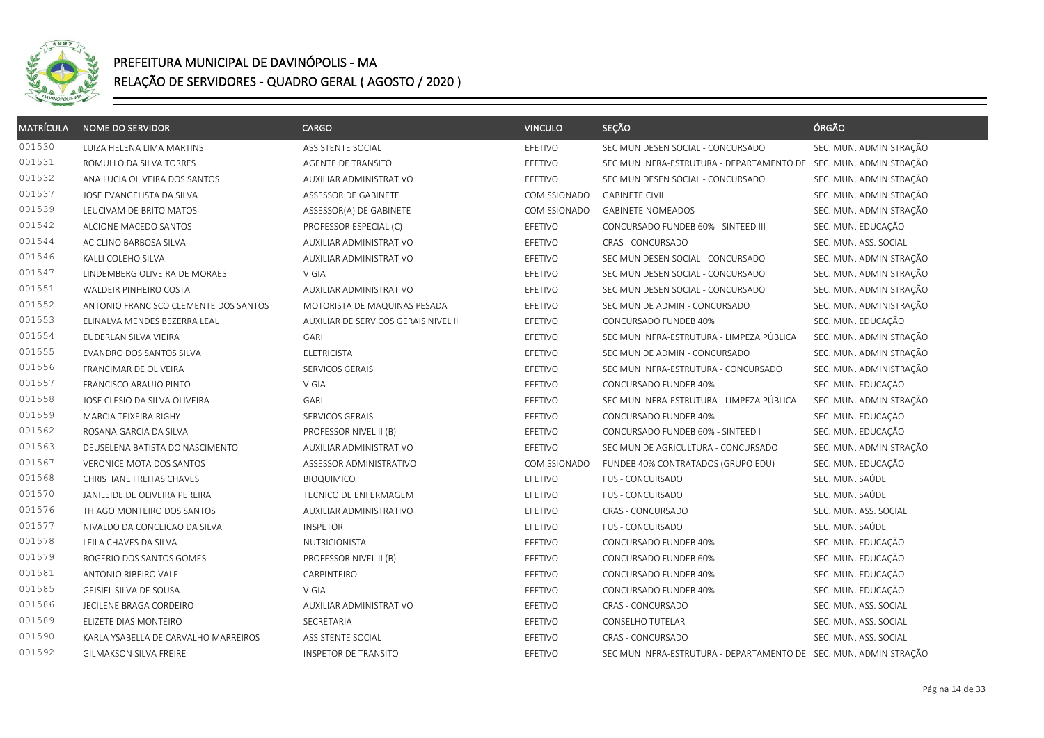

| <b>MATRÍCULA</b> | <b>NOME DO SERVIDOR</b>               | <b>CARGO</b>                         | <b>VINCULO</b>      | SEÇÃO                                                             | ÓRGÃO                   |
|------------------|---------------------------------------|--------------------------------------|---------------------|-------------------------------------------------------------------|-------------------------|
| 001530           | LUIZA HELENA LIMA MARTINS             | ASSISTENTE SOCIAL                    | EFETIVO             | SEC MUN DESEN SOCIAL - CONCURSADO                                 | SEC. MUN. ADMINISTRAÇÃO |
| 001531           | ROMULLO DA SILVA TORRES               | AGENTE DE TRANSITO                   | <b>EFETIVO</b>      | SEC MUN INFRA-ESTRUTURA - DEPARTAMENTO DE SEC. MUN. ADMINISTRAÇÃO |                         |
| 001532           | ANA LUCIA OLIVEIRA DOS SANTOS         | AUXILIAR ADMINISTRATIVO              | EFETIVO             | SEC MUN DESEN SOCIAL - CONCURSADO                                 | SEC. MUN. ADMINISTRAÇÃO |
| 001537           | JOSE EVANGELISTA DA SILVA             | ASSESSOR DE GABINETE                 | COMISSIONADO        | <b>GABINETE CIVIL</b>                                             | SEC. MUN. ADMINISTRAÇÃO |
| 001539           | LEUCIVAM DE BRITO MATOS               | ASSESSOR(A) DE GABINETE              | <b>COMISSIONADO</b> | <b>GABINETE NOMEADOS</b>                                          | SEC. MUN. ADMINISTRAÇÃO |
| 001542           | ALCIONE MACEDO SANTOS                 | PROFESSOR ESPECIAL (C)               | EFETIVO             | CONCURSADO FUNDEB 60% - SINTEED III                               | SEC. MUN. EDUCAÇÃO      |
| 001544           | ACICLINO BARBOSA SILVA                | AUXILIAR ADMINISTRATIVO              | EFETIVO             | CRAS - CONCURSADO                                                 | SEC. MUN. ASS. SOCIAL   |
| 001546           | KALLI COLEHO SILVA                    | AUXILIAR ADMINISTRATIVO              | EFETIVO             | SEC MUN DESEN SOCIAL - CONCURSADO                                 | SEC. MUN. ADMINISTRAÇÃO |
| 001547           | LINDEMBERG OLIVEIRA DE MORAES         | VIGIA                                | EFETIVO             | SEC MUN DESEN SOCIAL - CONCURSADO                                 | SEC. MUN. ADMINISTRAÇÃO |
| 001551           | WALDEIR PINHEIRO COSTA                | AUXILIAR ADMINISTRATIVO              | EFETIVO             | SEC MUN DESEN SOCIAL - CONCURSADO                                 | SEC. MUN. ADMINISTRAÇÃO |
| 001552           | ANTONIO FRANCISCO CLEMENTE DOS SANTOS | MOTORISTA DE MAQUINAS PESADA         | EFETIVO             | SEC MUN DE ADMIN - CONCURSADO                                     | SEC. MUN. ADMINISTRAÇÃO |
| 001553           | ELINALVA MENDES BEZERRA LEAL          | AUXILIAR DE SERVICOS GERAIS NIVEL II | EFETIVO             | CONCURSADO FUNDEB 40%                                             | SEC. MUN. EDUCAÇÃO      |
| 001554           | EUDERLAN SILVA VIEIRA                 | GARI                                 | EFETIVO             | SEC MUN INFRA-ESTRUTURA - LIMPEZA PÚBLICA                         | SEC. MUN. ADMINISTRAÇÃO |
| 001555           | EVANDRO DOS SANTOS SILVA              | <b>ELETRICISTA</b>                   | EFETIVO             | SEC MUN DE ADMIN - CONCURSADO                                     | SEC. MUN. ADMINISTRAÇÃO |
| 001556           | FRANCIMAR DE OLIVEIRA                 | SERVICOS GERAIS                      | EFETIVO             | SEC MUN INFRA-ESTRUTURA - CONCURSADO                              | SEC. MUN. ADMINISTRAÇÃO |
| 001557           | FRANCISCO ARAUJO PINTO                | VIGIA                                | EFETIVO             | CONCURSADO FUNDEB 40%                                             | SEC. MUN. EDUCAÇÃO      |
| 001558           | JOSE CLESIO DA SILVA OLIVEIRA         | GARI                                 | EFETIVO             | SEC MUN INFRA-ESTRUTURA - LIMPEZA PÚBLICA                         | SEC. MUN. ADMINISTRAÇÃO |
| 001559           | MARCIA TEIXEIRA RIGHY                 | SERVICOS GERAIS                      | EFETIVO             | CONCURSADO FUNDEB 40%                                             | SEC. MUN. EDUCAÇÃO      |
| 001562           | ROSANA GARCIA DA SILVA                | PROFESSOR NIVEL II (B)               | EFETIVO             | CONCURSADO FUNDEB 60% - SINTEED I                                 | SEC. MUN. EDUCAÇÃO      |
| 001563           | DEUSELENA BATISTA DO NASCIMENTO       | AUXILIAR ADMINISTRATIVO              | EFETIVO             | SEC MUN DE AGRICULTURA - CONCURSADO                               | SEC. MUN. ADMINISTRAÇÃO |
| 001567           | <b>VERONICE MOTA DOS SANTOS</b>       | ASSESSOR ADMINISTRATIVO              | <b>COMISSIONADO</b> | FUNDEB 40% CONTRATADOS (GRUPO EDU)                                | SEC. MUN. EDUCAÇÃO      |
| 001568           | CHRISTIANE FREITAS CHAVES             | <b>BIOQUIMICO</b>                    | EFETIVO             | FUS - CONCURSADO                                                  | SEC. MUN. SAÚDE         |
| 001570           | JANILEIDE DE OLIVEIRA PEREIRA         | TECNICO DE ENFERMAGEM                | EFETIVO             | FUS - CONCURSADO                                                  | SEC. MUN. SAÚDE         |
| 001576           | THIAGO MONTEIRO DOS SANTOS            | AUXILIAR ADMINISTRATIVO              | EFETIVO             | CRAS - CONCURSADO                                                 | SEC. MUN. ASS. SOCIAL   |
| 001577           | NIVALDO DA CONCEICAO DA SILVA         | <b>INSPETOR</b>                      | EFETIVO             | FUS - CONCURSADO                                                  | SEC. MUN. SAÚDE         |
| 001578           | LEILA CHAVES DA SILVA                 | NUTRICIONISTA                        | EFETIVO             | CONCURSADO FUNDEB 40%                                             | SEC. MUN. EDUCAÇÃO      |
| 001579           | ROGERIO DOS SANTOS GOMES              | PROFESSOR NIVEL II (B)               | EFETIVO             | CONCURSADO FUNDEB 60%                                             | SEC. MUN. EDUCAÇÃO      |
| 001581           | ANTONIO RIBEIRO VALE                  | CARPINTEIRO                          | EFETIVO             | CONCURSADO FUNDEB 40%                                             | SEC. MUN. EDUCAÇÃO      |
| 001585           | GEISIEL SILVA DE SOUSA                | <b>VIGIA</b>                         | EFETIVO             | CONCURSADO FUNDEB 40%                                             | SEC. MUN. EDUCAÇÃO      |
| 001586           | JECILENE BRAGA CORDEIRO               | AUXILIAR ADMINISTRATIVO              | EFETIVO             | CRAS - CONCURSADO                                                 | SEC. MUN. ASS. SOCIAL   |
| 001589           | ELIZETE DIAS MONTEIRO                 | SECRETARIA                           | EFETIVO             | <b>CONSELHO TUTELAR</b>                                           | SEC. MUN. ASS. SOCIAL   |
| 001590           | KARLA YSABELLA DE CARVALHO MARREIROS  | ASSISTENTE SOCIAL                    | EFETIVO             | CRAS - CONCURSADO                                                 | SEC. MUN. ASS. SOCIAL   |
| 001592           | GILMAKSON SILVA FREIRE                | <b>INSPETOR DE TRANSITO</b>          | EFETIVO             | SEC MUN INFRA-ESTRUTURA - DEPARTAMENTO DE SEC. MUN. ADMINISTRAÇÃO |                         |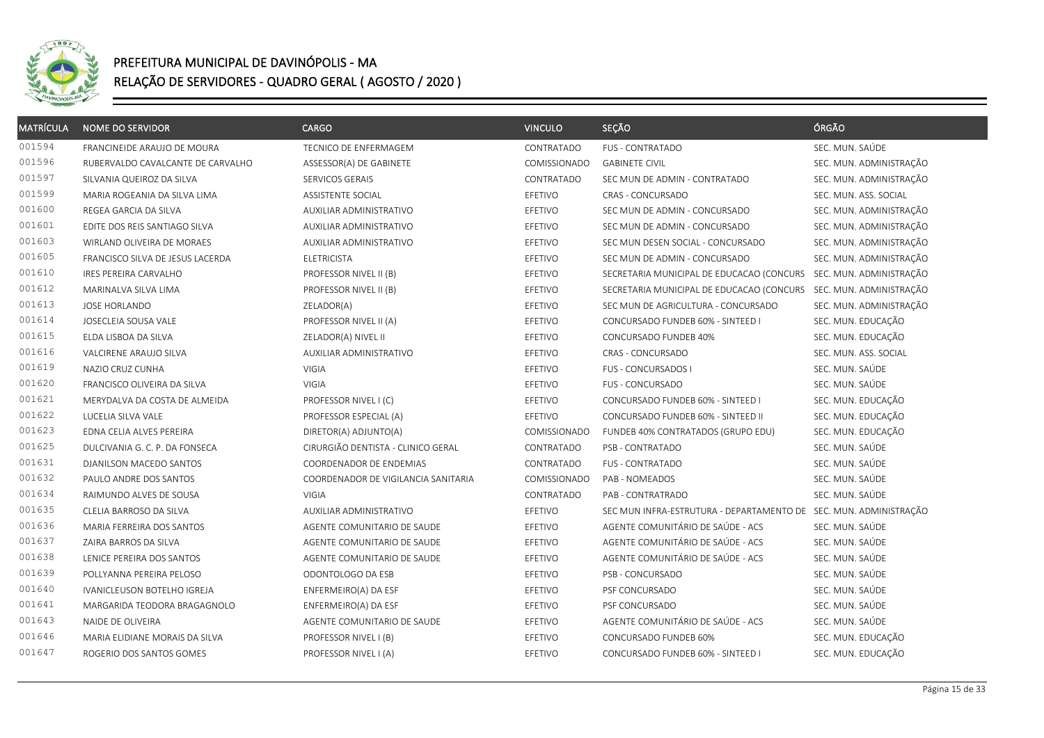

| <b>MATRÍCULA</b> | <b>NOME DO SERVIDOR</b>           | <b>CARGO</b>                        | <b>VINCULO</b> | SEÇÃO                                                             | ÓRGÃO                   |
|------------------|-----------------------------------|-------------------------------------|----------------|-------------------------------------------------------------------|-------------------------|
| 001594           | FRANCINEIDE ARAUJO DE MOURA       | TECNICO DE ENFERMAGEM               | CONTRATADO     | <b>FUS - CONTRATADO</b>                                           | SEC. MUN. SAÚDE         |
| 001596           | RUBERVALDO CAVALCANTE DE CARVALHO | ASSESSOR(A) DE GABINETE             | COMISSIONADO   | <b>GABINETE CIVIL</b>                                             | SEC. MUN. ADMINISTRAÇÃO |
| 001597           | SILVANIA QUEIROZ DA SILVA         | SERVICOS GERAIS                     | CONTRATADO     | SEC MUN DE ADMIN - CONTRATADO                                     | SEC. MUN. ADMINISTRAÇÃO |
| 001599           | MARIA ROGEANIA DA SILVA LIMA      | ASSISTENTE SOCIAL                   | EFETIVO        | CRAS - CONCURSADO                                                 | SEC. MUN. ASS. SOCIAL   |
| 001600           | REGEA GARCIA DA SILVA             | AUXILIAR ADMINISTRATIVO             | EFETIVO        | SEC MUN DE ADMIN - CONCURSADO                                     | SEC. MUN. ADMINISTRAÇÃO |
| 001601           | EDITE DOS REIS SANTIAGO SILVA     | AUXILIAR ADMINISTRATIVO             | EFETIVO        | SEC MUN DE ADMIN - CONCURSADO                                     | SEC. MUN. ADMINISTRAÇÃO |
| 001603           | WIRLAND OLIVEIRA DE MORAES        | AUXILIAR ADMINISTRATIVO             | EFETIVO        | SEC MUN DESEN SOCIAL - CONCURSADO                                 | SEC. MUN. ADMINISTRAÇÃO |
| 001605           | FRANCISCO SILVA DE JESUS LACERDA  | <b>ELETRICISTA</b>                  | EFETIVO        | SEC MUN DE ADMIN - CONCURSADO                                     | SEC. MUN. ADMINISTRAÇÃO |
| 001610           | <b>IRES PEREIRA CARVALHO</b>      | PROFESSOR NIVEL II (B)              | EFETIVO        | SECRETARIA MUNICIPAL DE EDUCACAO (CONCURS                         | SEC. MUN. ADMINISTRAÇÃO |
| 001612           | MARINALVA SILVA LIMA              | PROFESSOR NIVEL II (B)              | EFETIVO        | SECRETARIA MUNICIPAL DE EDUCACAO (CONCURS                         | SEC. MUN. ADMINISTRAÇÃO |
| 001613           | JOSE HORLANDO                     | ZELADOR(A)                          | EFETIVO        | SEC MUN DE AGRICULTURA - CONCURSADO                               | SEC. MUN. ADMINISTRAÇÃO |
| 001614           | JOSECLEIA SOUSA VALE              | PROFESSOR NIVEL II (A)              | EFETIVO        | CONCURSADO FUNDEB 60% - SINTEED I                                 | SEC. MUN. EDUCAÇÃO      |
| 001615           | ELDA LISBOA DA SILVA              | ZELADOR(A) NIVEL II                 | EFETIVO        | CONCURSADO FUNDEB 40%                                             | SEC. MUN. EDUCAÇÃO      |
| 001616           | VALCIRENE ARAUJO SILVA            | <b>AUXILIAR ADMINISTRATIVO</b>      | EFETIVO        | CRAS - CONCURSADO                                                 | SEC. MUN. ASS. SOCIAL   |
| 001619           | NAZIO CRUZ CUNHA                  | <b>VIGIA</b>                        | EFETIVO        | <b>FUS - CONCURSADOS I</b>                                        | SEC. MUN. SAÚDE         |
| 001620           | FRANCISCO OLIVEIRA DA SILVA       | <b>VIGIA</b>                        | EFETIVO        | FUS - CONCURSADO                                                  | SEC. MUN. SAÚDE         |
| 001621           | MERYDALVA DA COSTA DE ALMEIDA     | PROFESSOR NIVEL I (C)               | EFETIVO        | CONCURSADO FUNDEB 60% - SINTEED I                                 | SEC. MUN. EDUCAÇÃO      |
| 001622           | LUCELIA SILVA VALE                | PROFESSOR ESPECIAL (A)              | EFETIVO        | CONCURSADO FUNDEB 60% - SINTEED II                                | SEC. MUN. EDUCAÇÃO      |
| 001623           | EDNA CELIA ALVES PEREIRA          | DIRETOR(A) ADJUNTO(A)               | COMISSIONADO   | FUNDEB 40% CONTRATADOS (GRUPO EDU)                                | SEC. MUN. EDUCAÇÃO      |
| 001625           | DULCIVANIA G. C. P. DA FONSECA    | CIRURGIÃO DENTISTA - CLINICO GERAL  | CONTRATADO     | PSB - CONTRATADO                                                  | SEC. MUN. SAÚDE         |
| 001631           | DJANILSON MACEDO SANTOS           | COORDENADOR DE ENDEMIAS             | CONTRATADO     | <b>FUS - CONTRATADO</b>                                           | SEC. MUN. SAÚDE         |
| 001632           | PAULO ANDRE DOS SANTOS            | COORDENADOR DE VIGILANCIA SANITARIA | COMISSIONADO   | PAB - NOMEADOS                                                    | SEC. MUN. SAÚDE         |
| 001634           | RAIMUNDO ALVES DE SOUSA           | <b>VIGIA</b>                        | CONTRATADO     | PAB - CONTRATRADO                                                 | SEC. MUN. SAÚDE         |
| 001635           | CLELIA BARROSO DA SILVA           | AUXILIAR ADMINISTRATIVO             | EFETIVO        | SEC MUN INFRA-ESTRUTURA - DEPARTAMENTO DE SEC. MUN. ADMINISTRAÇÃO |                         |
| 001636           | MARIA FERREIRA DOS SANTOS         | AGENTE COMUNITARIO DE SAUDE         | EFETIVO        | AGENTE COMUNITÁRIO DE SAÚDE - ACS                                 | SEC. MUN. SAÚDE         |
| 001637           | ZAIRA BARROS DA SILVA             | AGENTE COMUNITARIO DE SAUDE         | EFETIVO        | AGENTE COMUNITÁRIO DE SAÚDE - ACS                                 | SEC. MUN. SAÚDE         |
| 001638           | LENICE PEREIRA DOS SANTOS         | AGENTE COMUNITARIO DE SAUDE         | EFETIVO        | AGENTE COMUNITÁRIO DE SAÚDE - ACS                                 | SEC. MUN. SAÚDE         |
| 001639           | POLLYANNA PEREIRA PELOSO          | ODONTOLOGO DA ESB                   | EFETIVO        | PSB - CONCURSADO                                                  | SEC. MUN. SAÚDE         |
| 001640           | IVANICLEUSON BOTELHO IGREJA       | ENFERMEIRO(A) DA ESF                | EFETIVO        | PSF CONCURSADO                                                    | SEC. MUN. SAÚDE         |
| 001641           | MARGARIDA TEODORA BRAGAGNOLO      | ENFERMEIRO(A) DA ESF                | EFETIVO        | PSF CONCURSADO                                                    | SEC. MUN. SAÚDE         |
| 001643           | NAIDE DE OLIVEIRA                 | AGENTE COMUNITARIO DE SAUDE         | EFETIVO        | AGENTE COMUNITÁRIO DE SAÚDE - ACS                                 | SEC. MUN. SAÚDE         |
| 001646           | MARIA ELIDIANE MORAIS DA SILVA    | PROFESSOR NIVEL I (B)               | EFETIVO        | CONCURSADO FUNDEB 60%                                             | SEC. MUN. EDUCAÇÃO      |
| 001647           | ROGERIO DOS SANTOS GOMES          | PROFESSOR NIVEL I (A)               | EFETIVO        | CONCURSADO FUNDEB 60% - SINTEED I                                 | SEC. MUN. EDUCAÇÃO      |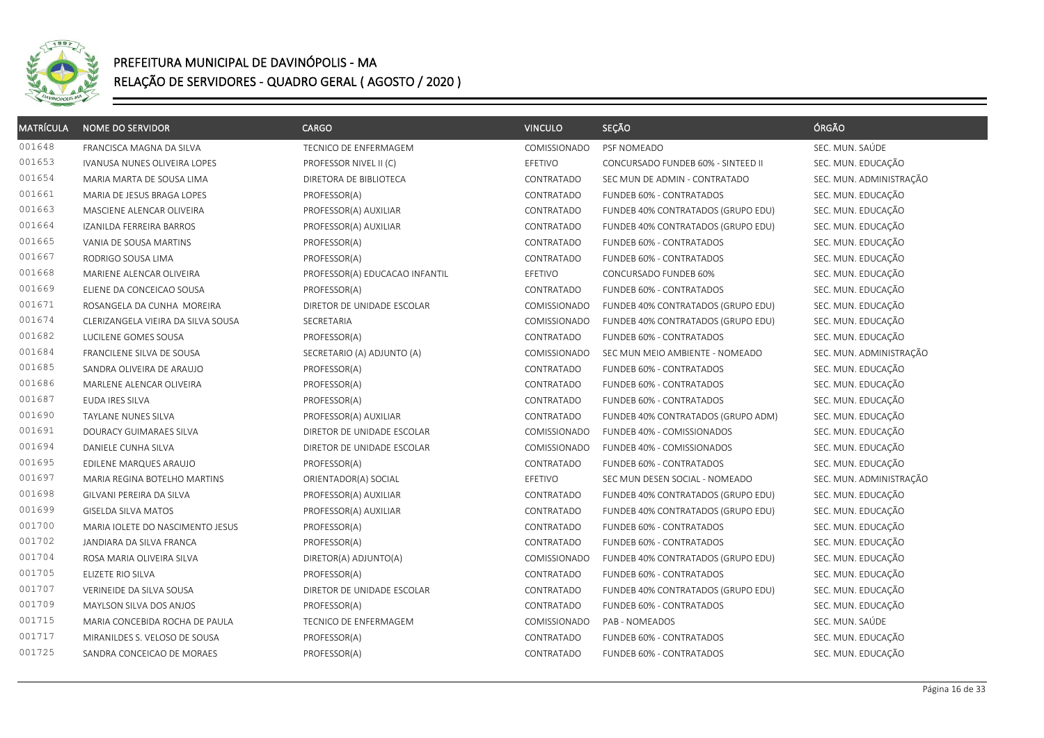

| <b>MATRÍCULA</b> | <b>NOME DO SERVIDOR</b>            | <b>CARGO</b>                   | <b>VINCULO</b> | SEÇÃO                              | ÓRGÃO                   |
|------------------|------------------------------------|--------------------------------|----------------|------------------------------------|-------------------------|
| 001648           | FRANCISCA MAGNA DA SILVA           | TECNICO DE ENFERMAGEM          | COMISSIONADO   | PSF NOMEADO                        | SEC. MUN. SAÚDE         |
| 001653           | IVANUSA NUNES OLIVEIRA LOPES       | PROFESSOR NIVEL II (C)         | EFETIVO        | CONCURSADO FUNDEB 60% - SINTEED II | SEC. MUN. EDUCAÇÃO      |
| 001654           | MARIA MARTA DE SOUSA LIMA          | DIRETORA DE BIBLIOTECA         | CONTRATADO     | SEC MUN DE ADMIN - CONTRATADO      | SEC. MUN. ADMINISTRAÇÃO |
| 001661           | MARIA DE JESUS BRAGA LOPES         | PROFESSOR(A)                   | CONTRATADO     | FUNDEB 60% - CONTRATADOS           | SEC. MUN. EDUCAÇÃO      |
| 001663           | MASCIENE ALENCAR OLIVEIRA          | PROFESSOR(A) AUXILIAR          | CONTRATADO     | FUNDEB 40% CONTRATADOS (GRUPO EDU) | SEC. MUN. EDUCAÇÃO      |
| 001664           | IZANILDA FERREIRA BARROS           | PROFESSOR(A) AUXILIAR          | CONTRATADO     | FUNDEB 40% CONTRATADOS (GRUPO EDU) | SEC. MUN. EDUCAÇÃO      |
| 001665           | VANIA DE SOUSA MARTINS             | PROFESSOR(A)                   | CONTRATADO     | FUNDEB 60% - CONTRATADOS           | SEC. MUN. EDUCAÇÃO      |
| 001667           | RODRIGO SOUSA LIMA                 | PROFESSOR(A)                   | CONTRATADO     | FUNDEB 60% - CONTRATADOS           | SEC. MUN. EDUCAÇÃO      |
| 001668           | MARIENE ALENCAR OLIVEIRA           | PROFESSOR(A) EDUCACAO INFANTIL | EFETIVO        | CONCURSADO FUNDEB 60%              | SEC. MUN. EDUCAÇÃO      |
| 001669           | ELIENE DA CONCEICAO SOUSA          | PROFESSOR(A)                   | CONTRATADO     | FUNDEB 60% - CONTRATADOS           | SEC. MUN. EDUCAÇÃO      |
| 001671           | ROSANGELA DA CUNHA MOREIRA         | DIRETOR DE UNIDADE ESCOLAR     | COMISSIONADO   | FUNDEB 40% CONTRATADOS (GRUPO EDU) | SEC. MUN. EDUCAÇÃO      |
| 001674           | CLERIZANGELA VIEIRA DA SILVA SOUSA | SECRETARIA                     | COMISSIONADO   | FUNDEB 40% CONTRATADOS (GRUPO EDU) | SEC. MUN. EDUCAÇÃO      |
| 001682           | LUCILENE GOMES SOUSA               | PROFESSOR(A)                   | CONTRATADO     | FUNDEB 60% - CONTRATADOS           | SEC. MUN. EDUCAÇÃO      |
| 001684           | FRANCILENE SILVA DE SOUSA          | SECRETARIO (A) ADJUNTO (A)     | COMISSIONADO   | SEC MUN MEIO AMBIENTE - NOMEADO    | SEC. MUN. ADMINISTRAÇÃO |
| 001685           | SANDRA OLIVEIRA DE ARAUJO          | PROFESSOR(A)                   | CONTRATADO     | FUNDEB 60% - CONTRATADOS           | SEC. MUN. EDUCAÇÃO      |
| 001686           | MARLENE ALENCAR OLIVEIRA           | PROFESSOR(A)                   | CONTRATADO     | FUNDEB 60% - CONTRATADOS           | SEC. MUN. EDUCAÇÃO      |
| 001687           | EUDA IRES SILVA                    | PROFESSOR(A)                   | CONTRATADO     | FUNDEB 60% - CONTRATADOS           | SEC. MUN. EDUCAÇÃO      |
| 001690           | TAYLANE NUNES SILVA                | PROFESSOR(A) AUXILIAR          | CONTRATADO     | FUNDEB 40% CONTRATADOS (GRUPO ADM) | SEC. MUN. EDUCAÇÃO      |
| 001691           | DOURACY GUIMARAES SILVA            | DIRETOR DE UNIDADE ESCOLAR     | COMISSIONADO   | FUNDEB 40% - COMISSIONADOS         | SEC. MUN. EDUCAÇÃO      |
| 001694           | DANIELE CUNHA SILVA                | DIRETOR DE UNIDADE ESCOLAR     | COMISSIONADO   | FUNDEB 40% - COMISSIONADOS         | SEC. MUN. EDUCAÇÃO      |
| 001695           | EDILENE MARQUES ARAUJO             | PROFESSOR(A)                   | CONTRATADO     | FUNDEB 60% - CONTRATADOS           | SEC. MUN. EDUCAÇÃO      |
| 001697           | MARIA REGINA BOTELHO MARTINS       | ORIENTADOR(A) SOCIAL           | EFETIVO        | SEC MUN DESEN SOCIAL - NOMEADO     | SEC. MUN. ADMINISTRAÇÃO |
| 001698           | GILVANI PEREIRA DA SILVA           | PROFESSOR(A) AUXILIAR          | CONTRATADO     | FUNDEB 40% CONTRATADOS (GRUPO EDU) | SEC. MUN. EDUCAÇÃO      |
| 001699           | GISELDA SILVA MATOS                | PROFESSOR(A) AUXILIAR          | CONTRATADO     | FUNDEB 40% CONTRATADOS (GRUPO EDU) | SEC. MUN. EDUCAÇÃO      |
| 001700           | MARIA IOLETE DO NASCIMENTO JESUS   | PROFESSOR(A)                   | CONTRATADO     | FUNDEB 60% - CONTRATADOS           | SEC. MUN. EDUCAÇÃO      |
| 001702           | JANDIARA DA SILVA FRANCA           | PROFESSOR(A)                   | CONTRATADO     | FUNDEB 60% - CONTRATADOS           | SEC. MUN. EDUCAÇÃO      |
| 001704           | ROSA MARIA OLIVEIRA SILVA          | DIRETOR(A) ADJUNTO(A)          | COMISSIONADO   | FUNDEB 40% CONTRATADOS (GRUPO EDU) | SEC. MUN. EDUCAÇÃO      |
| 001705           | ELIZETE RIO SILVA                  | PROFESSOR(A)                   | CONTRATADO     | FUNDEB 60% - CONTRATADOS           | SEC. MUN. EDUCAÇÃO      |
| 001707           | VERINEIDE DA SILVA SOUSA           | DIRETOR DE UNIDADE ESCOLAR     | CONTRATADO     | FUNDEB 40% CONTRATADOS (GRUPO EDU) | SEC. MUN. EDUCAÇÃO      |
| 001709           | MAYLSON SILVA DOS ANJOS            | PROFESSOR(A)                   | CONTRATADO     | FUNDEB 60% - CONTRATADOS           | SEC. MUN. EDUCAÇÃO      |
| 001715           | MARIA CONCEBIDA ROCHA DE PAULA     | TECNICO DE ENFERMAGEM          | COMISSIONADO   | PAB - NOMEADOS                     | SEC. MUN. SAÚDE         |
| 001717           | MIRANILDES S. VELOSO DE SOUSA      | PROFESSOR(A)                   | CONTRATADO     | FUNDEB 60% - CONTRATADOS           | SEC. MUN. EDUCAÇÃO      |
| 001725           | SANDRA CONCEICAO DE MORAES         | PROFESSOR(A)                   | CONTRATADO     | FUNDEB 60% - CONTRATADOS           | SEC. MUN. EDUCAÇÃO      |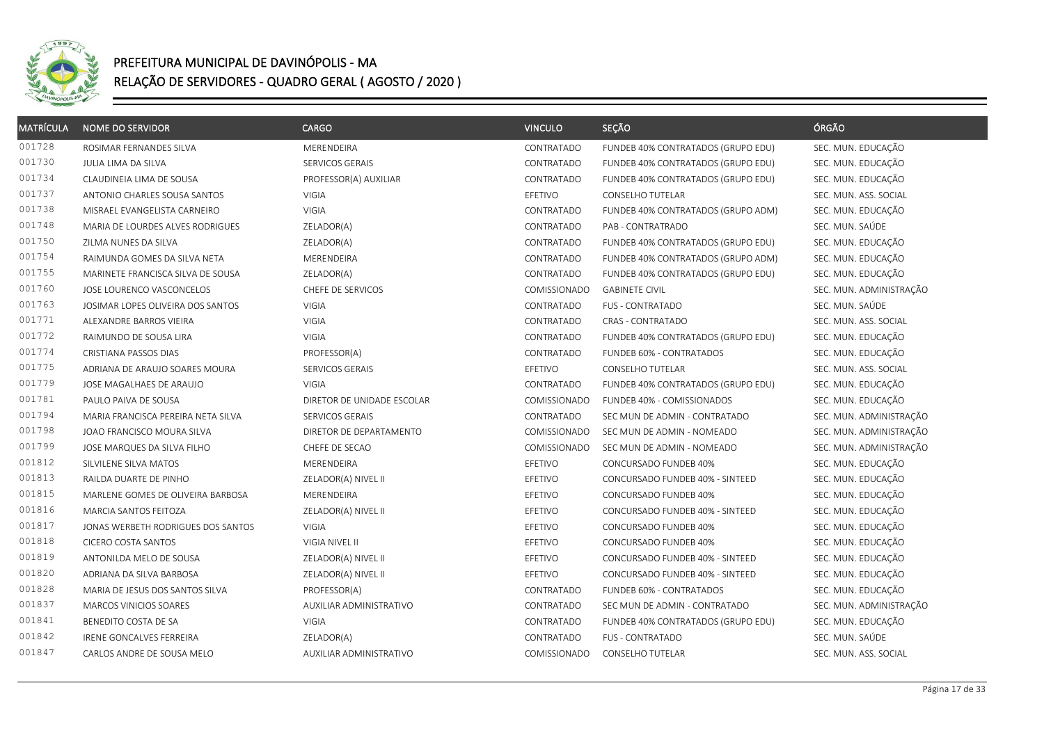

| <b>MATRÍCULA</b> | <b>NOME DO SERVIDOR</b>            | <b>CARGO</b>               | <b>VINCULO</b> | SEÇÃO                              | ÓRGÃO                   |
|------------------|------------------------------------|----------------------------|----------------|------------------------------------|-------------------------|
| 001728           | ROSIMAR FERNANDES SILVA            | MERENDEIRA                 | CONTRATADO     | FUNDEB 40% CONTRATADOS (GRUPO EDU) | SEC. MUN. EDUCAÇÃO      |
| 001730           | JULIA LIMA DA SILVA                | SERVICOS GERAIS            | CONTRATADO     | FUNDEB 40% CONTRATADOS (GRUPO EDU) | SEC. MUN. EDUCAÇÃO      |
| 001734           | CLAUDINEIA LIMA DE SOUSA           | PROFESSOR(A) AUXILIAR      | CONTRATADO     | FUNDEB 40% CONTRATADOS (GRUPO EDU) | SEC. MUN. EDUCAÇÃO      |
| 001737           | ANTONIO CHARLES SOUSA SANTOS       | VIGIA                      | EFETIVO        | CONSELHO TUTELAR                   | SEC. MUN. ASS. SOCIAL   |
| 001738           | MISRAEL EVANGELISTA CARNEIRO       | VIGIA                      | CONTRATADO     | FUNDEB 40% CONTRATADOS (GRUPO ADM) | SEC. MUN. EDUCAÇÃO      |
| 001748           | MARIA DE LOURDES ALVES RODRIGUES   | ZELADOR(A)                 | CONTRATADO     | PAB - CONTRATRADO                  | SEC. MUN. SAÚDE         |
| 001750           | ZILMA NUNES DA SILVA               | ZELADOR(A)                 | CONTRATADO     | FUNDEB 40% CONTRATADOS (GRUPO EDU) | SEC. MUN. EDUCAÇÃO      |
| 001754           | RAIMUNDA GOMES DA SILVA NETA       | MERENDEIRA                 | CONTRATADO     | FUNDEB 40% CONTRATADOS (GRUPO ADM) | SEC. MUN. EDUCAÇÃO      |
| 001755           | MARINETE FRANCISCA SILVA DE SOUSA  | ZELADOR(A)                 | CONTRATADO     | FUNDEB 40% CONTRATADOS (GRUPO EDU) | SEC. MUN. EDUCAÇÃO      |
| 001760           | JOSE LOURENCO VASCONCELOS          | CHEFE DE SERVICOS          | COMISSIONADO   | <b>GABINETE CIVIL</b>              | SEC. MUN. ADMINISTRAÇÃO |
| 001763           | JOSIMAR LOPES OLIVEIRA DOS SANTOS  | VIGIA                      | CONTRATADO     | FUS - CONTRATADO                   | SEC. MUN. SAÚDE         |
| 001771           | ALEXANDRE BARROS VIEIRA            | VIGIA                      | CONTRATADO     | <b>CRAS - CONTRATADO</b>           | SEC. MUN. ASS. SOCIAL   |
| 001772           | RAIMUNDO DE SOUSA LIRA             | VIGIA                      | CONTRATADO     | FUNDEB 40% CONTRATADOS (GRUPO EDU) | SEC. MUN. EDUCAÇÃO      |
| 001774           | CRISTIANA PASSOS DIAS              | PROFESSOR(A)               | CONTRATADO     | FUNDEB 60% - CONTRATADOS           | SEC. MUN. EDUCAÇÃO      |
| 001775           | ADRIANA DE ARAUJO SOARES MOURA     | SERVICOS GERAIS            | EFETIVO        | <b>CONSELHO TUTELAR</b>            | SEC. MUN. ASS. SOCIAL   |
| 001779           | JOSE MAGALHAES DE ARAUJO           | VIGIA                      | CONTRATADO     | FUNDEB 40% CONTRATADOS (GRUPO EDU) | SEC. MUN. EDUCAÇÃO      |
| 001781           | PAULO PAIVA DE SOUSA               | DIRETOR DE UNIDADE ESCOLAR | COMISSIONADO   | FUNDEB 40% - COMISSIONADOS         | SEC. MUN. EDUCAÇÃO      |
| 001794           | MARIA FRANCISCA PEREIRA NETA SILVA | SERVICOS GERAIS            | CONTRATADO     | SEC MUN DE ADMIN - CONTRATADO      | SEC. MUN. ADMINISTRAÇÃO |
| 001798           | JOAO FRANCISCO MOURA SILVA         | DIRETOR DE DEPARTAMENTO    | COMISSIONADO   | SEC MUN DE ADMIN - NOMEADO         | SEC. MUN. ADMINISTRAÇÃO |
| 001799           | JOSE MARQUES DA SILVA FILHO        | CHEFE DE SECAO             | COMISSIONADO   | SEC MUN DE ADMIN - NOMEADO         | SEC. MUN. ADMINISTRAÇÃO |
| 001812           | SILVILENE SILVA MATOS              | MERENDEIRA                 | EFETIVO        | CONCURSADO FUNDEB 40%              | SEC. MUN. EDUCAÇÃO      |
| 001813           | RAILDA DUARTE DE PINHO             | ZELADOR(A) NIVEL II        | EFETIVO        | CONCURSADO FUNDEB 40% - SINTEED    | SEC. MUN. EDUCAÇÃO      |
| 001815           | MARLENE GOMES DE OLIVEIRA BARBOSA  | MERENDEIRA                 | EFETIVO        | CONCURSADO FUNDEB 40%              | SEC. MUN. EDUCAÇÃO      |
| 001816           | MARCIA SANTOS FEITOZA              | ZELADOR(A) NIVEL II        | EFETIVO        | CONCURSADO FUNDEB 40% - SINTEED    | SEC. MUN. EDUCAÇÃO      |
| 001817           | JONAS WERBETH RODRIGUES DOS SANTOS | VIGIA                      | EFETIVO        | CONCURSADO FUNDEB 40%              | SEC. MUN. EDUCAÇÃO      |
| 001818           | CICERO COSTA SANTOS                | VIGIA NIVEL II             | EFETIVO        | CONCURSADO FUNDEB 40%              | SEC. MUN. EDUCAÇÃO      |
| 001819           | ANTONILDA MELO DE SOUSA            | ZELADOR(A) NIVEL II        | EFETIVO        | CONCURSADO FUNDEB 40% - SINTEED    | SEC. MUN. EDUCAÇÃO      |
| 001820           | ADRIANA DA SILVA BARBOSA           | ZELADOR(A) NIVEL II        | EFETIVO        | CONCURSADO FUNDEB 40% - SINTEED    | SEC. MUN. EDUCAÇÃO      |
| 001828           | MARIA DE JESUS DOS SANTOS SILVA    | PROFESSOR(A)               | CONTRATADO     | FUNDEB 60% - CONTRATADOS           | SEC. MUN. EDUCAÇÃO      |
| 001837           | MARCOS VINICIOS SOARES             | AUXILIAR ADMINISTRATIVO    | CONTRATADO     | SEC MUN DE ADMIN - CONTRATADO      | SEC. MUN. ADMINISTRAÇÃO |
| 001841           | BENEDITO COSTA DE SA               | VIGIA                      | CONTRATADO     | FUNDEB 40% CONTRATADOS (GRUPO EDU) | SEC. MUN. EDUCAÇÃO      |
| 001842           | IRENE GONCALVES FERREIRA           | ZELADOR(A)                 | CONTRATADO     | FUS - CONTRATADO                   | SEC. MUN. SAÚDE         |
| 001847           | CARLOS ANDRE DE SOUSA MELO         | AUXILIAR ADMINISTRATIVO    | COMISSIONADO   | <b>CONSELHO TUTELAR</b>            | SEC. MUN. ASS. SOCIAL   |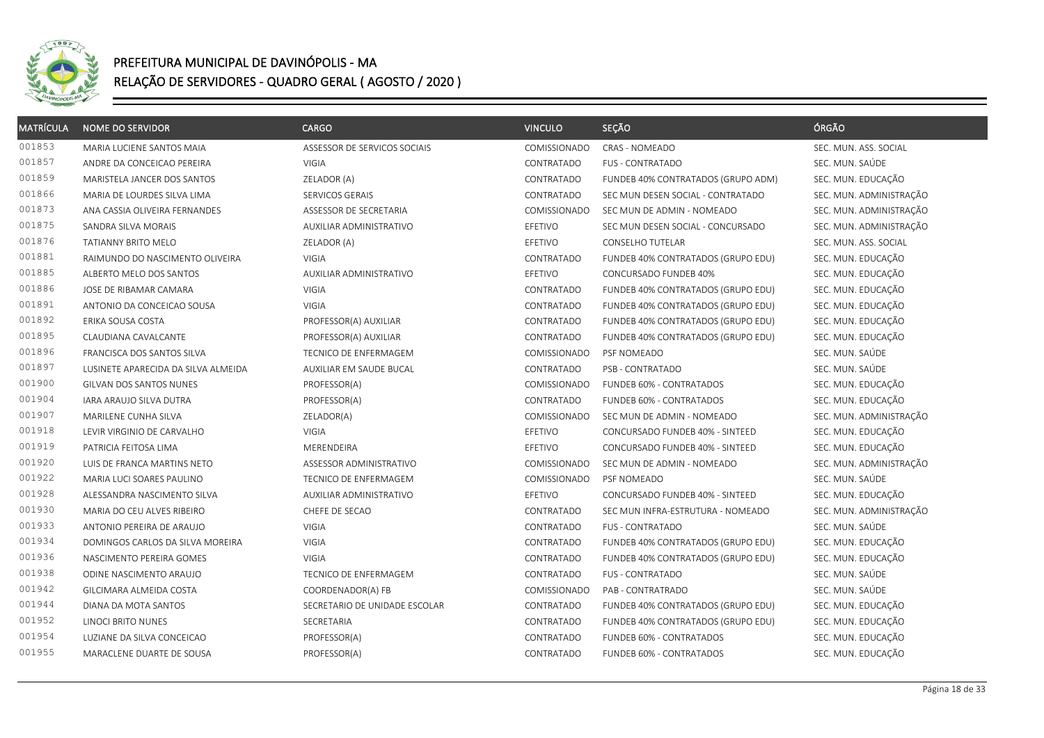

| <b>MATRÍCULA</b> | <b>NOME DO SERVIDOR</b>             | <b>CARGO</b>                  | <b>VINCULO</b> | SEÇÃO                              | ÓRGÃO                   |
|------------------|-------------------------------------|-------------------------------|----------------|------------------------------------|-------------------------|
| 001853           | MARIA LUCIENE SANTOS MAIA           | ASSESSOR DE SERVICOS SOCIAIS  | COMISSIONADO   | <b>CRAS - NOMEADO</b>              | SEC. MUN. ASS. SOCIAL   |
| 001857           | ANDRE DA CONCEICAO PEREIRA          | <b>VIGIA</b>                  | CONTRATADO     | FUS - CONTRATADO                   | SEC. MUN. SAÚDE         |
| 001859           | MARISTELA JANCER DOS SANTOS         | ZELADOR (A)                   | CONTRATADO     | FUNDEB 40% CONTRATADOS (GRUPO ADM) | SEC. MUN. EDUCAÇÃO      |
| 001866           | MARIA DE LOURDES SILVA LIMA         | SERVICOS GERAIS               | CONTRATADO     | SEC MUN DESEN SOCIAL - CONTRATADO  | SEC. MUN. ADMINISTRAÇÃO |
| 001873           | ANA CASSIA OLIVEIRA FERNANDES       | ASSESSOR DE SECRETARIA        | COMISSIONADO   | SEC MUN DE ADMIN - NOMEADO         | SEC. MUN. ADMINISTRAÇÃO |
| 001875           | SANDRA SILVA MORAIS                 | AUXILIAR ADMINISTRATIVO       | EFETIVO        | SEC MUN DESEN SOCIAL - CONCURSADO  | SEC. MUN. ADMINISTRAÇÃO |
| 001876           | TATIANNY BRITO MELO                 | ZELADOR (A)                   | EFETIVO        | CONSELHO TUTELAR                   | SEC. MUN. ASS. SOCIAL   |
| 001881           | RAIMUNDO DO NASCIMENTO OLIVEIRA     | VIGIA                         | CONTRATADO     | FUNDEB 40% CONTRATADOS (GRUPO EDU) | SEC. MUN. EDUCAÇÃO      |
| 001885           | ALBERTO MELO DOS SANTOS             | AUXILIAR ADMINISTRATIVO       | EFETIVO        | CONCURSADO FUNDEB 40%              | SEC. MUN. EDUCAÇÃO      |
| 001886           | JOSE DE RIBAMAR CAMARA              | VIGIA                         | CONTRATADO     | FUNDEB 40% CONTRATADOS (GRUPO EDU) | SEC. MUN. EDUCAÇÃO      |
| 001891           | ANTONIO DA CONCEICAO SOUSA          | <b>VIGIA</b>                  | CONTRATADO     | FUNDEB 40% CONTRATADOS (GRUPO EDU) | SEC. MUN. EDUCAÇÃO      |
| 001892           | ERIKA SOUSA COSTA                   | PROFESSOR(A) AUXILIAR         | CONTRATADO     | FUNDEB 40% CONTRATADOS (GRUPO EDU) | SEC. MUN. EDUCAÇÃO      |
| 001895           | CLAUDIANA CAVALCANTE                | PROFESSOR(A) AUXILIAR         | CONTRATADO     | FUNDEB 40% CONTRATADOS (GRUPO EDU) | SEC. MUN. EDUCAÇÃO      |
| 001896           | FRANCISCA DOS SANTOS SILVA          | TECNICO DE ENFERMAGEM         | COMISSIONADO   | PSF NOMEADO                        | SEC. MUN. SAÚDE         |
| 001897           | LUSINETE APARECIDA DA SILVA ALMEIDA | AUXILIAR EM SAUDE BUCAL       | CONTRATADO     | PSB - CONTRATADO                   | SEC. MUN. SAÚDE         |
| 001900           | GILVAN DOS SANTOS NUNES             | PROFESSOR(A)                  | COMISSIONADO   | FUNDEB 60% - CONTRATADOS           | SEC. MUN. EDUCAÇÃO      |
| 001904           | IARA ARAUJO SILVA DUTRA             | PROFESSOR(A)                  | CONTRATADO     | FUNDEB 60% - CONTRATADOS           | SEC. MUN. EDUCAÇÃO      |
| 001907           | MARILENE CUNHA SILVA                | ZELADOR(A)                    | COMISSIONADO   | SEC MUN DE ADMIN - NOMEADO         | SEC. MUN. ADMINISTRAÇÃO |
| 001918           | LEVIR VIRGINIO DE CARVALHO          | VIGIA                         | EFETIVO        | CONCURSADO FUNDEB 40% - SINTEED    | SEC. MUN. EDUCAÇÃO      |
| 001919           | PATRICIA FEITOSA LIMA               | MERENDEIRA                    | EFETIVO        | CONCURSADO FUNDEB 40% - SINTEED    | SEC. MUN. EDUCAÇÃO      |
| 001920           | LUIS DE FRANCA MARTINS NETO         | ASSESSOR ADMINISTRATIVO       | COMISSIONADO   | SEC MUN DE ADMIN - NOMEADO         | SEC. MUN. ADMINISTRAÇÃO |
| 001922           | MARIA LUCI SOARES PAULINO           | TECNICO DE ENFERMAGEM         | COMISSIONADO   | PSF NOMEADO                        | SEC. MUN. SAÚDE         |
| 001928           | ALESSANDRA NASCIMENTO SILVA         | AUXILIAR ADMINISTRATIVO       | EFETIVO        | CONCURSADO FUNDEB 40% - SINTEED    | SEC. MUN. EDUCAÇÃO      |
| 001930           | MARIA DO CEU ALVES RIBEIRO          | CHEFE DE SECAO                | CONTRATADO     | SEC MUN INFRA-ESTRUTURA - NOMEADO  | SEC. MUN. ADMINISTRAÇÃO |
| 001933           | ANTONIO PEREIRA DE ARAUJO           | VIGIA                         | CONTRATADO     | FUS - CONTRATADO                   | SEC. MUN. SAÚDE         |
| 001934           | DOMINGOS CARLOS DA SILVA MOREIRA    | <b>VIGIA</b>                  | CONTRATADO     | FUNDEB 40% CONTRATADOS (GRUPO EDU) | SEC. MUN. EDUCAÇÃO      |
| 001936           | NASCIMENTO PEREIRA GOMES            | <b>VIGIA</b>                  | CONTRATADO     | FUNDEB 40% CONTRATADOS (GRUPO EDU) | SEC. MUN. EDUCAÇÃO      |
| 001938           | ODINE NASCIMENTO ARAUJO             | <b>TECNICO DE ENFERMAGEM</b>  | CONTRATADO     | <b>FUS - CONTRATADO</b>            | SEC. MUN. SAÚDE         |
| 001942           | GILCIMARA ALMEIDA COSTA             | COORDENADOR(A) FB             | COMISSIONADO   | PAB - CONTRATRADO                  | SEC. MUN. SAÚDE         |
| 001944           | DIANA DA MOTA SANTOS                | SECRETARIO DE UNIDADE ESCOLAR | CONTRATADO     | FUNDEB 40% CONTRATADOS (GRUPO EDU) | SEC. MUN. EDUCAÇÃO      |
| 001952           | LINOCI BRITO NUNES                  | SECRETARIA                    | CONTRATADO     | FUNDEB 40% CONTRATADOS (GRUPO EDU) | SEC. MUN. EDUCAÇÃO      |
| 001954           | LUZIANE DA SILVA CONCEICAO          | PROFESSOR(A)                  | CONTRATADO     | FUNDEB 60% - CONTRATADOS           | SEC. MUN. EDUCAÇÃO      |
| 001955           | MARACLENE DUARTE DE SOUSA           | PROFESSOR(A)                  | CONTRATADO     | FUNDEB 60% - CONTRATADOS           | SEC. MUN. EDUCAÇÃO      |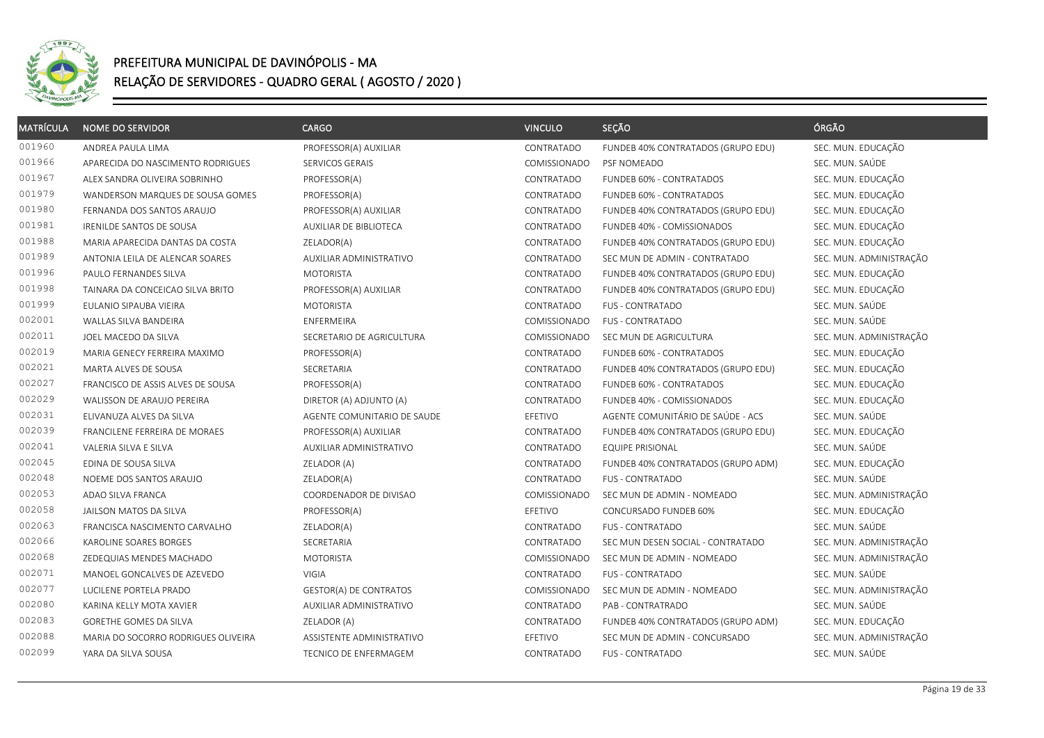

| <b>MATRÍCULA</b> | <b>NOME DO SERVIDOR</b>             | <b>CARGO</b>                | <b>VINCULO</b>      | SEÇÃO                              | ÓRGÃO                   |
|------------------|-------------------------------------|-----------------------------|---------------------|------------------------------------|-------------------------|
| 001960           | ANDREA PAULA LIMA                   | PROFESSOR(A) AUXILIAR       | CONTRATADO          | FUNDEB 40% CONTRATADOS (GRUPO EDU) | SEC. MUN. EDUCAÇÃO      |
| 001966           | APARECIDA DO NASCIMENTO RODRIGUES   | SERVICOS GERAIS             | COMISSIONADO        | PSF NOMEADO                        | SEC. MUN. SAÚDE         |
| 001967           | ALEX SANDRA OLIVEIRA SOBRINHO       | PROFESSOR(A)                | CONTRATADO          | FUNDEB 60% - CONTRATADOS           | SEC. MUN. EDUCAÇÃO      |
| 001979           | WANDERSON MARQUES DE SOUSA GOMES    | PROFESSOR(A)                | CONTRATADO          | FUNDEB 60% - CONTRATADOS           | SEC. MUN. EDUCAÇÃO      |
| 001980           | FERNANDA DOS SANTOS ARAUJO          | PROFESSOR(A) AUXILIAR       | CONTRATADO          | FUNDEB 40% CONTRATADOS (GRUPO EDU) | SEC. MUN. EDUCAÇÃO      |
| 001981           | <b>IRENILDE SANTOS DE SOUSA</b>     | AUXILIAR DE BIBLIOTECA      | CONTRATADO          | FUNDEB 40% - COMISSIONADOS         | SEC. MUN. EDUCAÇÃO      |
| 001988           | MARIA APARECIDA DANTAS DA COSTA     | ZELADOR(A)                  | CONTRATADO          | FUNDEB 40% CONTRATADOS (GRUPO EDU) | SEC. MUN. EDUCAÇÃO      |
| 001989           | ANTONIA LEILA DE ALENCAR SOARES     | AUXILIAR ADMINISTRATIVO     | CONTRATADO          | SEC MUN DE ADMIN - CONTRATADO      | SEC. MUN. ADMINISTRAÇÃO |
| 001996           | PAULO FERNANDES SILVA               | <b>MOTORISTA</b>            | CONTRATADO          | FUNDEB 40% CONTRATADOS (GRUPO EDU) | SEC. MUN. EDUCAÇÃO      |
| 001998           | TAINARA DA CONCEICAO SILVA BRITO    | PROFESSOR(A) AUXILIAR       | CONTRATADO          | FUNDEB 40% CONTRATADOS (GRUPO EDU) | SEC. MUN. EDUCAÇÃO      |
| 001999           | EULANIO SIPAUBA VIEIRA              | <b>MOTORISTA</b>            | CONTRATADO          | <b>FUS - CONTRATADO</b>            | SEC. MUN. SAÚDE         |
| 002001           | WALLAS SILVA BANDEIRA               | ENFERMEIRA                  | COMISSIONADO        | <b>FUS - CONTRATADO</b>            | SEC. MUN. SAÚDE         |
| 002011           | JOEL MACEDO DA SILVA                | SECRETARIO DE AGRICULTURA   | COMISSIONADO        | SEC MUN DE AGRICULTURA             | SEC. MUN. ADMINISTRAÇÃO |
| 002019           | MARIA GENECY FERREIRA MAXIMO        | PROFESSOR(A)                | CONTRATADO          | FUNDEB 60% - CONTRATADOS           | SEC. MUN. EDUCAÇÃO      |
| 002021           | MARTA ALVES DE SOUSA                | SECRETARIA                  | CONTRATADO          | FUNDEB 40% CONTRATADOS (GRUPO EDU) | SEC. MUN. EDUCAÇÃO      |
| 002027           | FRANCISCO DE ASSIS ALVES DE SOUSA   | PROFESSOR(A)                | CONTRATADO          | FUNDEB 60% - CONTRATADOS           | SEC. MUN. EDUCAÇÃO      |
| 002029           | WALISSON DE ARAUJO PEREIRA          | DIRETOR (A) ADJUNTO (A)     | CONTRATADO          | FUNDEB 40% - COMISSIONADOS         | SEC. MUN. EDUCAÇÃO      |
| 002031           | ELIVANUZA ALVES DA SILVA            | AGENTE COMUNITARIO DE SAUDE | EFETIVO             | AGENTE COMUNITÁRIO DE SAÚDE - ACS  | SEC. MUN. SAÚDE         |
| 002039           | FRANCILENE FERREIRA DE MORAES       | PROFESSOR(A) AUXILIAR       | CONTRATADO          | FUNDEB 40% CONTRATADOS (GRUPO EDU) | SEC. MUN. EDUCAÇÃO      |
| 002041           | VALERIA SILVA E SILVA               | AUXILIAR ADMINISTRATIVO     | CONTRATADO          | <b>EQUIPE PRISIONAL</b>            | SEC. MUN. SAÚDE         |
| 002045           | EDINA DE SOUSA SILVA                | ZELADOR (A)                 | CONTRATADO          | FUNDEB 40% CONTRATADOS (GRUPO ADM) | SEC. MUN. EDUCAÇÃO      |
| 002048           | NOEME DOS SANTOS ARAUJO             | ZELADOR(A)                  | CONTRATADO          | <b>FUS - CONTRATADO</b>            | SEC. MUN. SAÚDE         |
| 002053           | ADAO SILVA FRANCA                   | COORDENADOR DE DIVISAO      | <b>COMISSIONADO</b> | SEC MUN DE ADMIN - NOMEADO         | SEC. MUN. ADMINISTRAÇÃO |
| 002058           | JAILSON MATOS DA SILVA              | PROFESSOR(A)                | EFETIVO             | CONCURSADO FUNDEB 60%              | SEC. MUN. EDUCAÇÃO      |
| 002063           | FRANCISCA NASCIMENTO CARVALHO       | ZELADOR(A)                  | CONTRATADO          | <b>FUS - CONTRATADO</b>            | SEC. MUN. SAÚDE         |
| 002066           | KAROLINE SOARES BORGES              | SECRETARIA                  | CONTRATADO          | SEC MUN DESEN SOCIAL - CONTRATADO  | SEC. MUN. ADMINISTRAÇÃO |
| 002068           | ZEDEQUIAS MENDES MACHADO            | <b>MOTORISTA</b>            | COMISSIONADO        | SEC MUN DE ADMIN - NOMEADO         | SEC. MUN. ADMINISTRAÇÃO |
| 002071           | MANOEL GONCALVES DE AZEVEDO         | <b>VIGIA</b>                | CONTRATADO          | <b>FUS - CONTRATADO</b>            | SEC. MUN. SAÚDE         |
| 002077           | LUCILENE PORTELA PRADO              | GESTOR(A) DE CONTRATOS      | COMISSIONADO        | SEC MUN DE ADMIN - NOMEADO         | SEC. MUN. ADMINISTRAÇÃO |
| 002080           | KARINA KELLY MOTA XAVIER            | AUXILIAR ADMINISTRATIVO     | CONTRATADO          | PAB - CONTRATRADO                  | SEC. MUN. SAÚDE         |
| 002083           | GORETHE GOMES DA SILVA              | ZELADOR (A)                 | CONTRATADO          | FUNDEB 40% CONTRATADOS (GRUPO ADM) | SEC. MUN. EDUCAÇÃO      |
| 002088           | MARIA DO SOCORRO RODRIGUES OLIVEIRA | ASSISTENTE ADMINISTRATIVO   | EFETIVO             | SEC MUN DE ADMIN - CONCURSADO      | SEC. MUN. ADMINISTRAÇÃO |
| 002099           | YARA DA SILVA SOUSA                 | TECNICO DE ENFERMAGEM       | CONTRATADO          | FUS - CONTRATADO                   | SEC. MUN. SAÚDE         |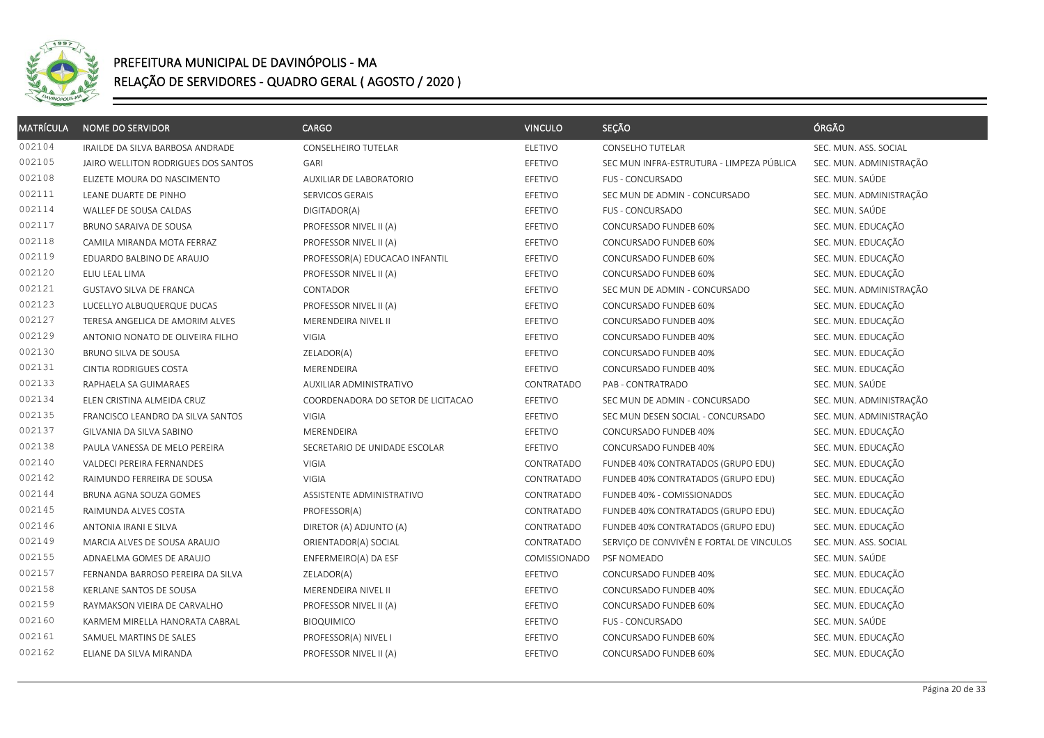

| <b>MATRÍCULA</b> | <b>NOME DO SERVIDOR</b>             | <b>CARGO</b>                       | <b>VINCULO</b> | SEÇÃO                                     | ÓRGÃO                   |
|------------------|-------------------------------------|------------------------------------|----------------|-------------------------------------------|-------------------------|
| 002104           | IRAILDE DA SILVA BARBOSA ANDRADE    | CONSELHEIRO TUTELAR                | <b>ELETIVO</b> | <b>CONSELHO TUTELAR</b>                   | SEC. MUN. ASS. SOCIAL   |
| 002105           | JAIRO WELLITON RODRIGUES DOS SANTOS | GARI                               | EFETIVO        | SEC MUN INFRA-ESTRUTURA - LIMPEZA PÚBLICA | SEC. MUN. ADMINISTRAÇÃO |
| 002108           | ELIZETE MOURA DO NASCIMENTO         | AUXILIAR DE LABORATORIO            | EFETIVO        | <b>FUS - CONCURSADO</b>                   | SEC. MUN. SAÚDE         |
| 002111           | LEANE DUARTE DE PINHO               | SERVICOS GERAIS                    | EFETIVO        | SEC MUN DE ADMIN - CONCURSADO             | SEC. MUN. ADMINISTRAÇÃO |
| 002114           | WALLEF DE SOUSA CALDAS              | DIGITADOR(A)                       | EFETIVO        | <b>FUS - CONCURSADO</b>                   | SEC. MUN. SAÚDE         |
| 002117           | BRUNO SARAIVA DE SOUSA              | PROFESSOR NIVEL II (A)             | EFETIVO        | CONCURSADO FUNDEB 60%                     | SEC. MUN. EDUCAÇÃO      |
| 002118           | CAMILA MIRANDA MOTA FERRAZ          | PROFESSOR NIVEL II (A)             | EFETIVO        | CONCURSADO FUNDEB 60%                     | SEC. MUN. EDUCAÇÃO      |
| 002119           | EDUARDO BALBINO DE ARAUJO           | PROFESSOR(A) EDUCACAO INFANTIL     | EFETIVO        | CONCURSADO FUNDEB 60%                     | SEC. MUN. EDUCAÇÃO      |
| 002120           | ELIU LEAL LIMA                      | PROFESSOR NIVEL II (A)             | EFETIVO        | CONCURSADO FUNDEB 60%                     | SEC. MUN. EDUCAÇÃO      |
| 002121           | GUSTAVO SILVA DE FRANCA             | CONTADOR                           | EFETIVO        | SEC MUN DE ADMIN - CONCURSADO             | SEC. MUN. ADMINISTRAÇÃO |
| 002123           | LUCELLYO ALBUQUERQUE DUCAS          | PROFESSOR NIVEL II (A)             | EFETIVO        | CONCURSADO FUNDEB 60%                     | SEC. MUN. EDUCAÇÃO      |
| 002127           | TERESA ANGELICA DE AMORIM ALVES     | MERENDEIRA NIVEL II                | EFETIVO        | CONCURSADO FUNDEB 40%                     | SEC. MUN. EDUCAÇÃO      |
| 002129           | ANTONIO NONATO DE OLIVEIRA FILHO    | VIGIA                              | EFETIVO        | CONCURSADO FUNDEB 40%                     | SEC. MUN. EDUCAÇÃO      |
| 002130           | BRUNO SILVA DE SOUSA                | ZELADOR(A)                         | EFETIVO        | CONCURSADO FUNDEB 40%                     | SEC. MUN. EDUCAÇÃO      |
| 002131           | CINTIA RODRIGUES COSTA              | MERENDEIRA                         | EFETIVO        | CONCURSADO FUNDEB 40%                     | SEC. MUN. EDUCAÇÃO      |
| 002133           | RAPHAELA SA GUIMARAES               | AUXILIAR ADMINISTRATIVO            | CONTRATADO     | PAB - CONTRATRADO                         | SEC. MUN. SAÚDE         |
| 002134           | ELEN CRISTINA ALMEIDA CRUZ          | COORDENADORA DO SETOR DE LICITACAO | EFETIVO        | SEC MUN DE ADMIN - CONCURSADO             | SEC. MUN. ADMINISTRAÇÃO |
| 002135           | FRANCISCO LEANDRO DA SILVA SANTOS   | <b>VIGIA</b>                       | EFETIVO        | SEC MUN DESEN SOCIAL - CONCURSADO         | SEC. MUN. ADMINISTRAÇÃO |
| 002137           | GILVANIA DA SILVA SABINO            | MERENDEIRA                         | EFETIVO        | CONCURSADO FUNDEB 40%                     | SEC. MUN. EDUCAÇÃO      |
| 002138           | PAULA VANESSA DE MELO PEREIRA       | SECRETARIO DE UNIDADE ESCOLAR      | EFETIVO        | CONCURSADO FUNDEB 40%                     | SEC. MUN. EDUCAÇÃO      |
| 002140           | VALDECI PEREIRA FERNANDES           | <b>VIGIA</b>                       | CONTRATADO     | FUNDEB 40% CONTRATADOS (GRUPO EDU)        | SEC. MUN. EDUCAÇÃO      |
| 002142           | RAIMUNDO FERREIRA DE SOUSA          | <b>VIGIA</b>                       | CONTRATADO     | FUNDEB 40% CONTRATADOS (GRUPO EDU)        | SEC. MUN. EDUCAÇÃO      |
| 002144           | BRUNA AGNA SOUZA GOMES              | ASSISTENTE ADMINISTRATIVO          | CONTRATADO     | FUNDEB 40% - COMISSIONADOS                | SEC. MUN. EDUCAÇÃO      |
| 002145           | RAIMUNDA ALVES COSTA                | PROFESSOR(A)                       | CONTRATADO     | FUNDEB 40% CONTRATADOS (GRUPO EDU)        | SEC. MUN. EDUCAÇÃO      |
| 002146           | ANTONIA IRANI E SILVA               | DIRETOR (A) ADJUNTO (A)            | CONTRATADO     | FUNDEB 40% CONTRATADOS (GRUPO EDU)        | SEC. MUN. EDUCAÇÃO      |
| 002149           | MARCIA ALVES DE SOUSA ARAUJO        | ORIENTADOR(A) SOCIAL               | CONTRATADO     | SERVIÇO DE CONVIVÊN E FORTAL DE VINCULOS  | SEC. MUN. ASS. SOCIAL   |
| 002155           | ADNAELMA GOMES DE ARAUJO            | ENFERMEIRO(A) DA ESF               | COMISSIONADO   | PSF NOMEADO                               | SEC. MUN. SAÚDE         |
| 002157           | FERNANDA BARROSO PEREIRA DA SILVA   | ZELADOR(A)                         | EFETIVO        | CONCURSADO FUNDEB 40%                     | SEC. MUN. EDUCAÇÃO      |
| 002158           | KERLANE SANTOS DE SOUSA             | MERENDEIRA NIVEL II                | EFETIVO        | CONCURSADO FUNDEB 40%                     | SEC. MUN. EDUCAÇÃO      |
| 002159           | RAYMAKSON VIEIRA DE CARVALHO        | PROFESSOR NIVEL II (A)             | EFETIVO        | CONCURSADO FUNDEB 60%                     | SEC. MUN. EDUCAÇÃO      |
| 002160           | KARMEM MIRELLA HANORATA CABRAL      | <b>BIOQUIMICO</b>                  | EFETIVO        | FUS - CONCURSADO                          | SEC. MUN. SAÚDE         |
| 002161           | SAMUEL MARTINS DE SALES             | PROFESSOR(A) NIVEL I               | EFETIVO        | CONCURSADO FUNDEB 60%                     | SEC. MUN. EDUCAÇÃO      |
| 002162           | ELIANE DA SILVA MIRANDA             | PROFESSOR NIVEL II (A)             | EFETIVO        | CONCURSADO FUNDEB 60%                     | SEC. MUN. EDUCAÇÃO      |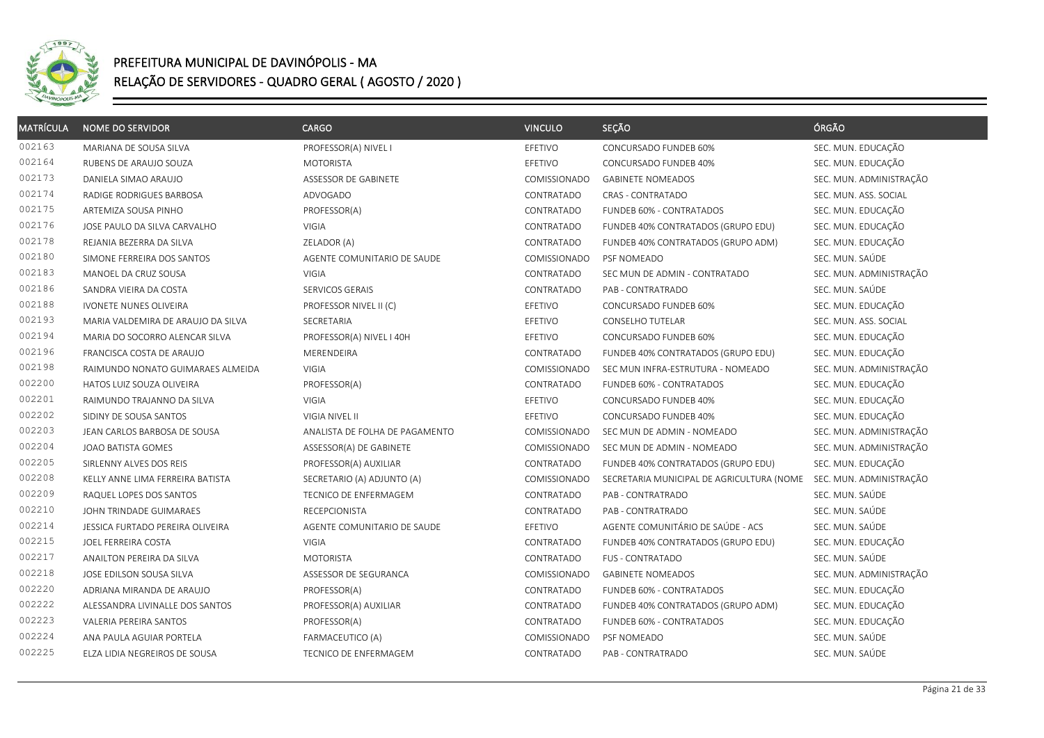

| <b>MATRÍCULA</b> | <b>NOME DO SERVIDOR</b>            | <b>CARGO</b>                   | <b>VINCULO</b> | SEÇÃO                                     | ÓRGÃO                   |
|------------------|------------------------------------|--------------------------------|----------------|-------------------------------------------|-------------------------|
| 002163           | MARIANA DE SOUSA SILVA             | PROFESSOR(A) NIVEL I           | EFETIVO        | CONCURSADO FUNDEB 60%                     | SEC. MUN. EDUCAÇÃO      |
| 002164           | RUBENS DE ARAUJO SOUZA             | <b>MOTORISTA</b>               | EFETIVO        | CONCURSADO FUNDEB 40%                     | SEC. MUN. EDUCAÇÃO      |
| 002173           | DANIELA SIMAO ARAUJO               | ASSESSOR DE GABINETE           | COMISSIONADO   | <b>GABINETE NOMEADOS</b>                  | SEC. MUN. ADMINISTRAÇÃO |
| 002174           | RADIGE RODRIGUES BARBOSA           | ADVOGADO                       | CONTRATADO     | <b>CRAS - CONTRATADO</b>                  | SEC. MUN. ASS. SOCIAL   |
| 002175           | ARTEMIZA SOUSA PINHO               | PROFESSOR(A)                   | CONTRATADO     | FUNDEB 60% - CONTRATADOS                  | SEC. MUN. EDUCAÇÃO      |
| 002176           | JOSE PAULO DA SILVA CARVALHO       | VIGIA                          | CONTRATADO     | FUNDEB 40% CONTRATADOS (GRUPO EDU)        | SEC. MUN. EDUCAÇÃO      |
| 002178           | REJANIA BEZERRA DA SILVA           | ZELADOR (A)                    | CONTRATADO     | FUNDEB 40% CONTRATADOS (GRUPO ADM)        | SEC. MUN. EDUCAÇÃO      |
| 002180           | SIMONE FERREIRA DOS SANTOS         | AGENTE COMUNITARIO DE SAUDE    | COMISSIONADO   | PSF NOMEADO                               | SEC. MUN. SAÚDE         |
| 002183           | MANOEL DA CRUZ SOUSA               | VIGIA                          | CONTRATADO     | SEC MUN DE ADMIN - CONTRATADO             | SEC. MUN. ADMINISTRAÇÃO |
| 002186           | SANDRA VIEIRA DA COSTA             | SERVICOS GERAIS                | CONTRATADO     | PAB - CONTRATRADO                         | SEC. MUN. SAÚDE         |
| 002188           | <b>IVONETE NUNES OLIVEIRA</b>      | PROFESSOR NIVEL II (C)         | EFETIVO        | CONCURSADO FUNDEB 60%                     | SEC. MUN. EDUCAÇÃO      |
| 002193           | MARIA VALDEMIRA DE ARAUJO DA SILVA | SECRETARIA                     | EFETIVO        | <b>CONSELHO TUTELAR</b>                   | SEC. MUN. ASS. SOCIAL   |
| 002194           | MARIA DO SOCORRO ALENCAR SILVA     | PROFESSOR(A) NIVEL I 40H       | EFETIVO        | CONCURSADO FUNDEB 60%                     | SEC. MUN. EDUCAÇÃO      |
| 002196           | FRANCISCA COSTA DE ARAUJO          | MERENDEIRA                     | CONTRATADO     | FUNDEB 40% CONTRATADOS (GRUPO EDU)        | SEC. MUN. EDUCAÇÃO      |
| 002198           | RAIMUNDO NONATO GUIMARAES ALMEIDA  | VIGIA                          | COMISSIONADO   | SEC MUN INFRA-ESTRUTURA - NOMEADO         | SEC. MUN. ADMINISTRAÇÃO |
| 002200           | HATOS LUIZ SOUZA OLIVEIRA          | PROFESSOR(A)                   | CONTRATADO     | FUNDEB 60% - CONTRATADOS                  | SEC. MUN. EDUCAÇÃO      |
| 002201           | RAIMUNDO TRAJANNO DA SILVA         | <b>VIGIA</b>                   | EFETIVO        | CONCURSADO FUNDEB 40%                     | SEC. MUN. EDUCAÇÃO      |
| 002202           | SIDINY DE SOUSA SANTOS             | VIGIA NIVEL II                 | EFETIVO        | CONCURSADO FUNDEB 40%                     | SEC. MUN. EDUCAÇÃO      |
| 002203           | JEAN CARLOS BARBOSA DE SOUSA       | ANALISTA DE FOLHA DE PAGAMENTO | COMISSIONADO   | SEC MUN DE ADMIN - NOMEADO                | SEC. MUN. ADMINISTRAÇÃO |
| 002204           | JOAO BATISTA GOMES                 | ASSESSOR(A) DE GABINETE        | COMISSIONADO   | SEC MUN DE ADMIN - NOMEADO                | SEC. MUN. ADMINISTRAÇÃO |
| 002205           | SIRLENNY ALVES DOS REIS            | PROFESSOR(A) AUXILIAR          | CONTRATADO     | FUNDEB 40% CONTRATADOS (GRUPO EDU)        | SEC. MUN. EDUCAÇÃO      |
| 002208           | KELLY ANNE LIMA FERREIRA BATISTA   | SECRETARIO (A) ADJUNTO (A)     | COMISSIONADO   | SECRETARIA MUNICIPAL DE AGRICULTURA (NOME | SEC. MUN. ADMINISTRAÇÃO |
| 002209           | RAQUEL LOPES DOS SANTOS            | TECNICO DE ENFERMAGEM          | CONTRATADO     | PAB - CONTRATRADO                         | SEC. MUN. SAÚDE         |
| 002210           | JOHN TRINDADE GUIMARAES            | RECEPCIONISTA                  | CONTRATADO     | PAB - CONTRATRADO                         | SEC. MUN. SAÚDE         |
| 002214           | JESSICA FURTADO PEREIRA OLIVEIRA   | AGENTE COMUNITARIO DE SAUDE    | EFETIVO        | AGENTE COMUNITÁRIO DE SAÚDE - ACS         | SEC. MUN. SAÚDE         |
| 002215           | JOEL FERREIRA COSTA                | <b>VIGIA</b>                   | CONTRATADO     | FUNDEB 40% CONTRATADOS (GRUPO EDU)        | SEC. MUN. EDUCAÇÃO      |
| 002217           | ANAILTON PEREIRA DA SILVA          | <b>MOTORISTA</b>               | CONTRATADO     | FUS - CONTRATADO                          | SEC. MUN. SAÚDE         |
| 002218           | JOSE EDILSON SOUSA SILVA           | ASSESSOR DE SEGURANCA          | COMISSIONADO   | <b>GABINETE NOMEADOS</b>                  | SEC. MUN. ADMINISTRAÇÃO |
| 002220           | ADRIANA MIRANDA DE ARAUJO          | PROFESSOR(A)                   | CONTRATADO     | FUNDEB 60% - CONTRATADOS                  | SEC. MUN. EDUCAÇÃO      |
| 002222           | ALESSANDRA LIVINALLE DOS SANTOS    | PROFESSOR(A) AUXILIAR          | CONTRATADO     | FUNDEB 40% CONTRATADOS (GRUPO ADM)        | SEC. MUN. EDUCAÇÃO      |
| 002223           | VALERIA PEREIRA SANTOS             | PROFESSOR(A)                   | CONTRATADO     | FUNDEB 60% - CONTRATADOS                  | SEC. MUN. EDUCAÇÃO      |
| 002224           | ANA PAULA AGUIAR PORTELA           | FARMACEUTICO (A)               | COMISSIONADO   | PSF NOMEADO                               | SEC. MUN. SAÚDE         |
| 002225           | ELZA LIDIA NEGREIROS DE SOUSA      | TECNICO DE ENFERMAGEM          | CONTRATADO     | PAB - CONTRATRADO                         | SEC. MUN. SAÚDE         |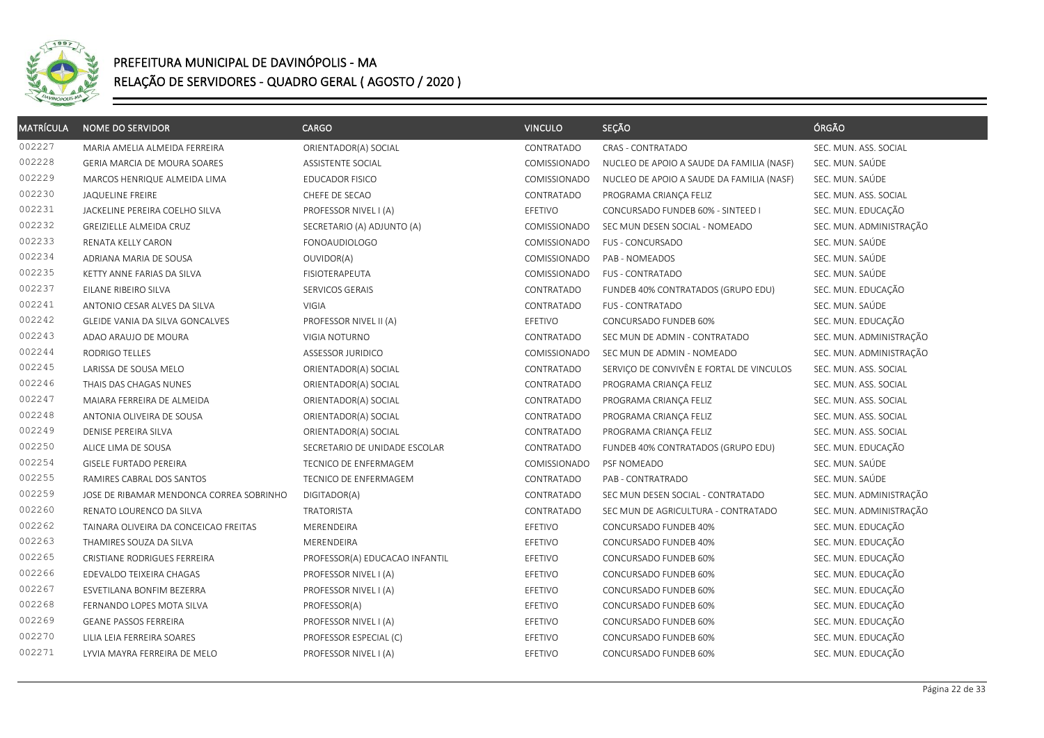

| <b>MATRÍCULA</b> | <b>NOME DO SERVIDOR</b>                  | CARGO                          | <b>VINCULO</b> | SEÇÃO                                     | ÓRGÃO                   |
|------------------|------------------------------------------|--------------------------------|----------------|-------------------------------------------|-------------------------|
| 002227           | MARIA AMELIA ALMEIDA FERREIRA            | ORIENTADOR(A) SOCIAL           | CONTRATADO     | CRAS - CONTRATADO                         | SEC. MUN. ASS. SOCIAL   |
| 002228           | GERIA MARCIA DE MOURA SOARES             | ASSISTENTE SOCIAL              | COMISSIONADO   | NUCLEO DE APOIO A SAUDE DA FAMILIA (NASF) | SEC. MUN. SAÚDE         |
| 002229           | MARCOS HENRIQUE ALMEIDA LIMA             | <b>EDUCADOR FISICO</b>         | COMISSIONADO   | NUCLEO DE APOIO A SAUDE DA FAMILIA (NASF) | SEC. MUN. SAÚDE         |
| 002230           | <b>JAQUELINE FREIRE</b>                  | CHEFE DE SECAO                 | CONTRATADO     | PROGRAMA CRIANÇA FELIZ                    | SEC. MUN. ASS. SOCIAL   |
| 002231           | JACKELINE PEREIRA COELHO SILVA           | PROFESSOR NIVEL I (A)          | EFETIVO        | CONCURSADO FUNDEB 60% - SINTEED I         | SEC. MUN. EDUCAÇÃO      |
| 002232           | GREIZIELLE ALMEIDA CRUZ                  | SECRETARIO (A) ADJUNTO (A)     | COMISSIONADO   | SEC MUN DESEN SOCIAL - NOMEADO            | SEC. MUN. ADMINISTRAÇÃO |
| 002233           | RENATA KELLY CARON                       | <b>FONOAUDIOLOGO</b>           | COMISSIONADO   | FUS - CONCURSADO                          | SEC. MUN. SAÚDE         |
| 002234           | ADRIANA MARIA DE SOUSA                   | OUVIDOR(A)                     | COMISSIONADO   | PAB - NOMEADOS                            | SEC. MUN. SAÚDE         |
| 002235           | KETTY ANNE FARIAS DA SILVA               | FISIOTERAPEUTA                 | COMISSIONADO   | <b>FUS - CONTRATADO</b>                   | SEC. MUN. SAÚDE         |
| 002237           | EILANE RIBEIRO SILVA                     | SERVICOS GERAIS                | CONTRATADO     | FUNDEB 40% CONTRATADOS (GRUPO EDU)        | SEC. MUN. EDUCAÇÃO      |
| 002241           | ANTONIO CESAR ALVES DA SILVA             | VIGIA                          | CONTRATADO     | <b>FUS - CONTRATADO</b>                   | SEC. MUN. SAÚDE         |
| 002242           | GLEIDE VANIA DA SILVA GONCALVES          | PROFESSOR NIVEL II (A)         | EFETIVO        | CONCURSADO FUNDEB 60%                     | SEC. MUN. EDUCAÇÃO      |
| 002243           | ADAO ARAUJO DE MOURA                     | VIGIA NOTURNO                  | CONTRATADO     | SEC MUN DE ADMIN - CONTRATADO             | SEC. MUN. ADMINISTRAÇÃO |
| 002244           | RODRIGO TELLES                           | ASSESSOR JURIDICO              | COMISSIONADO   | SEC MUN DE ADMIN - NOMEADO                | SEC. MUN. ADMINISTRAÇÃO |
| 002245           | LARISSA DE SOUSA MELO                    | ORIENTADOR(A) SOCIAL           | CONTRATADO     | SERVICO DE CONVIVÊN E FORTAL DE VINCULOS  | SEC. MUN. ASS. SOCIAL   |
| 002246           | THAIS DAS CHAGAS NUNES                   | ORIENTADOR(A) SOCIAL           | CONTRATADO     | PROGRAMA CRIANÇA FELIZ                    | SEC. MUN. ASS. SOCIAL   |
| 002247           | MAIARA FERREIRA DE ALMEIDA               | ORIENTADOR(A) SOCIAL           | CONTRATADO     | PROGRAMA CRIANÇA FELIZ                    | SEC. MUN. ASS. SOCIAL   |
| 002248           | ANTONIA OLIVEIRA DE SOUSA                | ORIENTADOR(A) SOCIAL           | CONTRATADO     | PROGRAMA CRIANÇA FELIZ                    | SEC. MUN. ASS. SOCIAL   |
| 002249           | DENISE PEREIRA SILVA                     | ORIENTADOR(A) SOCIAL           | CONTRATADO     | PROGRAMA CRIANÇA FELIZ                    | SEC. MUN. ASS. SOCIAL   |
| 002250           | ALICE LIMA DE SOUSA                      | SECRETARIO DE UNIDADE ESCOLAR  | CONTRATADO     | FUNDEB 40% CONTRATADOS (GRUPO EDU)        | SEC. MUN. EDUCAÇÃO      |
| 002254           | <b>GISELE FURTADO PEREIRA</b>            | TECNICO DE ENFERMAGEM          | COMISSIONADO   | PSF NOMEADO                               | SEC. MUN. SAÚDE         |
| 002255           | RAMIRES CABRAL DOS SANTOS                | TECNICO DE ENFERMAGEM          | CONTRATADO     | PAB - CONTRATRADO                         | SEC. MUN. SAÚDE         |
| 002259           | JOSE DE RIBAMAR MENDONCA CORREA SOBRINHO | DIGITADOR(A)                   | CONTRATADO     | SEC MUN DESEN SOCIAL - CONTRATADO         | SEC. MUN. ADMINISTRAÇÃO |
| 002260           | RENATO LOURENCO DA SILVA                 | <b>TRATORISTA</b>              | CONTRATADO     | SEC MUN DE AGRICULTURA - CONTRATADO       | SEC. MUN. ADMINISTRAÇÃO |
| 002262           | TAINARA OLIVEIRA DA CONCEICAO FREITAS    | MERENDEIRA                     | EFETIVO        | CONCURSADO FUNDEB 40%                     | SEC. MUN. EDUCAÇÃO      |
| 002263           | THAMIRES SOUZA DA SILVA                  | MERENDEIRA                     | EFETIVO        | CONCURSADO FUNDEB 40%                     | SEC. MUN. EDUCAÇÃO      |
| 002265           | CRISTIANE RODRIGUES FERREIRA             | PROFESSOR(A) EDUCACAO INFANTIL | EFETIVO        | CONCURSADO FUNDEB 60%                     | SEC. MUN. EDUCAÇÃO      |
| 002266           | EDEVALDO TEIXEIRA CHAGAS                 | PROFESSOR NIVEL I (A)          | EFETIVO        | CONCURSADO FUNDEB 60%                     | SEC. MUN. EDUCAÇÃO      |
| 002267           | ESVETILANA BONFIM BEZERRA                | PROFESSOR NIVEL I (A)          | EFETIVO        | CONCURSADO FUNDEB 60%                     | SEC. MUN. EDUCAÇÃO      |
| 002268           | FERNANDO LOPES MOTA SILVA                | PROFESSOR(A)                   | EFETIVO        | CONCURSADO FUNDEB 60%                     | SEC. MUN. EDUCAÇÃO      |
| 002269           | <b>GEANE PASSOS FERREIRA</b>             | PROFESSOR NIVEL I (A)          | EFETIVO        | CONCURSADO FUNDEB 60%                     | SEC. MUN. EDUCAÇÃO      |
| 002270           | LILIA LEIA FERREIRA SOARES               | PROFESSOR ESPECIAL (C)         | EFETIVO        | CONCURSADO FUNDEB 60%                     | SEC. MUN. EDUCAÇÃO      |
| 002271           | LYVIA MAYRA FERREIRA DE MELO             | PROFESSOR NIVEL I (A)          | EFETIVO        | CONCURSADO FUNDEB 60%                     | SEC. MUN. EDUCAÇÃO      |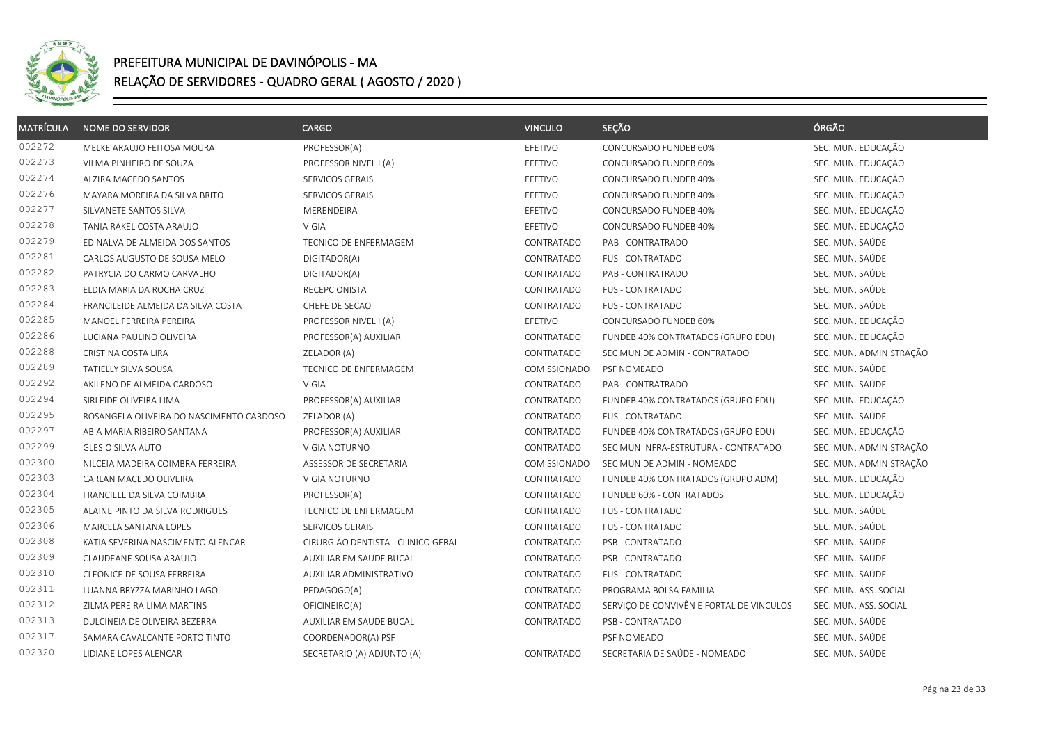

| <b>MATRÍCULA</b> | <b>NOME DO SERVIDOR</b>                  | <b>CARGO</b>                       | <b>VINCULO</b> | SEÇÃO                                    | ÓRGÃO                   |
|------------------|------------------------------------------|------------------------------------|----------------|------------------------------------------|-------------------------|
| 002272           | MELKE ARAUJO FEITOSA MOURA               | PROFESSOR(A)                       | EFETIVO        | CONCURSADO FUNDEB 60%                    | SEC. MUN. EDUCAÇÃO      |
| 002273           | VILMA PINHEIRO DE SOUZA                  | PROFESSOR NIVEL I (A)              | EFETIVO        | CONCURSADO FUNDEB 60%                    | SEC. MUN. EDUCAÇÃO      |
| 002274           | ALZIRA MACEDO SANTOS                     | SERVICOS GERAIS                    | EFETIVO        | CONCURSADO FUNDEB 40%                    | SEC. MUN. EDUCAÇÃO      |
| 002276           | MAYARA MOREIRA DA SILVA BRITO            | SERVICOS GERAIS                    | EFETIVO        | CONCURSADO FUNDEB 40%                    | SEC. MUN. EDUCAÇÃO      |
| 002277           | SILVANETE SANTOS SILVA                   | MERENDEIRA                         | EFETIVO        | CONCURSADO FUNDEB 40%                    | SEC. MUN. EDUCAÇÃO      |
| 002278           | TANIA RAKEL COSTA ARAUJO                 | <b>VIGIA</b>                       | EFETIVO        | CONCURSADO FUNDEB 40%                    | SEC. MUN. EDUCAÇÃO      |
| 002279           | EDINALVA DE ALMEIDA DOS SANTOS           | TECNICO DE ENFERMAGEM              | CONTRATADO     | PAB - CONTRATRADO                        | SEC. MUN. SAÚDE         |
| 002281           | CARLOS AUGUSTO DE SOUSA MELO             | DIGITADOR(A)                       | CONTRATADO     | <b>FUS - CONTRATADO</b>                  | SEC. MUN. SAÚDE         |
| 002282           | PATRYCIA DO CARMO CARVALHO               | DIGITADOR(A)                       | CONTRATADO     | PAB - CONTRATRADO                        | SEC. MUN. SAÚDE         |
| 002283           | ELDIA MARIA DA ROCHA CRUZ                | RECEPCIONISTA                      | CONTRATADO     | FUS - CONTRATADO                         | SEC. MUN. SAÚDE         |
| 002284           | FRANCILEIDE ALMEIDA DA SILVA COSTA       | CHEFE DE SECAO                     | CONTRATADO     | FUS - CONTRATADO                         | SEC. MUN. SAÚDE         |
| 002285           | MANOEL FERREIRA PEREIRA                  | PROFESSOR NIVEL I (A)              | EFETIVO        | CONCURSADO FUNDEB 60%                    | SEC. MUN. EDUCAÇÃO      |
| 002286           | LUCIANA PAULINO OLIVEIRA                 | PROFESSOR(A) AUXILIAR              | CONTRATADO     | FUNDEB 40% CONTRATADOS (GRUPO EDU)       | SEC. MUN. EDUCAÇÃO      |
| 002288           | CRISTINA COSTA LIRA                      | ZELADOR (A)                        | CONTRATADO     | SEC MUN DE ADMIN - CONTRATADO            | SEC. MUN. ADMINISTRAÇÃO |
| 002289           | <b>TATIELLY SILVA SOUSA</b>              | TECNICO DE ENFERMAGEM              | COMISSIONADO   | PSF NOMEADO                              | SEC. MUN. SAÚDE         |
| 002292           | AKILENO DE ALMEIDA CARDOSO               | VIGIA                              | CONTRATADO     | PAB - CONTRATRADO                        | SEC. MUN. SAÚDE         |
| 002294           | SIRLEIDE OLIVEIRA LIMA                   | PROFESSOR(A) AUXILIAR              | CONTRATADO     | FUNDEB 40% CONTRATADOS (GRUPO EDU)       | SEC. MUN. EDUCAÇÃO      |
| 002295           | ROSANGELA OLIVEIRA DO NASCIMENTO CARDOSO | ZELADOR (A)                        | CONTRATADO     | FUS - CONTRATADO                         | SEC. MUN. SAÚDE         |
| 002297           | ABIA MARIA RIBEIRO SANTANA               | PROFESSOR(A) AUXILIAR              | CONTRATADO     | FUNDEB 40% CONTRATADOS (GRUPO EDU)       | SEC. MUN. EDUCAÇÃO      |
| 002299           | <b>GLESIO SILVA AUTO</b>                 | <b>VIGIA NOTURNO</b>               | CONTRATADO     | SEC MUN INFRA-ESTRUTURA - CONTRATADO     | SEC. MUN. ADMINISTRAÇÃO |
| 002300           | NILCEIA MADEIRA COIMBRA FERREIRA         | ASSESSOR DE SECRETARIA             | COMISSIONADO   | SEC MUN DE ADMIN - NOMEADO               | SEC. MUN. ADMINISTRAÇÃO |
| 002303           | CARLAN MACEDO OLIVEIRA                   | VIGIA NOTURNO                      | CONTRATADO     | FUNDEB 40% CONTRATADOS (GRUPO ADM)       | SEC. MUN. EDUCAÇÃO      |
| 002304           | FRANCIELE DA SILVA COIMBRA               | PROFESSOR(A)                       | CONTRATADO     | FUNDEB 60% - CONTRATADOS                 | SEC. MUN. EDUCAÇÃO      |
| 002305           | ALAINE PINTO DA SILVA RODRIGUES          | TECNICO DE ENFERMAGEM              | CONTRATADO     | <b>FUS - CONTRATADO</b>                  | SEC. MUN. SAÚDE         |
| 002306           | MARCELA SANTANA LOPES                    | SERVICOS GERAIS                    | CONTRATADO     | FUS - CONTRATADO                         | SEC. MUN. SAÚDE         |
| 002308           | KATIA SEVERINA NASCIMENTO ALENCAR        | CIRURGIÃO DENTISTA - CLINICO GERAL | CONTRATADO     | PSB - CONTRATADO                         | SEC. MUN. SAÚDE         |
| 002309           | CLAUDEANE SOUSA ARAUJO                   | AUXILIAR EM SAUDE BUCAL            | CONTRATADO     | PSB - CONTRATADO                         | SEC. MUN. SAÚDE         |
| 002310           | CLEONICE DE SOUSA FERREIRA               | AUXILIAR ADMINISTRATIVO            | CONTRATADO     | <b>FUS - CONTRATADO</b>                  | SEC. MUN. SAÚDE         |
| 002311           | LUANNA BRYZZA MARINHO LAGO               | PEDAGOGO(A)                        | CONTRATADO     | PROGRAMA BOLSA FAMILIA                   | SEC. MUN. ASS. SOCIAL   |
| 002312           | ZILMA PEREIRA LIMA MARTINS               | OFICINEIRO(A)                      | CONTRATADO     | SERVIÇO DE CONVIVÊN E FORTAL DE VINCULOS | SEC. MUN. ASS. SOCIAL   |
| 002313           | DULCINEIA DE OLIVEIRA BEZERRA            | AUXILIAR EM SAUDE BUCAL            | CONTRATADO     | PSB - CONTRATADO                         | SEC. MUN. SAÚDE         |
| 002317           | SAMARA CAVALCANTE PORTO TINTO            | COORDENADOR(A) PSF                 |                | PSF NOMEADO                              | SEC. MUN. SAÚDE         |
| 002320           | LIDIANE LOPES ALENCAR                    | SECRETARIO (A) ADJUNTO (A)         | CONTRATADO     | SECRETARIA DE SAÚDE - NOMEADO            | SEC. MUN. SAÚDE         |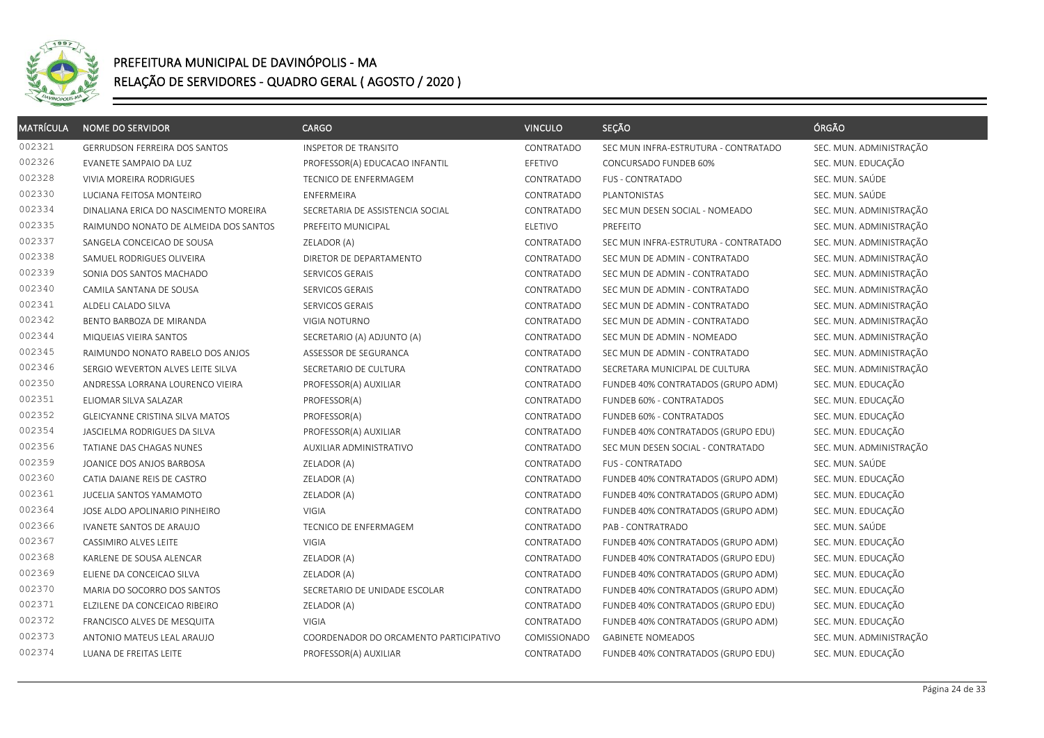

| <b>MATRÍCULA</b> | <b>NOME DO SERVIDOR</b>                | <b>CARGO</b>                           | <b>VINCULO</b> | SEÇÃO                                | ÓRGÃO                   |
|------------------|----------------------------------------|----------------------------------------|----------------|--------------------------------------|-------------------------|
| 002321           | <b>GERRUDSON FERREIRA DOS SANTOS</b>   | INSPETOR DE TRANSITO                   | CONTRATADO     | SEC MUN INFRA-ESTRUTURA - CONTRATADO | SEC. MUN. ADMINISTRAÇÃO |
| 002326           | EVANETE SAMPAIO DA LUZ                 | PROFESSOR(A) EDUCACAO INFANTIL         | EFETIVO        | CONCURSADO FUNDEB 60%                | SEC. MUN. EDUCAÇÃO      |
| 002328           | VIVIA MOREIRA RODRIGUES                | TECNICO DE ENFERMAGEM                  | CONTRATADO     | <b>FUS - CONTRATADO</b>              | SEC. MUN. SAÚDE         |
| 002330           | LUCIANA FEITOSA MONTEIRO               | <b>ENFERMEIRA</b>                      | CONTRATADO     | PLANTONISTAS                         | SEC. MUN. SAÚDE         |
| 002334           | DINALIANA ERICA DO NASCIMENTO MOREIRA  | SECRETARIA DE ASSISTENCIA SOCIAL       | CONTRATADO     | SEC MUN DESEN SOCIAL - NOMEADO       | SEC. MUN. ADMINISTRAÇÃO |
| 002335           | RAIMUNDO NONATO DE ALMEIDA DOS SANTOS  | PREFEITO MUNICIPAL                     | ELETIVO        | PREFEITO                             | SEC. MUN. ADMINISTRAÇÃO |
| 002337           | SANGELA CONCEICAO DE SOUSA             | ZELADOR (A)                            | CONTRATADO     | SEC MUN INFRA-ESTRUTURA - CONTRATADO | SEC. MUN. ADMINISTRAÇÃO |
| 002338           | SAMUEL RODRIGUES OLIVEIRA              | DIRETOR DE DEPARTAMENTO                | CONTRATADO     | SEC MUN DE ADMIN - CONTRATADO        | SEC. MUN. ADMINISTRAÇÃO |
| 002339           | SONIA DOS SANTOS MACHADO               | SERVICOS GERAIS                        | CONTRATADO     | SEC MUN DE ADMIN - CONTRATADO        | SEC. MUN. ADMINISTRAÇÃO |
| 002340           | CAMILA SANTANA DE SOUSA                | SERVICOS GERAIS                        | CONTRATADO     | SEC MUN DE ADMIN - CONTRATADO        | SEC. MUN. ADMINISTRAÇÃO |
| 002341           | ALDELI CALADO SILVA                    | SERVICOS GERAIS                        | CONTRATADO     | SEC MUN DE ADMIN - CONTRATADO        | SEC. MUN. ADMINISTRAÇÃO |
| 002342           | BENTO BARBOZA DE MIRANDA               | VIGIA NOTURNO                          | CONTRATADO     | SEC MUN DE ADMIN - CONTRATADO        | SEC. MUN. ADMINISTRAÇÃO |
| 002344           | MIQUEIAS VIEIRA SANTOS                 | SECRETARIO (A) ADJUNTO (A)             | CONTRATADO     | SEC MUN DE ADMIN - NOMEADO           | SEC. MUN. ADMINISTRAÇÃO |
| 002345           | RAIMUNDO NONATO RABELO DOS ANJOS       | ASSESSOR DE SEGURANCA                  | CONTRATADO     | SEC MUN DE ADMIN - CONTRATADO        | SEC. MUN. ADMINISTRAÇÃO |
| 002346           | SERGIO WEVERTON ALVES LEITE SILVA      | SECRETARIO DE CULTURA                  | CONTRATADO     | SECRETARA MUNICIPAL DE CULTURA       | SEC. MUN. ADMINISTRAÇÃO |
| 002350           | ANDRESSA LORRANA LOURENCO VIEIRA       | PROFESSOR(A) AUXILIAR                  | CONTRATADO     | FUNDEB 40% CONTRATADOS (GRUPO ADM)   | SEC. MUN. EDUCAÇÃO      |
| 002351           | ELIOMAR SILVA SALAZAR                  | PROFESSOR(A)                           | CONTRATADO     | FUNDEB 60% - CONTRATADOS             | SEC. MUN. EDUCAÇÃO      |
| 002352           | <b>GLEICYANNE CRISTINA SILVA MATOS</b> | PROFESSOR(A)                           | CONTRATADO     | FUNDEB 60% - CONTRATADOS             | SEC. MUN. EDUCAÇÃO      |
| 002354           | JASCIELMA RODRIGUES DA SILVA           | PROFESSOR(A) AUXILIAR                  | CONTRATADO     | FUNDEB 40% CONTRATADOS (GRUPO EDU)   | SEC. MUN. EDUCAÇÃO      |
| 002356           | TATIANE DAS CHAGAS NUNES               | AUXILIAR ADMINISTRATIVO                | CONTRATADO     | SEC MUN DESEN SOCIAL - CONTRATADO    | SEC. MUN. ADMINISTRAÇÃO |
| 002359           | JOANICE DOS ANJOS BARBOSA              | ZELADOR (A)                            | CONTRATADO     | <b>FUS - CONTRATADO</b>              | SEC. MUN. SAÚDE         |
| 002360           | CATIA DAIANE REIS DE CASTRO            | ZELADOR (A)                            | CONTRATADO     | FUNDEB 40% CONTRATADOS (GRUPO ADM)   | SEC. MUN. EDUCAÇÃO      |
| 002361           | JUCELIA SANTOS YAMAMOTO                | ZELADOR (A)                            | CONTRATADO     | FUNDEB 40% CONTRATADOS (GRUPO ADM)   | SEC. MUN. EDUCAÇÃO      |
| 002364           | JOSE ALDO APOLINARIO PINHEIRO          | VIGIA                                  | CONTRATADO     | FUNDEB 40% CONTRATADOS (GRUPO ADM)   | SEC. MUN. EDUCAÇÃO      |
| 002366           | IVANETE SANTOS DE ARAUJO               | TECNICO DE ENFERMAGEM                  | CONTRATADO     | PAB - CONTRATRADO                    | SEC. MUN. SAÚDE         |
| 002367           | CASSIMIRO ALVES LEITE                  | VIGIA                                  | CONTRATADO     | FUNDEB 40% CONTRATADOS (GRUPO ADM)   | SEC. MUN. EDUCAÇÃO      |
| 002368           | KARLENE DE SOUSA ALENCAR               | ZELADOR (A)                            | CONTRATADO     | FUNDEB 40% CONTRATADOS (GRUPO EDU)   | SEC. MUN. EDUCAÇÃO      |
| 002369           | ELIENE DA CONCEICAO SILVA              | ZELADOR (A)                            | CONTRATADO     | FUNDEB 40% CONTRATADOS (GRUPO ADM)   | SEC. MUN. EDUCAÇÃO      |
| 002370           | MARIA DO SOCORRO DOS SANTOS            | SECRETARIO DE UNIDADE ESCOLAR          | CONTRATADO     | FUNDEB 40% CONTRATADOS (GRUPO ADM)   | SEC. MUN. EDUCAÇÃO      |
| 002371           | ELZILENE DA CONCEICAO RIBEIRO          | ZELADOR (A)                            | CONTRATADO     | FUNDEB 40% CONTRATADOS (GRUPO EDU)   | SEC. MUN. EDUCAÇÃO      |
| 002372           | FRANCISCO ALVES DE MESQUITA            | <b>VIGIA</b>                           | CONTRATADO     | FUNDEB 40% CONTRATADOS (GRUPO ADM)   | SEC. MUN. EDUCAÇÃO      |
| 002373           | ANTONIO MATEUS LEAL ARAUJO             | COORDENADOR DO ORCAMENTO PARTICIPATIVO | COMISSIONADO   | <b>GABINETE NOMEADOS</b>             | SEC. MUN. ADMINISTRAÇÃO |
| 002374           | LUANA DE FREITAS LEITE                 | PROFESSOR(A) AUXILIAR                  | CONTRATADO     | FUNDEB 40% CONTRATADOS (GRUPO EDU)   | SEC. MUN. EDUCAÇÃO      |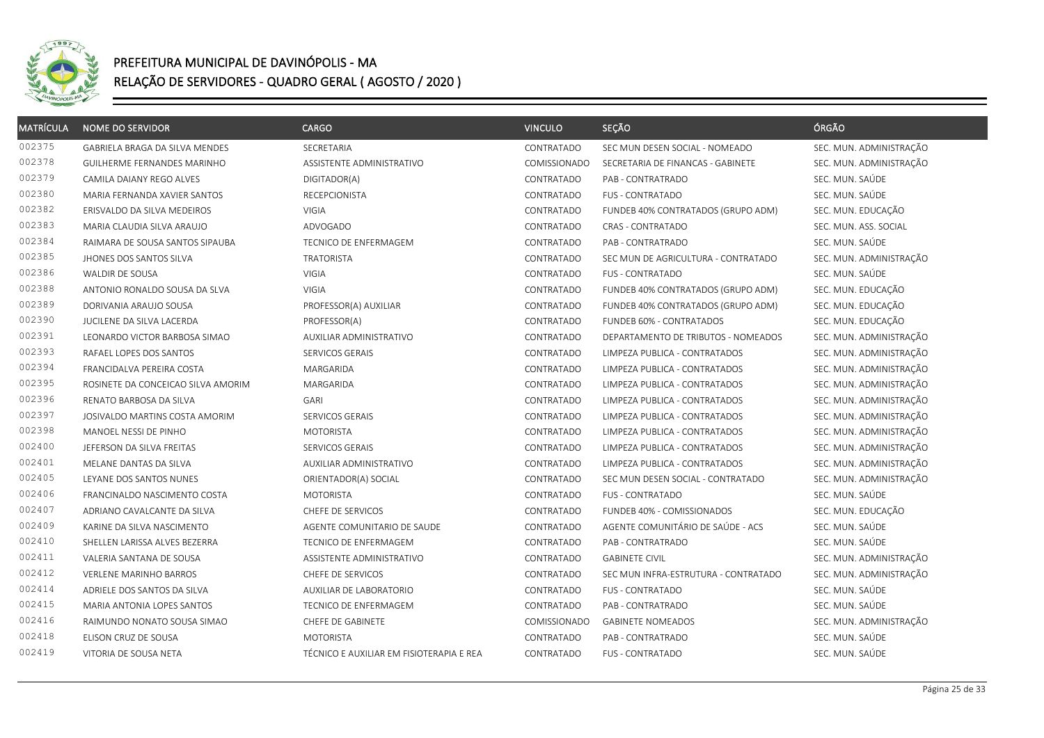

| <b>MATRÍCULA</b> | <b>NOME DO SERVIDOR</b>            | <b>CARGO</b>                             | <b>VINCULO</b> | SEÇÃO                                | ÓRGÃO                   |
|------------------|------------------------------------|------------------------------------------|----------------|--------------------------------------|-------------------------|
| 002375           | GABRIELA BRAGA DA SILVA MENDES     | SECRETARIA                               | CONTRATADO     | SEC MUN DESEN SOCIAL - NOMEADO       | SEC. MUN. ADMINISTRAÇÃO |
| 002378           | GUILHERME FERNANDES MARINHO        | ASSISTENTE ADMINISTRATIVO                | COMISSIONADO   | SECRETARIA DE FINANCAS - GABINETE    | SEC. MUN. ADMINISTRAÇÃO |
| 002379           | CAMILA DAIANY REGO ALVES           | DIGITADOR(A)                             | CONTRATADO     | PAB - CONTRATRADO                    | SEC. MUN. SAÚDE         |
| 002380           | MARIA FERNANDA XAVIER SANTOS       | <b>RECEPCIONISTA</b>                     | CONTRATADO     | <b>FUS - CONTRATADO</b>              | SEC. MUN. SAÚDE         |
| 002382           | ERISVALDO DA SILVA MEDEIROS        | VIGIA                                    | CONTRATADO     | FUNDEB 40% CONTRATADOS (GRUPO ADM)   | SEC. MUN. EDUCAÇÃO      |
| 002383           | MARIA CLAUDIA SILVA ARAUJO         | ADVOGADO                                 | CONTRATADO     | CRAS - CONTRATADO                    | SEC. MUN. ASS. SOCIAL   |
| 002384           | RAIMARA DE SOUSA SANTOS SIPAUBA    | TECNICO DE ENFERMAGEM                    | CONTRATADO     | PAB - CONTRATRADO                    | SEC. MUN. SAÚDE         |
| 002385           | JHONES DOS SANTOS SILVA            | <b>TRATORISTA</b>                        | CONTRATADO     | SEC MUN DE AGRICULTURA - CONTRATADO  | SEC. MUN. ADMINISTRAÇÃO |
| 002386           | WALDIR DE SOUSA                    | VIGIA                                    | CONTRATADO     | <b>FUS - CONTRATADO</b>              | SEC. MUN. SAÚDE         |
| 002388           | ANTONIO RONALDO SOUSA DA SLVA      | VIGIA                                    | CONTRATADO     | FUNDEB 40% CONTRATADOS (GRUPO ADM)   | SEC. MUN. EDUCAÇÃO      |
| 002389           | DORIVANIA ARAUJO SOUSA             | PROFESSOR(A) AUXILIAR                    | CONTRATADO     | FUNDEB 40% CONTRATADOS (GRUPO ADM)   | SEC. MUN. EDUCAÇÃO      |
| 002390           | JUCILENE DA SILVA LACERDA          | PROFESSOR(A)                             | CONTRATADO     | FUNDEB 60% - CONTRATADOS             | SEC. MUN. EDUCAÇÃO      |
| 002391           | LEONARDO VICTOR BARBOSA SIMAO      | AUXILIAR ADMINISTRATIVO                  | CONTRATADO     | DEPARTAMENTO DE TRIBUTOS - NOMEADOS  | SEC. MUN. ADMINISTRAÇÃO |
| 002393           | RAFAEL LOPES DOS SANTOS            | SERVICOS GERAIS                          | CONTRATADO     | LIMPEZA PUBLICA - CONTRATADOS        | SEC. MUN. ADMINISTRAÇÃO |
| 002394           | FRANCIDALVA PEREIRA COSTA          | MARGARIDA                                | CONTRATADO     | LIMPEZA PUBLICA - CONTRATADOS        | SEC. MUN. ADMINISTRAÇÃO |
| 002395           | ROSINETE DA CONCEICAO SILVA AMORIM | MARGARIDA                                | CONTRATADO     | LIMPEZA PUBLICA - CONTRATADOS        | SEC. MUN. ADMINISTRAÇÃO |
| 002396           | RENATO BARBOSA DA SILVA            | <b>GARI</b>                              | CONTRATADO     | LIMPEZA PUBLICA - CONTRATADOS        | SEC. MUN. ADMINISTRAÇÃO |
| 002397           | JOSIVALDO MARTINS COSTA AMORIM     | SERVICOS GERAIS                          | CONTRATADO     | LIMPEZA PUBLICA - CONTRATADOS        | SEC. MUN. ADMINISTRAÇÃO |
| 002398           | MANOEL NESSI DE PINHO              | <b>MOTORISTA</b>                         | CONTRATADO     | LIMPEZA PUBLICA - CONTRATADOS        | SEC. MUN. ADMINISTRAÇÃO |
| 002400           | JEFERSON DA SILVA FREITAS          | SERVICOS GERAIS                          | CONTRATADO     | LIMPEZA PUBLICA - CONTRATADOS        | SEC. MUN. ADMINISTRAÇÃO |
| 002401           | MELANE DANTAS DA SILVA             | AUXILIAR ADMINISTRATIVO                  | CONTRATADO     | LIMPEZA PUBLICA - CONTRATADOS        | SEC. MUN. ADMINISTRAÇÃO |
| 002405           | LEYANE DOS SANTOS NUNES            | ORIENTADOR(A) SOCIAL                     | CONTRATADO     | SEC MUN DESEN SOCIAL - CONTRATADO    | SEC. MUN. ADMINISTRAÇÃO |
| 002406           | FRANCINALDO NASCIMENTO COSTA       | <b>MOTORISTA</b>                         | CONTRATADO     | <b>FUS - CONTRATADO</b>              | SEC. MUN. SAÚDE         |
| 002407           | ADRIANO CAVALCANTE DA SILVA        | CHEFE DE SERVICOS                        | CONTRATADO     | FUNDEB 40% - COMISSIONADOS           | SEC. MUN. EDUCAÇÃO      |
| 002409           | KARINE DA SILVA NASCIMENTO         | AGENTE COMUNITARIO DE SAUDE              | CONTRATADO     | AGENTE COMUNITÁRIO DE SAÚDE - ACS    | SEC. MUN. SAÚDE         |
| 002410           | SHELLEN LARISSA ALVES BEZERRA      | <b>TECNICO DE ENFERMAGEM</b>             | CONTRATADO     | PAB - CONTRATRADO                    | SEC. MUN. SAÚDE         |
| 002411           | VALERIA SANTANA DE SOUSA           | ASSISTENTE ADMINISTRATIVO                | CONTRATADO     | <b>GABINETE CIVIL</b>                | SEC. MUN. ADMINISTRAÇÃO |
| 002412           | <b>VERLENE MARINHO BARROS</b>      | CHEFE DE SERVICOS                        | CONTRATADO     | SEC MUN INFRA-ESTRUTURA - CONTRATADO | SEC. MUN. ADMINISTRAÇÃO |
| 002414           | ADRIELE DOS SANTOS DA SILVA        | AUXILIAR DE LABORATORIO                  | CONTRATADO     | <b>FUS - CONTRATADO</b>              | SEC. MUN. SAÚDE         |
| 002415           | MARIA ANTONIA LOPES SANTOS         | TECNICO DE ENFERMAGEM                    | CONTRATADO     | PAB - CONTRATRADO                    | SEC. MUN. SAÚDE         |
| 002416           | RAIMUNDO NONATO SOUSA SIMAO        | CHEFE DE GABINETE                        | COMISSIONADO   | <b>GABINETE NOMEADOS</b>             | SEC. MUN. ADMINISTRAÇÃO |
| 002418           | ELISON CRUZ DE SOUSA               | <b>MOTORISTA</b>                         | CONTRATADO     | PAB - CONTRATRADO                    | SEC. MUN. SAÚDE         |
| 002419           | VITORIA DE SOUSA NETA              | TÉCNICO E AUXILIAR EM FISIOTERAPIA E REA | CONTRATADO     | <b>FUS - CONTRATADO</b>              | SEC. MUN. SAÚDE         |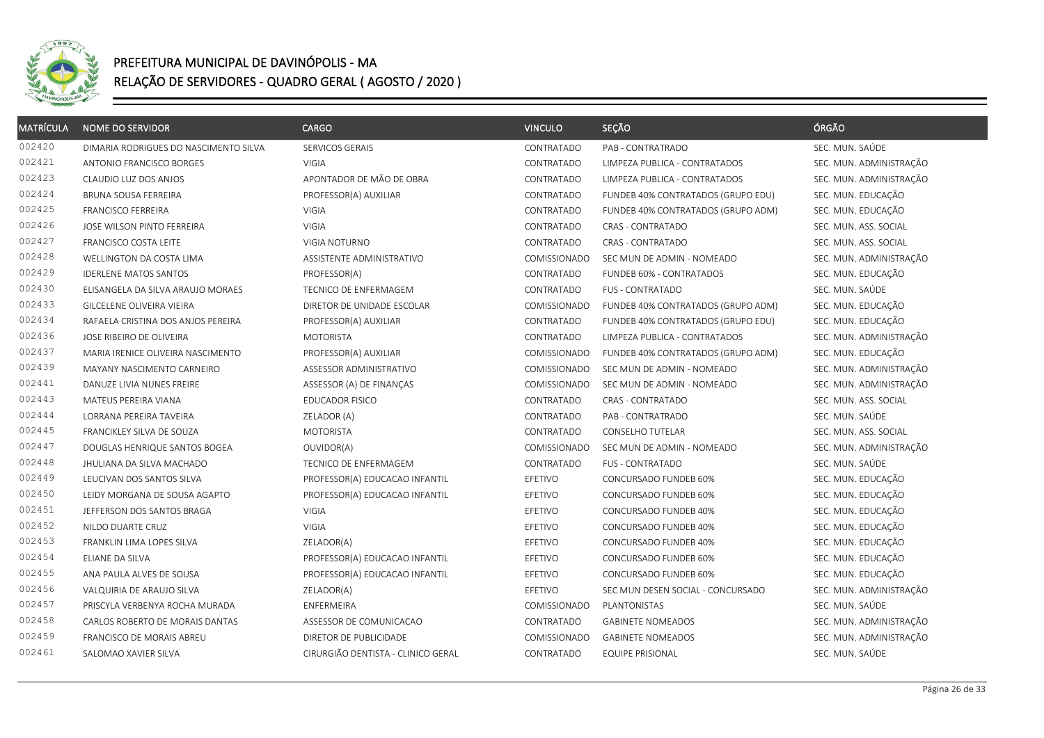

| <b>MATRÍCULA</b> | <b>NOME DO SERVIDOR</b>               | CARGO                              | <b>VINCULO</b> | SEÇÃO                              | ÓRGÃO                   |
|------------------|---------------------------------------|------------------------------------|----------------|------------------------------------|-------------------------|
| 002420           | DIMARIA RODRIGUES DO NASCIMENTO SILVA | SERVICOS GERAIS                    | CONTRATADO     | PAB - CONTRATRADO                  | SEC. MUN. SAÚDE         |
| 002421           | ANTONIO FRANCISCO BORGES              | <b>VIGIA</b>                       | CONTRATADO     | LIMPEZA PUBLICA - CONTRATADOS      | SEC. MUN. ADMINISTRAÇÃO |
| 002423           | CLAUDIO LUZ DOS ANJOS                 | APONTADOR DE MÃO DE OBRA           | CONTRATADO     | LIMPEZA PUBLICA - CONTRATADOS      | SEC. MUN. ADMINISTRAÇÃO |
| 002424           | BRUNA SOUSA FERREIRA                  | PROFESSOR(A) AUXILIAR              | CONTRATADO     | FUNDEB 40% CONTRATADOS (GRUPO EDU) | SEC. MUN. EDUCAÇÃO      |
| 002425           | <b>FRANCISCO FERREIRA</b>             | VIGIA                              | CONTRATADO     | FUNDEB 40% CONTRATADOS (GRUPO ADM) | SEC. MUN. EDUCAÇÃO      |
| 002426           | JOSE WILSON PINTO FERREIRA            | <b>VIGIA</b>                       | CONTRATADO     | <b>CRAS - CONTRATADO</b>           | SEC. MUN. ASS. SOCIAL   |
| 002427           | FRANCISCO COSTA LEITE                 | VIGIA NOTURNO                      | CONTRATADO     | CRAS - CONTRATADO                  | SEC. MUN. ASS. SOCIAL   |
| 002428           | WELLINGTON DA COSTA LIMA              | ASSISTENTE ADMINISTRATIVO          | COMISSIONADO   | SEC MUN DE ADMIN - NOMEADO         | SEC. MUN. ADMINISTRAÇÃO |
| 002429           | <b>IDERLENE MATOS SANTOS</b>          | PROFESSOR(A)                       | CONTRATADO     | FUNDEB 60% - CONTRATADOS           | SEC. MUN. EDUCAÇÃO      |
| 002430           | ELISANGELA DA SILVA ARAUJO MORAES     | TECNICO DE ENFERMAGEM              | CONTRATADO     | <b>FUS - CONTRATADO</b>            | SEC. MUN. SAÚDE         |
| 002433           | GILCELENE OLIVEIRA VIEIRA             | DIRETOR DE UNIDADE ESCOLAR         | COMISSIONADO   | FUNDEB 40% CONTRATADOS (GRUPO ADM) | SEC. MUN. EDUCAÇÃO      |
| 002434           | RAFAELA CRISTINA DOS ANJOS PEREIRA    | PROFESSOR(A) AUXILIAR              | CONTRATADO     | FUNDEB 40% CONTRATADOS (GRUPO EDU) | SEC. MUN. EDUCAÇÃO      |
| 002436           | JOSE RIBEIRO DE OLIVEIRA              | <b>MOTORISTA</b>                   | CONTRATADO     | LIMPEZA PUBLICA - CONTRATADOS      | SEC. MUN. ADMINISTRAÇÃO |
| 002437           | MARIA IRENICE OLIVEIRA NASCIMENTO     | PROFESSOR(A) AUXILIAR              | COMISSIONADO   | FUNDEB 40% CONTRATADOS (GRUPO ADM) | SEC. MUN. EDUCAÇÃO      |
| 002439           | MAYANY NASCIMENTO CARNEIRO            | ASSESSOR ADMINISTRATIVO            | COMISSIONADO   | SEC MUN DE ADMIN - NOMEADO         | SEC. MUN. ADMINISTRAÇÃO |
| 002441           | DANUZE LIVIA NUNES FREIRE             | ASSESSOR (A) DE FINANÇAS           | COMISSIONADO   | SEC MUN DE ADMIN - NOMEADO         | SEC. MUN. ADMINISTRAÇÃO |
| 002443           | MATEUS PEREIRA VIANA                  | <b>EDUCADOR FISICO</b>             | CONTRATADO     | CRAS - CONTRATADO                  | SEC. MUN. ASS. SOCIAL   |
| 002444           | LORRANA PEREIRA TAVEIRA               | ZELADOR (A)                        | CONTRATADO     | PAB - CONTRATRADO                  | SEC. MUN. SAÚDE         |
| 002445           | FRANCIKLEY SILVA DE SOUZA             | <b>MOTORISTA</b>                   | CONTRATADO     | <b>CONSELHO TUTELAR</b>            | SEC. MUN. ASS. SOCIAL   |
| 002447           | DOUGLAS HENRIQUE SANTOS BOGEA         | OUVIDOR(A)                         | COMISSIONADO   | SEC MUN DE ADMIN - NOMEADO         | SEC. MUN. ADMINISTRAÇÃO |
| 002448           | JHULIANA DA SILVA MACHADO             | TECNICO DE ENFERMAGEM              | CONTRATADO     | <b>FUS - CONTRATADO</b>            | SEC. MUN. SAÚDE         |
| 002449           | LEUCIVAN DOS SANTOS SILVA             | PROFESSOR(A) EDUCACAO INFANTIL     | EFETIVO        | CONCURSADO FUNDEB 60%              | SEC. MUN. EDUCAÇÃO      |
| 002450           | LEIDY MORGANA DE SOUSA AGAPTO         | PROFESSOR(A) EDUCACAO INFANTIL     | EFETIVO        | CONCURSADO FUNDEB 60%              | SEC. MUN. EDUCAÇÃO      |
| 002451           | JEFFERSON DOS SANTOS BRAGA            | VIGIA                              | EFETIVO        | CONCURSADO FUNDEB 40%              | SEC. MUN. EDUCAÇÃO      |
| 002452           | NILDO DUARTE CRUZ                     | <b>VIGIA</b>                       | EFETIVO        | CONCURSADO FUNDEB 40%              | SEC. MUN. EDUCAÇÃO      |
| 002453           | FRANKLIN LIMA LOPES SILVA             | ZELADOR(A)                         | EFETIVO        | CONCURSADO FUNDEB 40%              | SEC. MUN. EDUCAÇÃO      |
| 002454           | ELIANE DA SILVA                       | PROFESSOR(A) EDUCACAO INFANTIL     | EFETIVO        | CONCURSADO FUNDEB 60%              | SEC. MUN. EDUCAÇÃO      |
| 002455           | ANA PAULA ALVES DE SOUSA              | PROFESSOR(A) EDUCACAO INFANTIL     | EFETIVO        | CONCURSADO FUNDEB 60%              | SEC. MUN. EDUCAÇÃO      |
| 002456           | VALQUIRIA DE ARAUJO SILVA             | ZELADOR(A)                         | EFETIVO        | SEC MUN DESEN SOCIAL - CONCURSADO  | SEC. MUN. ADMINISTRAÇÃO |
| 002457           | PRISCYLA VERBENYA ROCHA MURADA        | ENFERMEIRA                         | COMISSIONADO   | PLANTONISTAS                       | SEC. MUN. SAÚDE         |
| 002458           | CARLOS ROBERTO DE MORAIS DANTAS       | ASSESSOR DE COMUNICACAO            | CONTRATADO     | <b>GABINETE NOMEADOS</b>           | SEC. MUN. ADMINISTRAÇÃO |
| 002459           | FRANCISCO DE MORAIS ABREU             | DIRETOR DE PUBLICIDADE             | COMISSIONADO   | <b>GABINETE NOMEADOS</b>           | SEC. MUN. ADMINISTRAÇÃO |
| 002461           | SALOMAO XAVIER SILVA                  | CIRURGIÃO DENTISTA - CLINICO GERAL | CONTRATADO     | <b>EQUIPE PRISIONAL</b>            | SEC. MUN. SAÚDE         |
|                  |                                       |                                    |                |                                    |                         |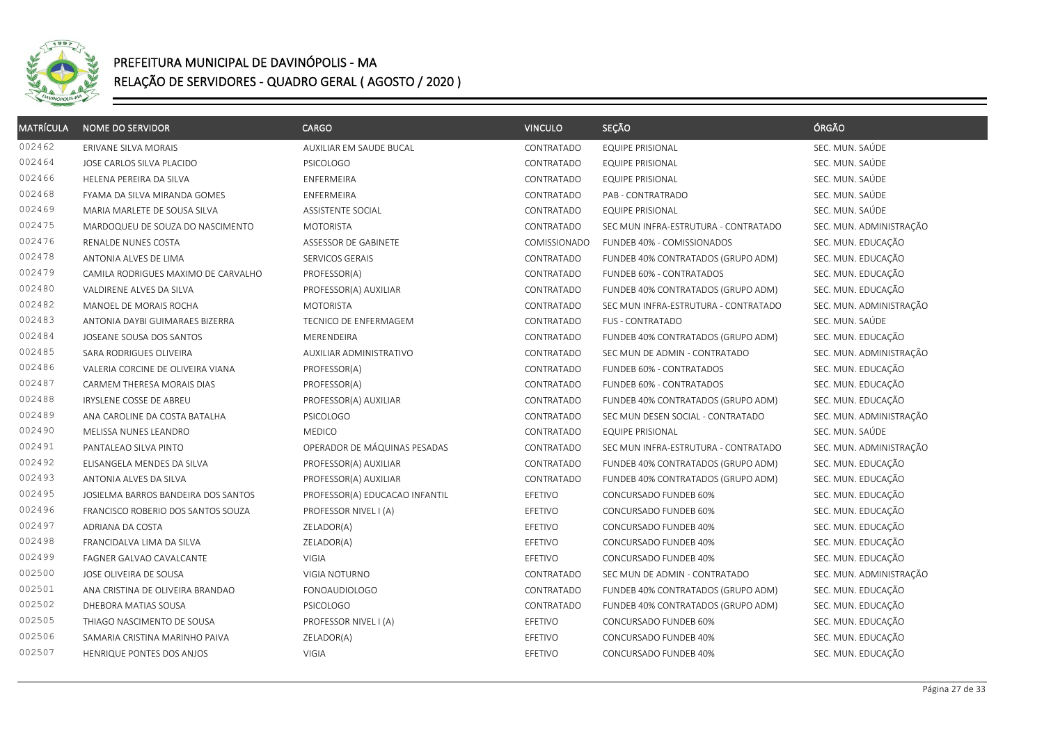

| <b>MATRÍCULA</b> | <b>NOME DO SERVIDOR</b>             | CARGO                          | <b>VINCULO</b> | SEÇÃO                                | ÓRGÃO                   |
|------------------|-------------------------------------|--------------------------------|----------------|--------------------------------------|-------------------------|
| 002462           | ERIVANE SILVA MORAIS                | AUXILIAR EM SAUDE BUCAL        | CONTRATADO     | <b>EQUIPE PRISIONAL</b>              | SEC. MUN. SAÚDE         |
| 002464           | JOSE CARLOS SILVA PLACIDO           | <b>PSICOLOGO</b>               | CONTRATADO     | EQUIPE PRISIONAL                     | SEC. MUN. SAÚDE         |
| 002466           | HELENA PEREIRA DA SILVA             | ENFERMEIRA                     | CONTRATADO     | <b>EQUIPE PRISIONAL</b>              | SEC. MUN. SAÚDE         |
| 002468           | FYAMA DA SILVA MIRANDA GOMES        | ENFERMEIRA                     | CONTRATADO     | PAB - CONTRATRADO                    | SEC. MUN. SAÚDE         |
| 002469           | MARIA MARLETE DE SOUSA SILVA        | ASSISTENTE SOCIAL              | CONTRATADO     | <b>EQUIPE PRISIONAL</b>              | SEC. MUN. SAÚDE         |
| 002475           | MARDOQUEU DE SOUZA DO NASCIMENTO    | <b>MOTORISTA</b>               | CONTRATADO     | SEC MUN INFRA-ESTRUTURA - CONTRATADO | SEC. MUN. ADMINISTRAÇÃO |
| 002476           | RENALDE NUNES COSTA                 | ASSESSOR DE GABINETE           | COMISSIONADO   | FUNDEB 40% - COMISSIONADOS           | SEC. MUN. EDUCAÇÃO      |
| 002478           | ANTONIA ALVES DE LIMA               | SERVICOS GERAIS                | CONTRATADO     | FUNDEB 40% CONTRATADOS (GRUPO ADM)   | SEC. MUN. EDUCAÇÃO      |
| 002479           | CAMILA RODRIGUES MAXIMO DE CARVALHO | PROFESSOR(A)                   | CONTRATADO     | FUNDEB 60% - CONTRATADOS             | SEC. MUN. EDUCAÇÃO      |
| 002480           | VALDIRENE ALVES DA SILVA            | PROFESSOR(A) AUXILIAR          | CONTRATADO     | FUNDEB 40% CONTRATADOS (GRUPO ADM)   | SEC. MUN. EDUCAÇÃO      |
| 002482           | MANOEL DE MORAIS ROCHA              | <b>MOTORISTA</b>               | CONTRATADO     | SEC MUN INFRA-ESTRUTURA - CONTRATADO | SEC. MUN. ADMINISTRAÇÃO |
| 002483           | ANTONIA DAYBI GUIMARAES BIZERRA     | TECNICO DE ENFERMAGEM          | CONTRATADO     | <b>FUS - CONTRATADO</b>              | SEC. MUN. SAÚDE         |
| 002484           | JOSEANE SOUSA DOS SANTOS            | MERENDEIRA                     | CONTRATADO     | FUNDEB 40% CONTRATADOS (GRUPO ADM)   | SEC. MUN. EDUCAÇÃO      |
| 002485           | SARA RODRIGUES OLIVEIRA             | AUXILIAR ADMINISTRATIVO        | CONTRATADO     | SEC MUN DE ADMIN - CONTRATADO        | SEC. MUN. ADMINISTRAÇÃO |
| 002486           | VALERIA CORCINE DE OLIVEIRA VIANA   | PROFESSOR(A)                   | CONTRATADO     | FUNDEB 60% - CONTRATADOS             | SEC. MUN. EDUCAÇÃO      |
| 002487           | CARMEM THERESA MORAIS DIAS          | PROFESSOR(A)                   | CONTRATADO     | FUNDEB 60% - CONTRATADOS             | SEC. MUN. EDUCAÇÃO      |
| 002488           | IRYSLENE COSSE DE ABREU             | PROFESSOR(A) AUXILIAR          | CONTRATADO     | FUNDEB 40% CONTRATADOS (GRUPO ADM)   | SEC. MUN. EDUCAÇÃO      |
| 002489           | ANA CAROLINE DA COSTA BATALHA       | <b>PSICOLOGO</b>               | CONTRATADO     | SEC MUN DESEN SOCIAL - CONTRATADO    | SEC. MUN. ADMINISTRAÇÃO |
| 002490           | MELISSA NUNES LEANDRO               | <b>MEDICO</b>                  | CONTRATADO     | <b>EQUIPE PRISIONAL</b>              | SEC. MUN. SAÚDE         |
| 002491           | PANTALEAO SILVA PINTO               | OPERADOR DE MÁQUINAS PESADAS   | CONTRATADO     | SEC MUN INFRA-ESTRUTURA - CONTRATADO | SEC. MUN. ADMINISTRAÇÃO |
| 002492           | ELISANGELA MENDES DA SILVA          | PROFESSOR(A) AUXILIAR          | CONTRATADO     | FUNDEB 40% CONTRATADOS (GRUPO ADM)   | SEC. MUN. EDUCAÇÃO      |
| 002493           | ANTONIA ALVES DA SILVA              | PROFESSOR(A) AUXILIAR          | CONTRATADO     | FUNDEB 40% CONTRATADOS (GRUPO ADM)   | SEC. MUN. EDUCAÇÃO      |
| 002495           | JOSIELMA BARROS BANDEIRA DOS SANTOS | PROFESSOR(A) EDUCACAO INFANTIL | EFETIVO        | CONCURSADO FUNDEB 60%                | SEC. MUN. EDUCAÇÃO      |
| 002496           | FRANCISCO ROBERIO DOS SANTOS SOUZA  | PROFESSOR NIVEL I (A)          | EFETIVO        | CONCURSADO FUNDEB 60%                | SEC. MUN. EDUCAÇÃO      |
| 002497           | ADRIANA DA COSTA                    | ZELADOR(A)                     | EFETIVO        | CONCURSADO FUNDEB 40%                | SEC. MUN. EDUCAÇÃO      |
| 002498           | FRANCIDALVA LIMA DA SILVA           | ZELADOR(A)                     | EFETIVO        | CONCURSADO FUNDEB 40%                | SEC. MUN. EDUCAÇÃO      |
| 002499           | FAGNER GALVAO CAVALCANTE            | VIGIA                          | EFETIVO        | CONCURSADO FUNDEB 40%                | SEC. MUN. EDUCAÇÃO      |
| 002500           | JOSE OLIVEIRA DE SOUSA              | VIGIA NOTURNO                  | CONTRATADO     | SEC MUN DE ADMIN - CONTRATADO        | SEC. MUN. ADMINISTRAÇÃO |
| 002501           | ANA CRISTINA DE OLIVEIRA BRANDAO    | <b>FONOAUDIOLOGO</b>           | CONTRATADO     | FUNDEB 40% CONTRATADOS (GRUPO ADM)   | SEC. MUN. EDUCAÇÃO      |
| 002502           | DHEBORA MATIAS SOUSA                | PSICOLOGO                      | CONTRATADO     | FUNDEB 40% CONTRATADOS (GRUPO ADM)   | SEC. MUN. EDUCAÇÃO      |
| 002505           | THIAGO NASCIMENTO DE SOUSA          | PROFESSOR NIVEL I (A)          | EFETIVO        | CONCURSADO FUNDEB 60%                | SEC. MUN. EDUCAÇÃO      |
| 002506           | SAMARIA CRISTINA MARINHO PAIVA      | ZELADOR(A)                     | EFETIVO        | CONCURSADO FUNDEB 40%                | SEC. MUN. EDUCAÇÃO      |
| 002507           | HENRIQUE PONTES DOS ANJOS           | VIGIA                          | EFETIVO        | CONCURSADO FUNDEB 40%                | SEC. MUN. EDUCAÇÃO      |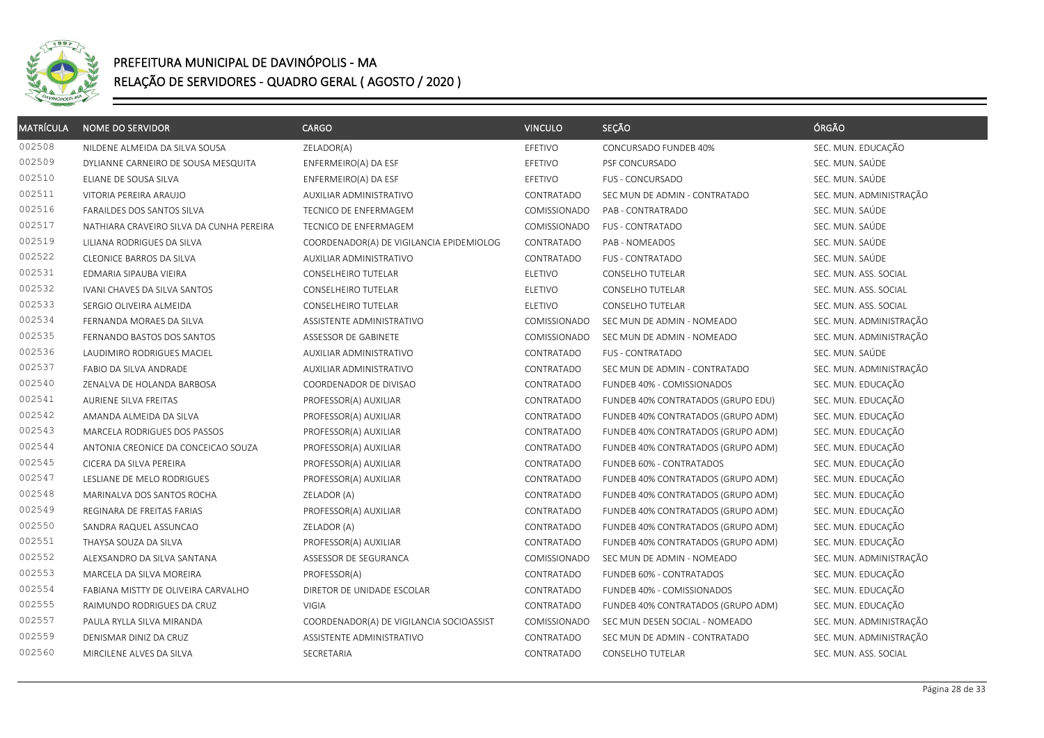

| <b>MATRÍCULA</b> | <b>NOME DO SERVIDOR</b>                  | <b>CARGO</b>                             | <b>VINCULO</b> | SEÇÃO                              | ÓRGÃO                   |
|------------------|------------------------------------------|------------------------------------------|----------------|------------------------------------|-------------------------|
| 002508           | NILDENE ALMEIDA DA SILVA SOUSA           | ZELADOR(A)                               | EFETIVO        | CONCURSADO FUNDEB 40%              | SEC. MUN. EDUCAÇÃO      |
| 002509           | DYLIANNE CARNEIRO DE SOUSA MESQUITA      | ENFERMEIRO(A) DA ESF                     | EFETIVO        | PSF CONCURSADO                     | SEC. MUN. SAÚDE         |
| 002510           | ELIANE DE SOUSA SILVA                    | ENFERMEIRO(A) DA ESF                     | EFETIVO        | FUS - CONCURSADO                   | SEC. MUN. SAÚDE         |
| 002511           | VITORIA PEREIRA ARAUJO                   | AUXILIAR ADMINISTRATIVO                  | CONTRATADO     | SEC MUN DE ADMIN - CONTRATADO      | SEC. MUN. ADMINISTRAÇÃO |
| 002516           | FARAILDES DOS SANTOS SILVA               | TECNICO DE ENFERMAGEM                    | COMISSIONADO   | PAB - CONTRATRADO                  | SEC. MUN. SAÚDE         |
| 002517           | NATHIARA CRAVEIRO SILVA DA CUNHA PEREIRA | <b>TECNICO DE ENFERMAGEM</b>             | COMISSIONADO   | <b>FUS - CONTRATADO</b>            | SEC. MUN. SAÚDE         |
| 002519           | LILIANA RODRIGUES DA SILVA               | COORDENADOR(A) DE VIGILANCIA EPIDEMIOLOG | CONTRATADO     | PAB - NOMEADOS                     | SEC. MUN. SAÚDE         |
| 002522           | <b>CLEONICE BARROS DA SILVA</b>          | AUXILIAR ADMINISTRATIVO                  | CONTRATADO     | <b>FUS - CONTRATADO</b>            | SEC. MUN. SAÚDE         |
| 002531           | EDMARIA SIPAUBA VIEIRA                   | CONSELHEIRO TUTELAR                      | ELETIVO        | CONSELHO TUTELAR                   | SEC. MUN. ASS. SOCIAL   |
| 002532           | IVANI CHAVES DA SILVA SANTOS             | CONSELHEIRO TUTELAR                      | ELETIVO        | <b>CONSELHO TUTELAR</b>            | SEC. MUN. ASS. SOCIAL   |
| 002533           | SERGIO OLIVEIRA ALMEIDA                  | CONSELHEIRO TUTELAR                      | ELETIVO        | CONSELHO TUTELAR                   | SEC. MUN. ASS. SOCIAL   |
| 002534           | FERNANDA MORAES DA SILVA                 | ASSISTENTE ADMINISTRATIVO                | COMISSIONADO   | SEC MUN DE ADMIN - NOMEADO         | SEC. MUN. ADMINISTRAÇÃO |
| 002535           | FERNANDO BASTOS DOS SANTOS               | ASSESSOR DE GABINETE                     | COMISSIONADO   | SEC MUN DE ADMIN - NOMEADO         | SEC. MUN. ADMINISTRAÇÃO |
| 002536           | LAUDIMIRO RODRIGUES MACIEL               | AUXILIAR ADMINISTRATIVO                  | CONTRATADO     | <b>FUS - CONTRATADO</b>            | SEC. MUN. SAÚDE         |
| 002537           | FABIO DA SILVA ANDRADE                   | AUXILIAR ADMINISTRATIVO                  | CONTRATADO     | SEC MUN DE ADMIN - CONTRATADO      | SEC. MUN. ADMINISTRAÇÃO |
| 002540           | ZENALVA DE HOLANDA BARBOSA               | COORDENADOR DE DIVISAO                   | CONTRATADO     | FUNDEB 40% - COMISSIONADOS         | SEC. MUN. EDUCAÇÃO      |
| 002541           | AURIENE SILVA FREITAS                    | PROFESSOR(A) AUXILIAR                    | CONTRATADO     | FUNDEB 40% CONTRATADOS (GRUPO EDU) | SEC. MUN. EDUCAÇÃO      |
| 002542           | AMANDA ALMEIDA DA SILVA                  | PROFESSOR(A) AUXILIAR                    | CONTRATADO     | FUNDEB 40% CONTRATADOS (GRUPO ADM) | SEC. MUN. EDUCAÇÃO      |
| 002543           | MARCELA RODRIGUES DOS PASSOS             | PROFESSOR(A) AUXILIAR                    | CONTRATADO     | FUNDEB 40% CONTRATADOS (GRUPO ADM) | SEC. MUN. EDUCAÇÃO      |
| 002544           | ANTONIA CREONICE DA CONCEICAO SOUZA      | PROFESSOR(A) AUXILIAR                    | CONTRATADO     | FUNDEB 40% CONTRATADOS (GRUPO ADM) | SEC. MUN. EDUCAÇÃO      |
| 002545           | CICERA DA SILVA PEREIRA                  | PROFESSOR(A) AUXILIAR                    | CONTRATADO     | FUNDEB 60% - CONTRATADOS           | SEC. MUN. EDUCAÇÃO      |
| 002547           | LESLIANE DE MELO RODRIGUES               | PROFESSOR(A) AUXILIAR                    | CONTRATADO     | FUNDEB 40% CONTRATADOS (GRUPO ADM) | SEC. MUN. EDUCAÇÃO      |
| 002548           | MARINALVA DOS SANTOS ROCHA               | ZELADOR (A)                              | CONTRATADO     | FUNDEB 40% CONTRATADOS (GRUPO ADM) | SEC. MUN. EDUCAÇÃO      |
| 002549           | REGINARA DE FREITAS FARIAS               | PROFESSOR(A) AUXILIAR                    | CONTRATADO     | FUNDEB 40% CONTRATADOS (GRUPO ADM) | SEC. MUN. EDUCAÇÃO      |
| 002550           | SANDRA RAQUEL ASSUNCAO                   | ZELADOR (A)                              | CONTRATADO     | FUNDEB 40% CONTRATADOS (GRUPO ADM) | SEC. MUN. EDUCAÇÃO      |
| 002551           | THAYSA SOUZA DA SILVA                    | PROFESSOR(A) AUXILIAR                    | CONTRATADO     | FUNDEB 40% CONTRATADOS (GRUPO ADM) | SEC. MUN. EDUCAÇÃO      |
| 002552           | ALEXSANDRO DA SILVA SANTANA              | ASSESSOR DE SEGURANCA                    | COMISSIONADO   | SEC MUN DE ADMIN - NOMEADO         | SEC. MUN. ADMINISTRAÇÃO |
| 002553           | MARCELA DA SILVA MOREIRA                 | PROFESSOR(A)                             | CONTRATADO     | FUNDEB 60% - CONTRATADOS           | SEC. MUN. EDUCAÇÃO      |
| 002554           | FABIANA MISTTY DE OLIVEIRA CARVALHO      | DIRETOR DE UNIDADE ESCOLAR               | CONTRATADO     | FUNDEB 40% - COMISSIONADOS         | SEC. MUN. EDUCAÇÃO      |
| 002555           | RAIMUNDO RODRIGUES DA CRUZ               | <b>VIGIA</b>                             | CONTRATADO     | FUNDEB 40% CONTRATADOS (GRUPO ADM) | SEC. MUN. EDUCAÇÃO      |
| 002557           | PAULA RYLLA SILVA MIRANDA                | COORDENADOR(A) DE VIGILANCIA SOCIOASSIST | COMISSIONADO   | SEC MUN DESEN SOCIAL - NOMEADO     | SEC. MUN. ADMINISTRAÇÃO |
| 002559           | DENISMAR DINIZ DA CRUZ                   | ASSISTENTE ADMINISTRATIVO                | CONTRATADO     | SEC MUN DE ADMIN - CONTRATADO      | SEC. MUN. ADMINISTRAÇÃO |
| 002560           | MIRCILENE ALVES DA SILVA                 | SECRETARIA                               | CONTRATADO     | CONSELHO TUTELAR                   | SEC. MUN. ASS. SOCIAL   |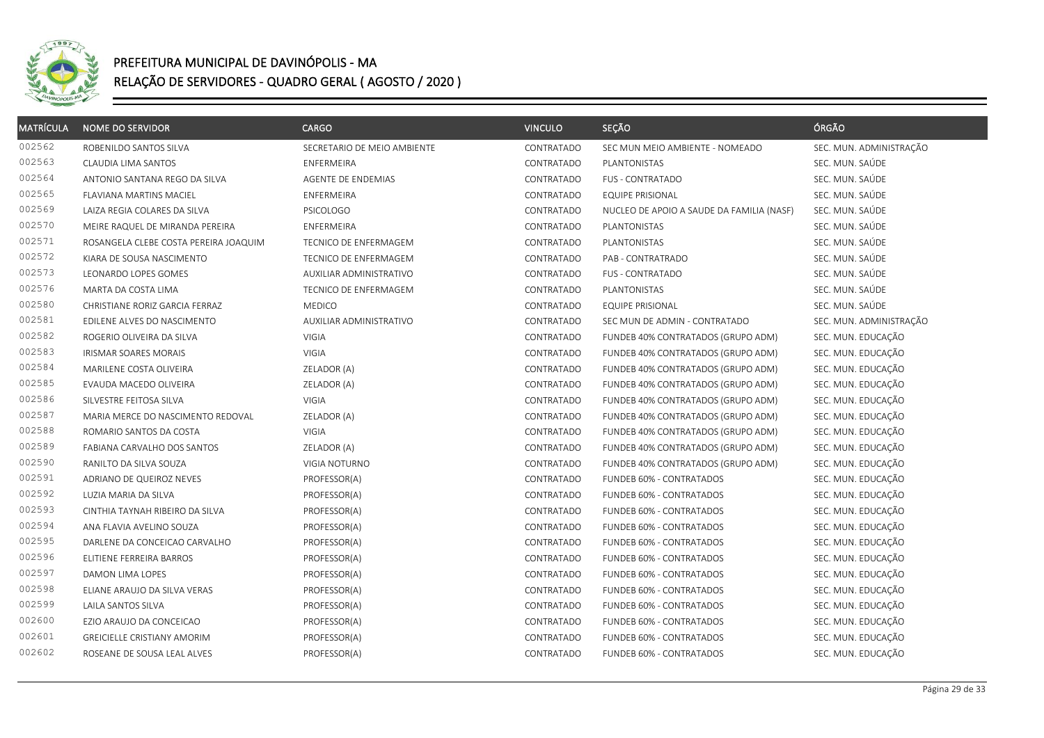

| <b>MATRÍCULA</b> | <b>NOME DO SERVIDOR</b>               | <b>CARGO</b>                | <b>VINCULO</b> | SEÇÃO                                     | ÓRGÃO                   |
|------------------|---------------------------------------|-----------------------------|----------------|-------------------------------------------|-------------------------|
| 002562           | ROBENILDO SANTOS SILVA                | SECRETARIO DE MEIO AMBIENTE | CONTRATADO     | SEC MUN MEIO AMBIENTE - NOMEADO           | SEC. MUN. ADMINISTRAÇÃO |
| 002563           | CLAUDIA LIMA SANTOS                   | ENFERMEIRA                  | CONTRATADO     | PLANTONISTAS                              | SEC. MUN. SAÚDE         |
| 002564           | ANTONIO SANTANA REGO DA SILVA         | AGENTE DE ENDEMIAS          | CONTRATADO     | <b>FUS - CONTRATADO</b>                   | SEC. MUN. SAÚDE         |
| 002565           | FLAVIANA MARTINS MACIEL               | ENFERMEIRA                  | CONTRATADO     | <b>EQUIPE PRISIONAL</b>                   | SEC. MUN. SAÚDE         |
| 002569           | LAIZA REGIA COLARES DA SILVA          | <b>PSICOLOGO</b>            | CONTRATADO     | NUCLEO DE APOIO A SAUDE DA FAMILIA (NASF) | SEC. MUN. SAÚDE         |
| 002570           | MEIRE RAQUEL DE MIRANDA PEREIRA       | ENFERMEIRA                  | CONTRATADO     | PLANTONISTAS                              | SEC. MUN. SAÚDE         |
| 002571           | ROSANGELA CLEBE COSTA PEREIRA JOAQUIM | TECNICO DE ENFERMAGEM       | CONTRATADO     | PLANTONISTAS                              | SEC. MUN. SAÚDE         |
| 002572           | KIARA DE SOUSA NASCIMENTO             | TECNICO DE ENFERMAGEM       | CONTRATADO     | PAB - CONTRATRADO                         | SEC. MUN. SAÚDE         |
| 002573           | LEONARDO LOPES GOMES                  | AUXILIAR ADMINISTRATIVO     | CONTRATADO     | <b>FUS - CONTRATADO</b>                   | SEC. MUN. SAÚDE         |
| 002576           | MARTA DA COSTA LIMA                   | TECNICO DE ENFERMAGEM       | CONTRATADO     | PLANTONISTAS                              | SEC. MUN. SAÚDE         |
| 002580           | CHRISTIANE RORIZ GARCIA FERRAZ        | <b>MEDICO</b>               | CONTRATADO     | <b>EQUIPE PRISIONAL</b>                   | SEC. MUN. SAÚDE         |
| 002581           | EDILENE ALVES DO NASCIMENTO           | AUXILIAR ADMINISTRATIVO     | CONTRATADO     | SEC MUN DE ADMIN - CONTRATADO             | SEC. MUN. ADMINISTRAÇÃO |
| 002582           | ROGERIO OLIVEIRA DA SILVA             | VIGIA                       | CONTRATADO     | FUNDEB 40% CONTRATADOS (GRUPO ADM)        | SEC. MUN. EDUCAÇÃO      |
| 002583           | IRISMAR SOARES MORAIS                 | VIGIA                       | CONTRATADO     | FUNDEB 40% CONTRATADOS (GRUPO ADM)        | SEC. MUN. EDUCAÇÃO      |
| 002584           | MARILENE COSTA OLIVEIRA               | ZELADOR (A)                 | CONTRATADO     | FUNDEB 40% CONTRATADOS (GRUPO ADM)        | SEC. MUN. EDUCAÇÃO      |
| 002585           | EVAUDA MACEDO OLIVEIRA                | ZELADOR (A)                 | CONTRATADO     | FUNDEB 40% CONTRATADOS (GRUPO ADM)        | SEC. MUN. EDUCAÇÃO      |
| 002586           | SILVESTRE FEITOSA SILVA               | <b>VIGIA</b>                | CONTRATADO     | FUNDEB 40% CONTRATADOS (GRUPO ADM)        | SEC. MUN. EDUCAÇÃO      |
| 002587           | MARIA MERCE DO NASCIMENTO REDOVAL     | ZELADOR (A)                 | CONTRATADO     | FUNDEB 40% CONTRATADOS (GRUPO ADM)        | SEC. MUN. EDUCAÇÃO      |
| 002588           | ROMARIO SANTOS DA COSTA               | VIGIA                       | CONTRATADO     | FUNDEB 40% CONTRATADOS (GRUPO ADM)        | SEC. MUN. EDUCAÇÃO      |
| 002589           | FABIANA CARVALHO DOS SANTOS           | ZELADOR (A)                 | CONTRATADO     | FUNDEB 40% CONTRATADOS (GRUPO ADM)        | SEC. MUN. EDUCAÇÃO      |
| 002590           | RANILTO DA SILVA SOUZA                | VIGIA NOTURNO               | CONTRATADO     | FUNDEB 40% CONTRATADOS (GRUPO ADM)        | SEC. MUN. EDUCAÇÃO      |
| 002591           | ADRIANO DE QUEIROZ NEVES              | PROFESSOR(A)                | CONTRATADO     | FUNDEB 60% - CONTRATADOS                  | SEC. MUN. EDUCAÇÃO      |
| 002592           | LUZIA MARIA DA SILVA                  | PROFESSOR(A)                | CONTRATADO     | FUNDEB 60% - CONTRATADOS                  | SEC. MUN. EDUCAÇÃO      |
| 002593           | CINTHIA TAYNAH RIBEIRO DA SILVA       | PROFESSOR(A)                | CONTRATADO     | FUNDEB 60% - CONTRATADOS                  | SEC. MUN. EDUCAÇÃO      |
| 002594           | ANA FLAVIA AVELINO SOUZA              | PROFESSOR(A)                | CONTRATADO     | FUNDEB 60% - CONTRATADOS                  | SEC. MUN. EDUCAÇÃO      |
| 002595           | DARLENE DA CONCEICAO CARVALHO         | PROFESSOR(A)                | CONTRATADO     | FUNDEB 60% - CONTRATADOS                  | SEC. MUN. EDUCAÇÃO      |
| 002596           | ELITIENE FERREIRA BARROS              | PROFESSOR(A)                | CONTRATADO     | FUNDEB 60% - CONTRATADOS                  | SEC. MUN. EDUCAÇÃO      |
| 002597           | DAMON LIMA LOPES                      | PROFESSOR(A)                | CONTRATADO     | FUNDEB 60% - CONTRATADOS                  | SEC. MUN. EDUCAÇÃO      |
| 002598           | ELIANE ARAUJO DA SILVA VERAS          | PROFESSOR(A)                | CONTRATADO     | FUNDEB 60% - CONTRATADOS                  | SEC. MUN. EDUCAÇÃO      |
| 002599           | LAILA SANTOS SILVA                    | PROFESSOR(A)                | CONTRATADO     | FUNDEB 60% - CONTRATADOS                  | SEC. MUN. EDUCAÇÃO      |
| 002600           | EZIO ARAUJO DA CONCEICAO              | PROFESSOR(A)                | CONTRATADO     | FUNDEB 60% - CONTRATADOS                  | SEC. MUN. EDUCAÇÃO      |
| 002601           | <b>GREICIELLE CRISTIANY AMORIM</b>    | PROFESSOR(A)                | CONTRATADO     | FUNDEB 60% - CONTRATADOS                  | SEC. MUN. EDUCAÇÃO      |
| 002602           | ROSEANE DE SOUSA LEAL ALVES           | PROFESSOR(A)                | CONTRATADO     | FUNDEB 60% - CONTRATADOS                  | SEC. MUN. EDUCAÇÃO      |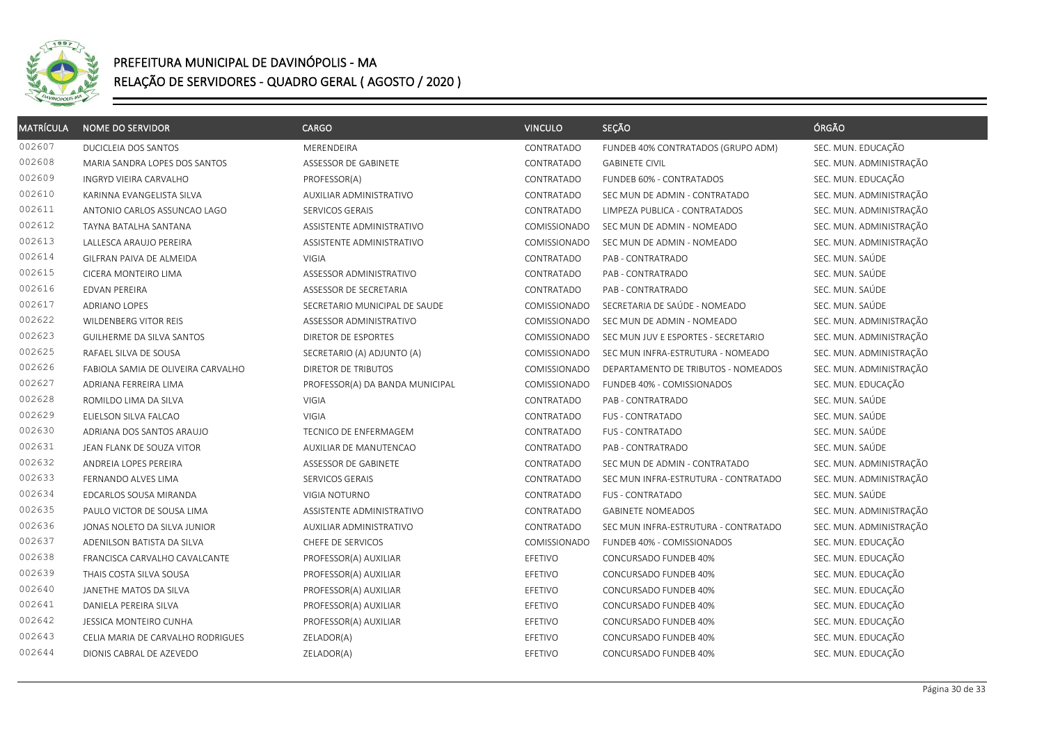

| <b>MATRÍCULA</b> | <b>NOME DO SERVIDOR</b>            | <b>CARGO</b>                    | <b>VINCULO</b>      | SEÇÃO                                | ÓRGÃO                   |
|------------------|------------------------------------|---------------------------------|---------------------|--------------------------------------|-------------------------|
| 002607           | DUCICLEIA DOS SANTOS               | MERENDEIRA                      | CONTRATADO          | FUNDEB 40% CONTRATADOS (GRUPO ADM)   | SEC. MUN. EDUCAÇÃO      |
| 002608           | MARIA SANDRA LOPES DOS SANTOS      | ASSESSOR DE GABINETE            | CONTRATADO          | <b>GABINETE CIVIL</b>                | SEC. MUN. ADMINISTRAÇÃO |
| 002609           | INGRYD VIEIRA CARVALHO             | PROFESSOR(A)                    | CONTRATADO          | FUNDEB 60% - CONTRATADOS             | SEC. MUN. EDUCAÇÃO      |
| 002610           | KARINNA EVANGELISTA SILVA          | AUXILIAR ADMINISTRATIVO         | CONTRATADO          | SEC MUN DE ADMIN - CONTRATADO        | SEC. MUN. ADMINISTRAÇÃO |
| 002611           | ANTONIO CARLOS ASSUNCAO LAGO       | SERVICOS GERAIS                 | CONTRATADO          | LIMPEZA PUBLICA - CONTRATADOS        | SEC. MUN. ADMINISTRAÇÃO |
| 002612           | TAYNA BATALHA SANTANA              | ASSISTENTE ADMINISTRATIVO       | COMISSIONADO        | SEC MUN DE ADMIN - NOMEADO           | SEC. MUN. ADMINISTRAÇÃO |
| 002613           | LALLESCA ARAUJO PEREIRA            | ASSISTENTE ADMINISTRATIVO       | COMISSIONADO        | SEC MUN DE ADMIN - NOMEADO           | SEC. MUN. ADMINISTRAÇÃO |
| 002614           | GILFRAN PAIVA DE ALMEIDA           | <b>VIGIA</b>                    | CONTRATADO          | PAB - CONTRATRADO                    | SEC. MUN. SAÚDE         |
| 002615           | CICERA MONTEIRO LIMA               | ASSESSOR ADMINISTRATIVO         | CONTRATADO          | PAB - CONTRATRADO                    | SEC. MUN. SAÚDE         |
| 002616           | EDVAN PEREIRA                      | ASSESSOR DE SECRETARIA          | CONTRATADO          | PAB - CONTRATRADO                    | SEC. MUN. SAÚDE         |
| 002617           | <b>ADRIANO LOPES</b>               | SECRETARIO MUNICIPAL DE SAUDE   | COMISSIONADO        | SECRETARIA DE SAÚDE - NOMEADO        | SEC. MUN. SAÚDE         |
| 002622           | WILDENBERG VITOR REIS              | ASSESSOR ADMINISTRATIVO         | COMISSIONADO        | SEC MUN DE ADMIN - NOMEADO           | SEC. MUN. ADMINISTRAÇÃO |
| 002623           | <b>GUILHERME DA SILVA SANTOS</b>   | <b>DIRETOR DE ESPORTES</b>      | COMISSIONADO        | SEC MUN JUV E ESPORTES - SECRETARIO  | SEC. MUN. ADMINISTRAÇÃO |
| 002625           | RAFAEL SILVA DE SOUSA              | SECRETARIO (A) ADJUNTO (A)      | COMISSIONADO        | SEC MUN INFRA-ESTRUTURA - NOMEADO    | SEC. MUN. ADMINISTRAÇÃO |
| 002626           | FABIOLA SAMIA DE OLIVEIRA CARVALHO | DIRETOR DE TRIBUTOS             | COMISSIONADO        | DEPARTAMENTO DE TRIBUTOS - NOMEADOS  | SEC. MUN. ADMINISTRAÇÃO |
| 002627           | ADRIANA FERREIRA LIMA              | PROFESSOR(A) DA BANDA MUNICIPAL | <b>COMISSIONADO</b> | FUNDEB 40% - COMISSIONADOS           | SEC. MUN. EDUCAÇÃO      |
| 002628           | ROMILDO LIMA DA SILVA              | <b>VIGIA</b>                    | CONTRATADO          | PAB - CONTRATRADO                    | SEC. MUN. SAÚDE         |
| 002629           | ELIELSON SILVA FALCAO              | <b>VIGIA</b>                    | CONTRATADO          | <b>FUS - CONTRATADO</b>              | SEC. MUN. SAÚDE         |
| 002630           | ADRIANA DOS SANTOS ARAUJO          | TECNICO DE ENFERMAGEM           | CONTRATADO          | <b>FUS - CONTRATADO</b>              | SEC. MUN. SAÚDE         |
| 002631           | JEAN FLANK DE SOUZA VITOR          | <b>AUXILIAR DE MANUTENCAO</b>   | CONTRATADO          | PAB - CONTRATRADO                    | SEC. MUN. SAÚDE         |
| 002632           | ANDREIA LOPES PEREIRA              | ASSESSOR DE GABINETE            | CONTRATADO          | SEC MUN DE ADMIN - CONTRATADO        | SEC. MUN. ADMINISTRAÇÃO |
| 002633           | FERNANDO ALVES LIMA                | SERVICOS GERAIS                 | CONTRATADO          | SEC MUN INFRA-ESTRUTURA - CONTRATADO | SEC. MUN. ADMINISTRAÇÃO |
| 002634           | EDCARLOS SOUSA MIRANDA             | VIGIA NOTURNO                   | CONTRATADO          | <b>FUS - CONTRATADO</b>              | SEC. MUN. SAÚDE         |
| 002635           | PAULO VICTOR DE SOUSA LIMA         | ASSISTENTE ADMINISTRATIVO       | CONTRATADO          | <b>GABINETE NOMEADOS</b>             | SEC. MUN. ADMINISTRAÇÃO |
| 002636           | JONAS NOLETO DA SILVA JUNIOR       | AUXILIAR ADMINISTRATIVO         | CONTRATADO          | SEC MUN INFRA-ESTRUTURA - CONTRATADO | SEC. MUN. ADMINISTRAÇÃO |
| 002637           | ADENILSON BATISTA DA SILVA         | CHEFE DE SERVICOS               | COMISSIONADO        | FUNDEB 40% - COMISSIONADOS           | SEC. MUN. EDUCAÇÃO      |
| 002638           | FRANCISCA CARVALHO CAVALCANTE      | PROFESSOR(A) AUXILIAR           | EFETIVO             | CONCURSADO FUNDEB 40%                | SEC. MUN. EDUCAÇÃO      |
| 002639           | THAIS COSTA SILVA SOUSA            | PROFESSOR(A) AUXILIAR           | EFETIVO             | CONCURSADO FUNDEB 40%                | SEC. MUN. EDUCAÇÃO      |
| 002640           | JANETHE MATOS DA SILVA             | PROFESSOR(A) AUXILIAR           | EFETIVO             | CONCURSADO FUNDEB 40%                | SEC. MUN. EDUCAÇÃO      |
| 002641           | DANIELA PEREIRA SILVA              | PROFESSOR(A) AUXILIAR           | EFETIVO             | CONCURSADO FUNDEB 40%                | SEC. MUN. EDUCAÇÃO      |
| 002642           | JESSICA MONTEIRO CUNHA             | PROFESSOR(A) AUXILIAR           | EFETIVO             | CONCURSADO FUNDEB 40%                | SEC. MUN. EDUCAÇÃO      |
| 002643           | CELIA MARIA DE CARVALHO RODRIGUES  | ZELADOR(A)                      | EFETIVO             | CONCURSADO FUNDEB 40%                | SEC. MUN. EDUCAÇÃO      |
| 002644           | DIONIS CABRAL DE AZEVEDO           | ZELADOR(A)                      | EFETIVO             | CONCURSADO FUNDEB 40%                | SEC. MUN. EDUCAÇÃO      |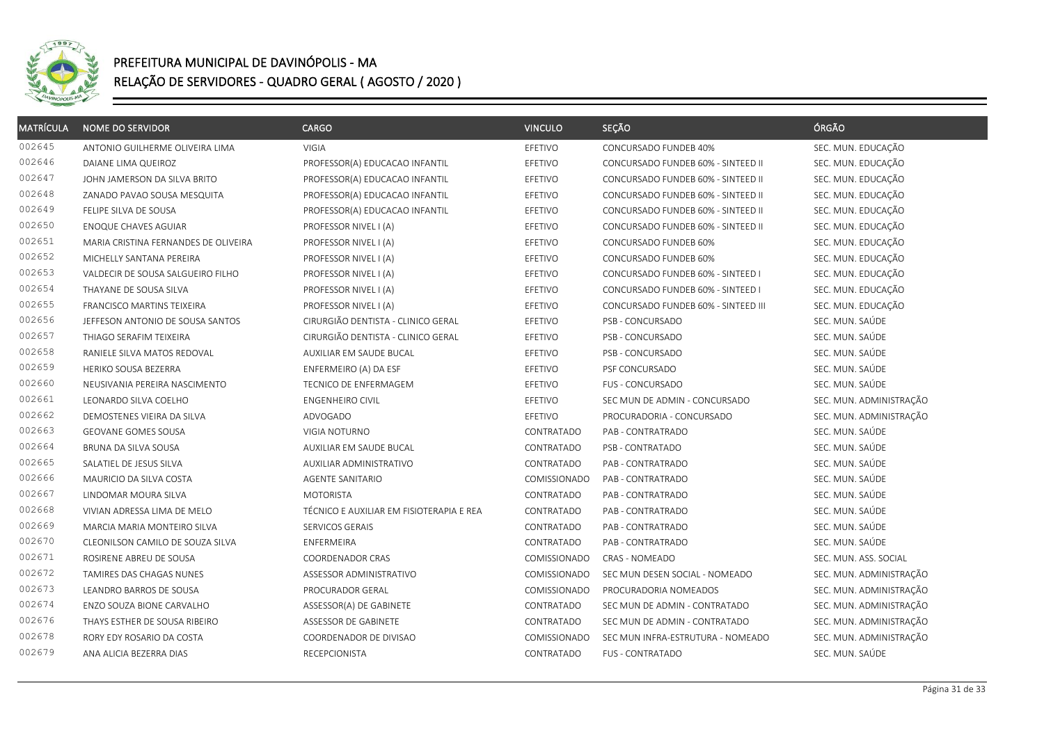

| <b>MATRÍCULA</b> | <b>NOME DO SERVIDOR</b>              | CARGO                                    | <b>VINCULO</b> | SEÇÃO                               | ÓRGÃO                   |
|------------------|--------------------------------------|------------------------------------------|----------------|-------------------------------------|-------------------------|
| 002645           | ANTONIO GUILHERME OLIVEIRA LIMA      | VIGIA                                    | EFETIVO        | CONCURSADO FUNDEB 40%               | SEC. MUN. EDUCAÇÃO      |
| 002646           | DAIANE LIMA QUEIROZ                  | PROFESSOR(A) EDUCACAO INFANTIL           | EFETIVO        | CONCURSADO FUNDEB 60% - SINTEED II  | SEC. MUN. EDUCAÇÃO      |
| 002647           | JOHN JAMERSON DA SILVA BRITO         | PROFESSOR(A) EDUCACAO INFANTIL           | EFETIVO        | CONCURSADO FUNDEB 60% - SINTEED II  | SEC. MUN. EDUCAÇÃO      |
| 002648           | ZANADO PAVAO SOUSA MESQUITA          | PROFESSOR(A) EDUCACAO INFANTIL           | EFETIVO        | CONCURSADO FUNDEB 60% - SINTEED II  | SEC. MUN. EDUCAÇÃO      |
| 002649           | FELIPE SILVA DE SOUSA                | PROFESSOR(A) EDUCACAO INFANTIL           | EFETIVO        | CONCURSADO FUNDEB 60% - SINTEED II  | SEC. MUN. EDUCAÇÃO      |
| 002650           | <b>ENOQUE CHAVES AGUIAR</b>          | PROFESSOR NIVEL I (A)                    | EFETIVO        | CONCURSADO FUNDEB 60% - SINTEED II  | SEC. MUN. EDUCAÇÃO      |
| 002651           | MARIA CRISTINA FERNANDES DE OLIVEIRA | PROFESSOR NIVEL I (A)                    | EFETIVO        | CONCURSADO FUNDEB 60%               | SEC. MUN. EDUCAÇÃO      |
| 002652           | MICHELLY SANTANA PEREIRA             | PROFESSOR NIVEL I (A)                    | EFETIVO        | CONCURSADO FUNDEB 60%               | SEC. MUN. EDUCAÇÃO      |
| 002653           | VALDECIR DE SOUSA SALGUEIRO FILHO    | PROFESSOR NIVEL I (A)                    | EFETIVO        | CONCURSADO FUNDEB 60% - SINTEED I   | SEC. MUN. EDUCAÇÃO      |
| 002654           | THAYANE DE SOUSA SILVA               | PROFESSOR NIVEL I (A)                    | EFETIVO        | CONCURSADO FUNDEB 60% - SINTEED I   | SEC. MUN. EDUCAÇÃO      |
| 002655           | <b>FRANCISCO MARTINS TEIXEIRA</b>    | PROFESSOR NIVEL I (A)                    | EFETIVO        | CONCURSADO FUNDEB 60% - SINTEED III | SEC. MUN. EDUCAÇÃO      |
| 002656           | JEFFESON ANTONIO DE SOUSA SANTOS     | CIRURGIÃO DENTISTA - CLINICO GERAL       | EFETIVO        | PSB - CONCURSADO                    | SEC. MUN. SAÚDE         |
| 002657           | THIAGO SERAFIM TEIXEIRA              | CIRURGIÃO DENTISTA - CLINICO GERAL       | EFETIVO        | PSB - CONCURSADO                    | SEC. MUN. SAÚDE         |
| 002658           | RANIELE SILVA MATOS REDOVAL          | AUXILIAR EM SAUDE BUCAL                  | EFETIVO        | PSB - CONCURSADO                    | SEC. MUN. SAÚDE         |
| 002659           | HERIKO SOUSA BEZERRA                 | ENFERMEIRO (A) DA ESF                    | EFETIVO        | PSF CONCURSADO                      | SEC. MUN. SAÚDE         |
| 002660           | NEUSIVANIA PEREIRA NASCIMENTO        | TECNICO DE ENFERMAGEM                    | EFETIVO        | <b>FUS - CONCURSADO</b>             | SEC. MUN. SAÚDE         |
| 002661           | LEONARDO SILVA COELHO                | <b>ENGENHEIRO CIVIL</b>                  | EFETIVO        | SEC MUN DE ADMIN - CONCURSADO       | SEC. MUN. ADMINISTRAÇÃO |
| 002662           | DEMOSTENES VIEIRA DA SILVA           | ADVOGADO                                 | EFETIVO        | PROCURADORIA - CONCURSADO           | SEC. MUN. ADMINISTRAÇÃO |
| 002663           | GEOVANE GOMES SOUSA                  | VIGIA NOTURNO                            | CONTRATADO     | PAB - CONTRATRADO                   | SEC. MUN. SAÚDE         |
| 002664           | BRUNA DA SILVA SOUSA                 | AUXILIAR EM SAUDE BUCAL                  | CONTRATADO     | PSB - CONTRATADO                    | SEC. MUN. SAÚDE         |
| 002665           | SALATIEL DE JESUS SILVA              | AUXILIAR ADMINISTRATIVO                  | CONTRATADO     | PAB - CONTRATRADO                   | SEC. MUN. SAÚDE         |
| 002666           | MAURICIO DA SILVA COSTA              | AGENTE SANITARIO                         | COMISSIONADO   | PAB - CONTRATRADO                   | SEC. MUN. SAÚDE         |
| 002667           | LINDOMAR MOURA SILVA                 | <b>MOTORISTA</b>                         | CONTRATADO     | PAB - CONTRATRADO                   | SEC. MUN. SAÚDE         |
| 002668           | VIVIAN ADRESSA LIMA DE MELO          | TÉCNICO E AUXILIAR EM FISIOTERAPIA E REA | CONTRATADO     | PAB - CONTRATRADO                   | SEC. MUN. SAÚDE         |
| 002669           | MARCIA MARIA MONTEIRO SILVA          | SERVICOS GERAIS                          | CONTRATADO     | PAB - CONTRATRADO                   | SEC. MUN. SAÚDE         |
| 002670           | CLEONILSON CAMILO DE SOUZA SILVA     | ENFERMEIRA                               | CONTRATADO     | PAB - CONTRATRADO                   | SEC. MUN. SAÚDE         |
| 002671           | ROSIRENE ABREU DE SOUSA              | COORDENADOR CRAS                         | COMISSIONADO   | CRAS - NOMEADO                      | SEC. MUN. ASS. SOCIAL   |
| 002672           | TAMIRES DAS CHAGAS NUNES             | ASSESSOR ADMINISTRATIVO                  | COMISSIONADO   | SEC MUN DESEN SOCIAL - NOMEADO      | SEC. MUN. ADMINISTRAÇÃO |
| 002673           | LEANDRO BARROS DE SOUSA              | PROCURADOR GERAL                         | COMISSIONADO   | PROCURADORIA NOMEADOS               | SEC. MUN. ADMINISTRAÇÃO |
| 002674           | ENZO SOUZA BIONE CARVALHO            | ASSESSOR(A) DE GABINETE                  | CONTRATADO     | SEC MUN DE ADMIN - CONTRATADO       | SEC. MUN. ADMINISTRAÇÃO |
| 002676           | THAYS ESTHER DE SOUSA RIBEIRO        | ASSESSOR DE GABINETE                     | CONTRATADO     | SEC MUN DE ADMIN - CONTRATADO       | SEC. MUN. ADMINISTRAÇÃO |
| 002678           | RORY EDY ROSARIO DA COSTA            | COORDENADOR DE DIVISAO                   | COMISSIONADO   | SEC MUN INFRA-ESTRUTURA - NOMEADO   | SEC. MUN. ADMINISTRAÇÃO |
| 002679           | ANA ALICIA BEZERRA DIAS              | RECEPCIONISTA                            | CONTRATADO     | <b>FUS - CONTRATADO</b>             | SEC. MUN. SAÚDE         |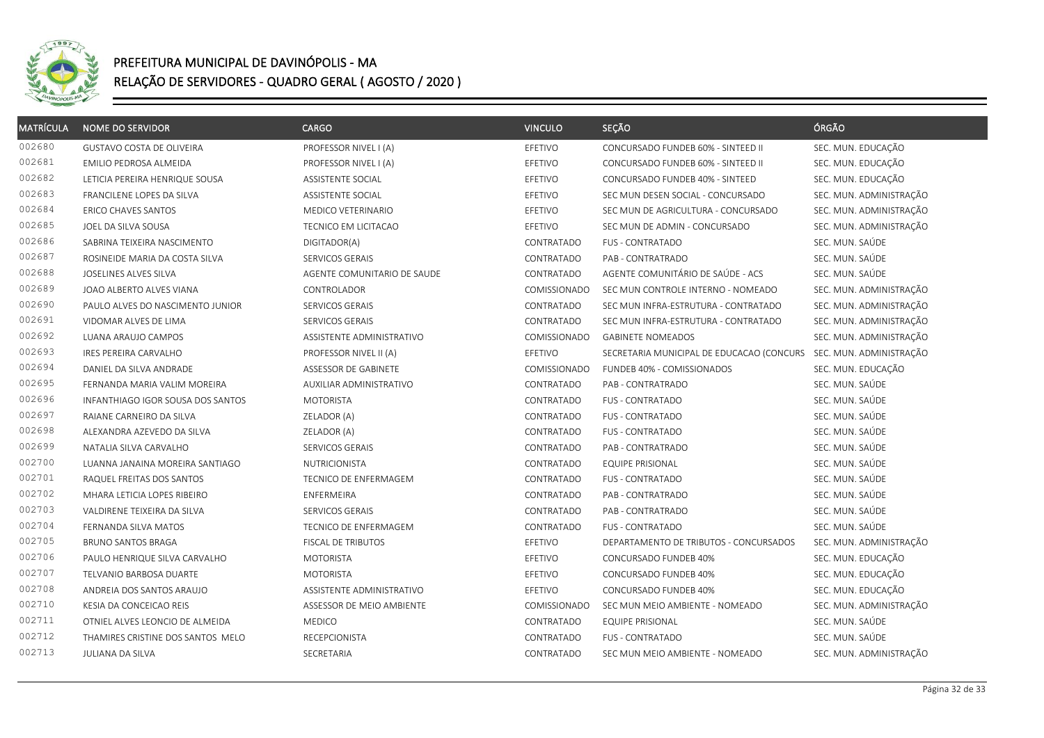

| <b>MATRÍCULA</b> | <b>NOME DO SERVIDOR</b>           | <b>CARGO</b>                   | <b>VINCULO</b>      | SEÇÃO                                     | ÓRGÃO                   |
|------------------|-----------------------------------|--------------------------------|---------------------|-------------------------------------------|-------------------------|
| 002680           | <b>GUSTAVO COSTA DE OLIVEIRA</b>  | PROFESSOR NIVEL I (A)          | EFETIVO             | CONCURSADO FUNDEB 60% - SINTEED II        | SEC. MUN. EDUCAÇÃO      |
| 002681           | EMILIO PEDROSA ALMEIDA            | PROFESSOR NIVEL I (A)          | EFETIVO             | CONCURSADO FUNDEB 60% - SINTEED II        | SEC. MUN. EDUCAÇÃO      |
| 002682           | LETICIA PEREIRA HENRIQUE SOUSA    | ASSISTENTE SOCIAL              | EFETIVO             | CONCURSADO FUNDEB 40% - SINTEED           | SEC. MUN. EDUCAÇÃO      |
| 002683           | FRANCILENE LOPES DA SILVA         | ASSISTENTE SOCIAL              | EFETIVO             | SEC MUN DESEN SOCIAL - CONCURSADO         | SEC. MUN. ADMINISTRAÇÃO |
| 002684           | <b>ERICO CHAVES SANTOS</b>        | MEDICO VETERINARIO             | EFETIVO             | SEC MUN DE AGRICULTURA - CONCURSADO       | SEC. MUN. ADMINISTRAÇÃO |
| 002685           | JOEL DA SILVA SOUSA               | TECNICO EM LICITACAO           | EFETIVO             | SEC MUN DE ADMIN - CONCURSADO             | SEC. MUN. ADMINISTRAÇÃO |
| 002686           | SABRINA TEIXEIRA NASCIMENTO       | DIGITADOR(A)                   | CONTRATADO          | <b>FUS - CONTRATADO</b>                   | SEC. MUN. SAÚDE         |
| 002687           | ROSINEIDE MARIA DA COSTA SILVA    | SERVICOS GERAIS                | CONTRATADO          | PAB - CONTRATRADO                         | SEC. MUN. SAÚDE         |
| 002688           | JOSELINES ALVES SILVA             | AGENTE COMUNITARIO DE SAUDE    | CONTRATADO          | AGENTE COMUNITÁRIO DE SAÚDE - ACS         | SEC. MUN. SAÚDE         |
| 002689           | JOAO ALBERTO ALVES VIANA          | CONTROLADOR                    | COMISSIONADO        | SEC MUN CONTROLE INTERNO - NOMEADO        | SEC. MUN. ADMINISTRAÇÃO |
| 002690           | PAULO ALVES DO NASCIMENTO JUNIOR  | SERVICOS GERAIS                | CONTRATADO          | SEC MUN INFRA-ESTRUTURA - CONTRATADO      | SEC. MUN. ADMINISTRAÇÃO |
| 002691           | VIDOMAR ALVES DE LIMA             | SERVICOS GERAIS                | CONTRATADO          | SEC MUN INFRA-ESTRUTURA - CONTRATADO      | SEC. MUN. ADMINISTRAÇÃO |
| 002692           | LUANA ARAUJO CAMPOS               | ASSISTENTE ADMINISTRATIVO      | COMISSIONADO        | <b>GABINETE NOMEADOS</b>                  | SEC. MUN. ADMINISTRAÇÃO |
| 002693           | <b>IRES PEREIRA CARVALHO</b>      | PROFESSOR NIVEL II (A)         | EFETIVO             | SECRETARIA MUNICIPAL DE EDUCACAO (CONCURS | SEC. MUN. ADMINISTRAÇÃO |
| 002694           | DANIEL DA SILVA ANDRADE           | ASSESSOR DE GABINETE           | COMISSIONADO        | FUNDEB 40% - COMISSIONADOS                | SEC. MUN. EDUCAÇÃO      |
| 002695           | FERNANDA MARIA VALIM MOREIRA      | <b>AUXILIAR ADMINISTRATIVO</b> | CONTRATADO          | PAB - CONTRATRADO                         | SEC. MUN. SAÚDE         |
| 002696           | INFANTHIAGO IGOR SOUSA DOS SANTOS | <b>MOTORISTA</b>               | CONTRATADO          | <b>FUS - CONTRATADO</b>                   | SEC. MUN. SAÚDE         |
| 002697           | RAIANE CARNEIRO DA SILVA          | ZELADOR (A)                    | CONTRATADO          | <b>FUS - CONTRATADO</b>                   | SEC. MUN. SAÚDE         |
| 002698           | ALEXANDRA AZEVEDO DA SILVA        | ZELADOR (A)                    | CONTRATADO          | <b>FUS - CONTRATADO</b>                   | SEC. MUN. SAÚDE         |
| 002699           | NATALIA SILVA CARVALHO            | SERVICOS GERAIS                | CONTRATADO          | PAB - CONTRATRADO                         | SEC. MUN. SAÚDE         |
| 002700           | LUANNA JANAINA MOREIRA SANTIAGO   | NUTRICIONISTA                  | CONTRATADO          | <b>EQUIPE PRISIONAL</b>                   | SEC. MUN. SAÚDE         |
| 002701           | RAQUEL FREITAS DOS SANTOS         | TECNICO DE ENFERMAGEM          | CONTRATADO          | <b>FUS - CONTRATADO</b>                   | SEC. MUN. SAÚDE         |
| 002702           | MHARA LETICIA LOPES RIBEIRO       | ENFERMEIRA                     | CONTRATADO          | PAB - CONTRATRADO                         | SEC. MUN. SAÚDE         |
| 002703           | VALDIRENE TEIXEIRA DA SILVA       | SERVICOS GERAIS                | CONTRATADO          | PAB - CONTRATRADO                         | SEC. MUN. SAÚDE         |
| 002704           | FERNANDA SILVA MATOS              | TECNICO DE ENFERMAGEM          | CONTRATADO          | <b>FUS - CONTRATADO</b>                   | SEC. MUN. SAÚDE         |
| 002705           | <b>BRUNO SANTOS BRAGA</b>         | FISCAL DE TRIBUTOS             | EFETIVO             | DEPARTAMENTO DE TRIBUTOS - CONCURSADOS    | SEC. MUN. ADMINISTRAÇÃO |
| 002706           | PAULO HENRIQUE SILVA CARVALHO     | <b>MOTORISTA</b>               | EFETIVO             | CONCURSADO FUNDEB 40%                     | SEC. MUN. EDUCAÇÃO      |
| 002707           | TELVANIO BARBOSA DUARTE           | <b>MOTORISTA</b>               | EFETIVO             | CONCURSADO FUNDEB 40%                     | SEC. MUN. EDUCAÇÃO      |
| 002708           | ANDREIA DOS SANTOS ARAUJO         | ASSISTENTE ADMINISTRATIVO      | EFETIVO             | CONCURSADO FUNDEB 40%                     | SEC. MUN. EDUCAÇÃO      |
| 002710           | KESIA DA CONCEICAO REIS           | ASSESSOR DE MEIO AMBIENTE      | <b>COMISSIONADO</b> | SEC MUN MEIO AMBIENTE - NOMEADO           | SEC. MUN. ADMINISTRAÇÃO |
| 002711           | OTNIEL ALVES LEONCIO DE ALMEIDA   | <b>MEDICO</b>                  | CONTRATADO          | <b>EQUIPE PRISIONAL</b>                   | SEC. MUN. SAÚDE         |
| 002712           | THAMIRES CRISTINE DOS SANTOS MELO | RECEPCIONISTA                  | CONTRATADO          | <b>FUS - CONTRATADO</b>                   | SEC. MUN. SAÚDE         |
| 002713           | JULIANA DA SILVA                  | SECRETARIA                     | CONTRATADO          | SEC MUN MEIO AMBIENTE - NOMEADO           | SEC. MUN. ADMINISTRAÇÃO |